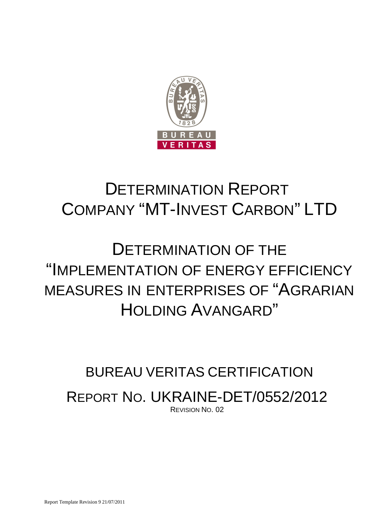

# DETERMINATION REPORT COMPANY "MT-INVEST CARBON" LTD

# DETERMINATION OF THE "IMPLEMENTATION OF ENERGY EFFICIENCY MEASURES IN ENTERPRISES OF "AGRARIAN HOLDING AVANGARD"

# BUREAU VERITAS CERTIFICATION REPORT NO. UKRAINE-DET/0552/2012 REVISION NO. 02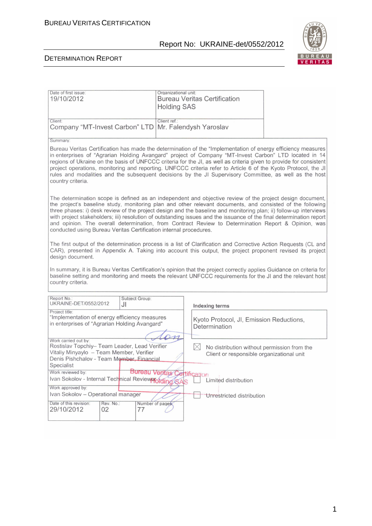$\overline{a}$ 



| Date of first issue:<br>19/10/2012                                                                                                                                                                                                                                                                                                                                                                                                                                                                                                                                                                                                              | Organizational unit:<br><b>Bureau Veritas Certification</b><br><b>Holding SAS</b> |  |  |
|-------------------------------------------------------------------------------------------------------------------------------------------------------------------------------------------------------------------------------------------------------------------------------------------------------------------------------------------------------------------------------------------------------------------------------------------------------------------------------------------------------------------------------------------------------------------------------------------------------------------------------------------------|-----------------------------------------------------------------------------------|--|--|
| Client:<br>Company "MT-Invest Carbon" LTD                                                                                                                                                                                                                                                                                                                                                                                                                                                                                                                                                                                                       | Client ref.:<br>Mr. Falendysh Yaroslav                                            |  |  |
| Summary:                                                                                                                                                                                                                                                                                                                                                                                                                                                                                                                                                                                                                                        |                                                                                   |  |  |
| Bureau Veritas Certification has made the determination of the "Implementation of energy efficiency measures<br>in enterprises of "Agrarian Holding Avangard" project of Company "MT-Invest Carbon" LTD located in 14<br>regions of Ukraine on the basis of UNFCCC criteria for the JI, as well as criteria given to provide for consistent<br>project operations, monitoring and reporting. UNFCCC criteria refer to Article 6 of the Kyoto Protocol, the JI<br>rules and modalities and the subsequent decisions by the JI Supervisory Committee, as well as the host<br>country criteria.                                                    |                                                                                   |  |  |
| The determination scope is defined as an independent and objective review of the project design document,<br>the project's baseline study, monitoring plan and other relevant documents, and consisted of the following<br>three phases: i) desk review of the project design and the baseline and monitoring plan; ii) follow-up interviews<br>with project stakeholders; iii) resolution of outstanding issues and the issuance of the final determination report<br>and opinion. The overall determination, from Contract Review to Determination Report & Opinion, was<br>conducted using Bureau Veritas Certification internal procedures. |                                                                                   |  |  |
| The first output of the determination process is a list of Clarification and Corrective Action Requests (CL and<br>CAR), presented in Appendix A. Taking into account this output, the project proponent revised its project<br>design document.<br>In summary, it is Bureau Veritas Certification's opinion that the project correctly applies Guidance on criteria for<br>baseline setting and monitoring and meets the relevant UNFCCC requirements for the JI and the relevant host<br>country criteria.                                                                                                                                    |                                                                                   |  |  |
|                                                                                                                                                                                                                                                                                                                                                                                                                                                                                                                                                                                                                                                 |                                                                                   |  |  |
| Report No.:<br>Subject Group:<br>UKRAINE-DET/0552/2012<br>JI                                                                                                                                                                                                                                                                                                                                                                                                                                                                                                                                                                                    | Indexing terms                                                                    |  |  |
| Project title:<br>"Implementation of energy efficiency measures<br>in enterprises of "Agrarian Holding Avangard"                                                                                                                                                                                                                                                                                                                                                                                                                                                                                                                                | Kyoto Protocol, JI, Emission Reductions,<br>Determination                         |  |  |
| Work carried out by:<br>Rostislav Topchiy- Team Leader, Lead Verifier<br>$\times$<br>No distribution without permission from the<br>Vitaliy Minyaylo - Team Member, Verifier<br>Client or responsible organizational unit<br>Denis Pishchalov - Team Member, Financial<br>Specialist                                                                                                                                                                                                                                                                                                                                                            |                                                                                   |  |  |
| Work reviewed by:<br>Ivan Sokolov - Internal Technical Review Pording SAS<br>Work approved by:                                                                                                                                                                                                                                                                                                                                                                                                                                                                                                                                                  | <b>Bureau Veritas Certification</b><br>Limited distribution                       |  |  |
| Ivan Sokolov - Operational manager<br>Unrestricted distribution                                                                                                                                                                                                                                                                                                                                                                                                                                                                                                                                                                                 |                                                                                   |  |  |
| Date of this revision:<br>Rev. No.:<br>29/10/2012<br>02<br>77                                                                                                                                                                                                                                                                                                                                                                                                                                                                                                                                                                                   | Number of pages                                                                   |  |  |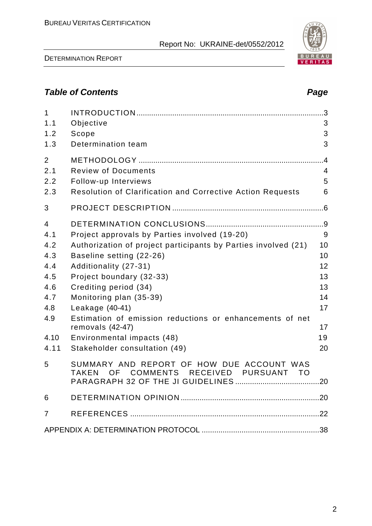DETERMINATION REPORT

# **Table of Contents Page 2018**

| $\mathbf{1}$<br>1.1<br>1.2<br>1.3                                                | Objective<br>Scope<br>Determination team                                                                                                                                                                                                                                                                                                                                                                               | 3<br>3<br>3                                                   |
|----------------------------------------------------------------------------------|------------------------------------------------------------------------------------------------------------------------------------------------------------------------------------------------------------------------------------------------------------------------------------------------------------------------------------------------------------------------------------------------------------------------|---------------------------------------------------------------|
| $\overline{2}$<br>2.1<br>2.2<br>2.3                                              | <b>Review of Documents</b><br>Follow-up Interviews<br><b>Resolution of Clarification and Corrective Action Requests</b>                                                                                                                                                                                                                                                                                                | .4<br>$\overline{4}$<br>5<br>6                                |
| 3                                                                                |                                                                                                                                                                                                                                                                                                                                                                                                                        |                                                               |
| 4<br>4.1<br>4.2<br>4.3<br>4.4<br>4.5<br>4.6<br>4.7<br>4.8<br>4.9<br>4.10<br>4.11 | Project approvals by Parties involved (19-20)<br>Authorization of project participants by Parties involved (21)<br>Baseline setting (22-26)<br>Additionality (27-31)<br>Project boundary (32-33)<br>Crediting period (34)<br>Monitoring plan (35-39)<br>Leakage (40-41)<br>Estimation of emission reductions or enhancements of net<br>removals (42-47)<br>Environmental impacts (48)<br>Stakeholder consultation (49) | 9<br>10<br>10<br>12<br>13<br>13<br>14<br>17<br>17<br>19<br>20 |
| 5                                                                                | SUMMARY AND REPORT OF HOW DUE ACCOUNT WAS<br><b>COMMENTS</b><br>RECEIVED<br><b>PURSUANT</b><br><b>TAKEN</b><br>OF<br>- TO                                                                                                                                                                                                                                                                                              |                                                               |
| 6                                                                                |                                                                                                                                                                                                                                                                                                                                                                                                                        |                                                               |
| 7                                                                                |                                                                                                                                                                                                                                                                                                                                                                                                                        |                                                               |
|                                                                                  |                                                                                                                                                                                                                                                                                                                                                                                                                        |                                                               |

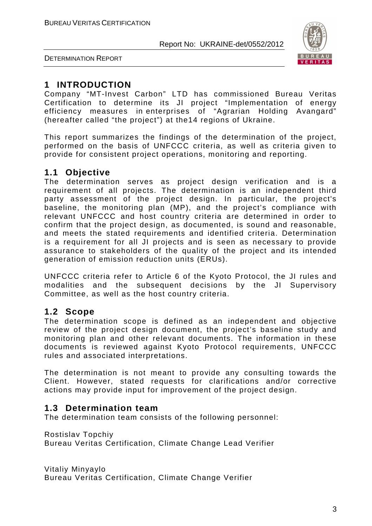

DETERMINATION REPORT

# **1 INTRODUCTION**

Company "MT-Invest Carbon" LTD has commissioned Bureau Veritas Certification to determine its JI project "Implementation of energy efficiency measures in enterprises of "Agrarian Holding Avangard" (hereafter called "the project") at the14 regions of Ukraine.

This report summarizes the findings of the determination of the project, performed on the basis of UNFCCC criteria, as well as criteria given to provide for consistent project operations, monitoring and reporting.

# **1.1 Objective**

The determination serves as project design verification and is a requirement of all projects. The determination is an independent third party assessment of the project design. In particular, the project's baseline, the monitoring plan (MP), and the project's compliance with relevant UNFCCC and host country criteria are determined in order to confirm that the project design, as documented, is sound and reasonable, and meets the stated requirements and identified criteria. Determination is a requirement for all JI projects and is seen as necessary to provide assurance to stakeholders of the quality of the project and its intended generation of emission reduction units (ERUs).

UNFCCC criteria refer to Article 6 of the Kyoto Protocol, the JI rules and modalities and the subsequent decisions by the JI Supervisory Committee, as well as the host country criteria.

# **1.2 Scope**

The determination scope is defined as an independent and objective review of the project design document, the project's baseline study and monitoring plan and other relevant documents. The information in these documents is reviewed against Kyoto Protocol requirements, UNFCCC rules and associated interpretations.

The determination is not meant to provide any consulting towards the Client. However, stated requests for clarifications and/or corrective actions may provide input for improvement of the project design.

# **1.3 Determination team**

The determination team consists of the following personnel:

Rostislav Topchiy

Bureau Veritas Certification, Climate Change Lead Verifier

Vitaliy Minyaylo Bureau Veritas Certification, Climate Change Verifier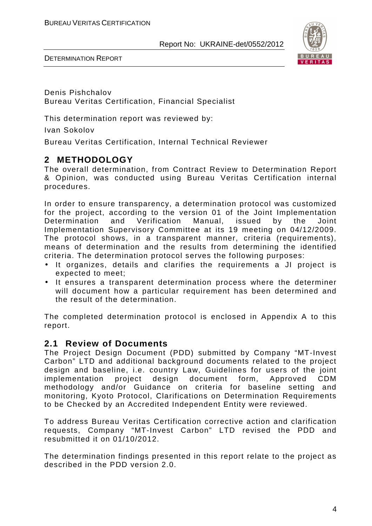

DETERMINATION REPORT

Denis Pishchalov Bureau Veritas Certification, Financial Specialist

This determination report was reviewed by:

Ivan Sokolov

Bureau Veritas Certification, Internal Technical Reviewer

# **2 METHODOLOGY**

The overall determination, from Contract Review to Determination Report & Opinion, was conducted using Bureau Veritas Certification internal procedures.

In order to ensure transparency, a determination protocol was customized for the project, according to the version 01 of the Joint Implementation Determination and Verification Manual, issued by the Joint Implementation Supervisory Committee at its 19 meeting on 04/12/2009. The protocol shows, in a transparent manner, criteria (requirements), means of determination and the results from determining the identified criteria. The determination protocol serves the following purposes:

- It organizes, details and clarifies the requirements a JI project is expected to meet;
- It ensures a transparent determination process where the determiner will document how a particular requirement has been determined and the result of the determination.

The completed determination protocol is enclosed in Appendix A to this report.

## **2.1 Review of Documents**

The Project Design Document (PDD) submitted by Company "MT-Invest Carbon" LTD and additional background documents related to the project design and baseline, i.e. country Law, Guidelines for users of the joint implementation project design document form, Approved CDM methodology and/or Guidance on criteria for baseline setting and monitoring, Kyoto Protocol, Clarifications on Determination Requirements to be Checked by an Accredited Independent Entity were reviewed.

To address Bureau Veritas Certification corrective action and clarification requests, Company "MT-Invest Carbon" LTD revised the PDD and resubmitted it on 01/10/2012.

The determination findings presented in this report relate to the project as described in the PDD version 2.0.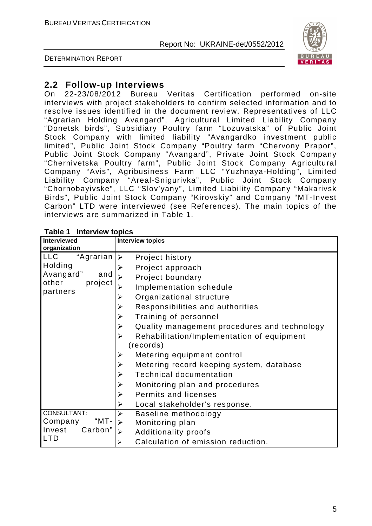

DETERMINATION REPORT

# **2.2 Follow-up Interviews**

On 22-23/08/2012 Bureau Veritas Certification performed on-site interviews with project stakeholders to confirm selected information and to resolve issues identified in the document review. Representatives of LLC "Agrarian Holding Avangard", Agricultural Limited Liability Company "Donetsk birds", Subsidiary Poultry farm "Lozuvatska" of Public Joint Stock Company with limited liability "Avangardko investment public limited", Public Joint Stock Company "Poultry farm "Chervony Prapor", Public Joint Stock Company "Avangard", Private Joint Stock Company "Chernivetska Poultry farm", Public Joint Stock Company Agricultural Company "Avis", Agribusiness Farm LLC "Yuzhnaya-Holding", Limited Liability Company "Areal-Snigurivka", Public Joint Stock Company "Chornobayivske", LLC "Slov'yany", Limited Liability Company "Makarivsk Birds", Public Joint Stock Company "Kirovskiy" and Company "MT-Invest Carbon" LTD were interviewed (see References). The main topics of the interviews are summarized in Table 1.

| <b>HILDI YIVII LOPIUJ</b><br><b>Interviewed</b> | <b>Interview topics</b>                                               |
|-------------------------------------------------|-----------------------------------------------------------------------|
| organization                                    |                                                                       |
| LLC<br>"Agrarian                                | Project history<br>≻                                                  |
| Holding                                         | Project approach                                                      |
| Avangard"<br>and                                | Project boundary                                                      |
| other<br>project<br>partners                    | Implementation schedule                                               |
|                                                 | Organizational structure<br>➤                                         |
|                                                 | Responsibilities and authorities<br>$\blacktriangleright$             |
|                                                 | Training of personnel<br>➤                                            |
|                                                 | $\blacktriangleright$<br>Quality management procedures and technology |
|                                                 | Rehabilitation/Implementation of equipment<br>≻                       |
|                                                 | (records)                                                             |
|                                                 | Metering equipment control<br>➤                                       |
|                                                 | Metering record keeping system, database<br>➤                         |
|                                                 | <b>Technical documentation</b><br>$\blacktriangleright$               |
|                                                 | $\blacktriangleright$<br>Monitoring plan and procedures               |
|                                                 | Permits and licenses<br>$\blacktriangleright$                         |
|                                                 | ≻<br>Local stakeholder's response.                                    |
| CONSULTANT:                                     | Baseline methodology<br>➤                                             |
| "MT-<br>Company                                 | Monitoring plan<br>➤                                                  |
| Carbon"<br>Invest                               | <b>Additionality proofs</b><br>➤                                      |
| <b>LTD</b>                                      | Calculation of emission reduction.<br>➤                               |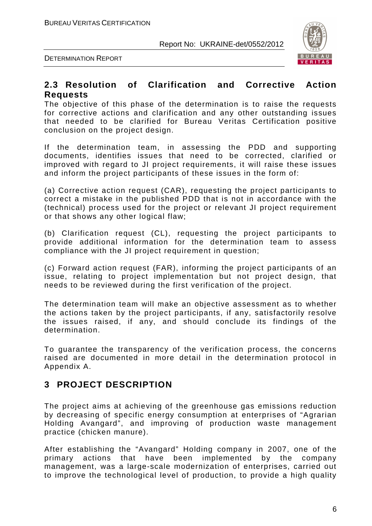

DETERMINATION REPORT

#### **2.3 Resolution of Clarification and Corrective Action Requests**

The objective of this phase of the determination is to raise the requests for corrective actions and clarification and any other outstanding issues that needed to be clarified for Bureau Veritas Certification positive conclusion on the project design.

If the determination team, in assessing the PDD and supporting documents, identifies issues that need to be corrected, clarified or improved with regard to JI project requirements, it will raise these issues and inform the project participants of these issues in the form of:

(a) Corrective action request (CAR), requesting the project participants to correct a mistake in the published PDD that is not in accordance with the (technical) process used for the project or relevant JI project requirement or that shows any other logical flaw;

(b) Clarification request (CL), requesting the project participants to provide additional information for the determination team to assess compliance with the JI project requirement in question;

(c) Forward action request (FAR), informing the project participants of an issue, relating to project implementation but not project design, that needs to be reviewed during the first verification of the project.

The determination team will make an objective assessment as to whether the actions taken by the project participants, if any, satisfactorily resolve the issues raised, if any, and should conclude its findings of the determination.

To guarantee the transparency of the verification process, the concerns raised are documented in more detail in the determination protocol in Appendix A.

# **3 PROJECT DESCRIPTION**

The project aims at achieving of the greenhouse gas emissions reduction by decreasing of specific energy consumption at enterprises of "Agrarian Holding Avangard", and improving of production waste management practice (chicken manure).

After establishing the "Avangard" Holding company in 2007, one of the primary actions that have been implemented by the company management, was a large-scale modernization of enterprises, carried out to improve the technological level of production, to provide a high quality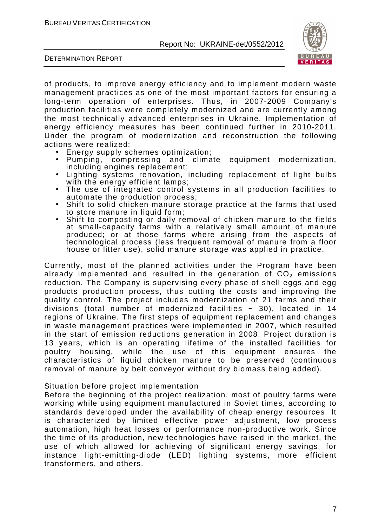

DETERMINATION REPORT

of products, to improve energy efficiency and to implement modern waste management practices as one of the most important factors for ensuring a long-term operation of enterprises. Thus, in 2007-2009 Company's production facilities were completely modernized and are currently among the most technically advanced enterprises in Ukraine. Implementation of energy efficiency measures has been continued further in 2010-2011. Under the program of modernization and reconstruction the following actions were realized:

- Energy supply schemes optimization;
- Pumping, compressing and climate equipment modernization, including engines replacement;
- Lighting systems renovation, including replacement of light bulbs with the energy efficient lamps;
- The use of integrated control systems in all production facilities to automate the production process;
- Shift to solid chicken manure storage practice at the farms that used to store manure in liquid form;
- Shift to composting or daily removal of chicken manure to the fields at small-capacity farms with a relatively small amount of manure produced; or at those farms where arising from the aspects of technological process (less frequent removal of manure from a floor house or litter use), solid manure storage was applied in practice.

Currently, most of the planned activities under the Program have been already implemented and resulted in the generation of  $CO<sub>2</sub>$  emissions reduction. The Company is supervising every phase of shell eggs and egg products production process, thus cutting the costs and improving the quality control. The project includes modernization of 21 farms and their divisions (total number of modernized facilities - 30), located in 14 regions of Ukraine. The first steps of equipment replacement and changes in waste management practices were implemented in 2007, which resulted in the start of emission reductions generation in 2008. Project duration is 13 years, which is an operating lifetime of the installed facilities for poultry housing, while the use of this equipment ensures the characteristics of liquid chicken manure to be preserved (continuous removal of manure by belt conveyor without dry biomass being added).

#### Situation before project implementation

Before the beginning of the project realization, most of poultry farms were working while using equipment manufactured in Soviet times, according to standards developed under the availability of cheap energy resources. It is characterized by limited effective power adjustment, low process automation, high heat losses or performance non-productive work. Since the time of its production, new technologies have raised in the market, the use of which allowed for achieving of significant energy savings, for instance light-emitting-diode (LED) lighting systems, more efficient transformers, and others.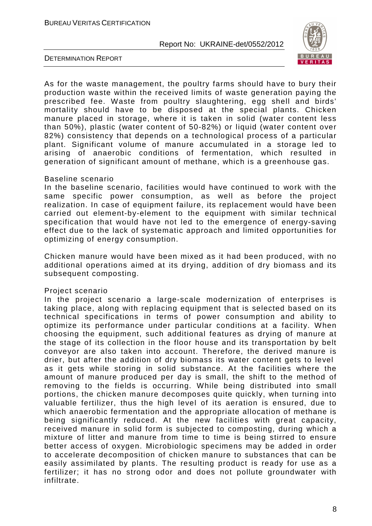

DETERMINATION REPORT

As for the waste management, the poultry farms should have to bury their production waste within the received limits of waste generation paying the prescribed fee. Waste from poultry slaughtering, egg shell and birds' mortality should have to be disposed at the special plants. Chicken manure placed in storage, where it is taken in solid (water content less than 50%), plastic (water content of 50-82%) or liquid (water content over 82%) consistency that depends on a technological process of a particular plant. Significant volume of manure accumulated in a storage led to arising of anaerobic conditions of fermentation, which resulted in generation of significant amount of methane, which is a greenhouse gas.

#### Baseline scenario

In the baseline scenario, facilities would have continued to work with the same specific power consumption, as well as before the project realization. In case of equipment failure, its replacement would have been carried out element-by-element to the equipment with similar technical specification that would have not led to the emergence of energy-saving effect due to the lack of systematic approach and limited opportunities for optimizing of energy consumption.

Chicken manure would have been mixed as it had been produced, with no additional operations aimed at its drying, addition of dry biomass and its subsequent composting.

#### Project scenario

In the project scenario a large-scale modernization of enterprises is taking place, along with replacing equipment that is selected based on its technical specifications in terms of power consumption and ability to optimize its performance under particular conditions at a facility. When choosing the equipment, such additional features as drying of manure at the stage of its collection in the floor house and its transportation by belt conveyor are also taken into account. Therefore, the derived manure is drier, but after the addition of dry biomass its water content gets to level as it gets while storing in solid substance. At the facilities where the amount of manure produced per day is small, the shift to the method of removing to the fields is occurring. While being distributed into small portions, the chicken manure decomposes quite quickly, when turning into valuable fertilizer, thus the high level of its aeration is ensured, due to which anaerobic fermentation and the appropriate allocation of methane is being significantly reduced. At the new facilities with great capacity, received manure in solid form is subjected to composting, during which a mixture of litter and manure from time to time is being stirred to ensure better access of oxygen. Microbiologic specimens may be added in order to accelerate decomposition of chicken manure to substances that can be easily assimilated by plants. The resulting product is ready for use as a fertilizer; it has no strong odor and does not pollute groundwater with infiltrate.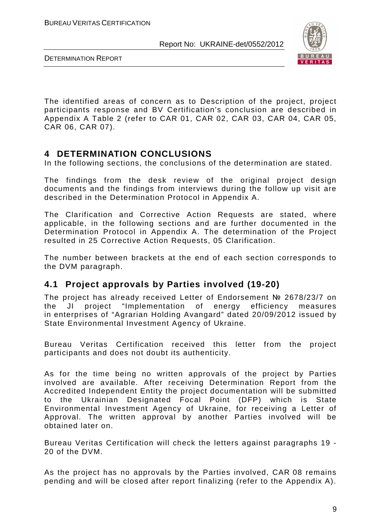

DETERMINATION REPORT

The identified areas of concern as to Description of the project, project participants response and BV Certification's conclusion are described in Appendix A Table 2 (refer to CAR 01, CAR 02, CAR 03, CAR 04, CAR 05, CAR 06, CAR 07).

# **4 DETERMINATION CONCLUSIONS**

In the following sections, the conclusions of the determination are stated.

The findings from the desk review of the original project design documents and the findings from interviews during the follow up visit are described in the Determination Protocol in Appendix A.

The Clarification and Corrective Action Requests are stated, where applicable, in the following sections and are further documented in the Determination Protocol in Appendix A. The determination of the Project resulted in 25 Corrective Action Requests, 05 Clarification.

The number between brackets at the end of each section corresponds to the DVM paragraph.

## **4.1 Project approvals by Parties involved (19-20)**

The project has already received Letter of Endorsement № 2678/23/7 on the JI project "Implementation of energy efficiency measures in enterprises of "Agrarian Holding Avangard" dated 20/09/2012 issued by State Environmental Investment Agency of Ukraine.

Bureau Veritas Certification received this letter from the project participants and does not doubt its authenticity.

As for the time being no written approvals of the project by Parties involved are available. After receiving Determination Report from the Accredited Independent Entity the project documentation will be submitted to the Ukrainian Designated Focal Point (DFP) which is State Environmental Investment Agency of Ukraine, for receiving a Letter of Approval. The written approval by another Parties involved will be obtained later on.

Bureau Veritas Certification will check the letters against paragraphs 19 - 20 of the DVM.

As the project has no approvals by the Parties involved, CAR 08 remains pending and will be closed after report finalizing (refer to the Appendix A).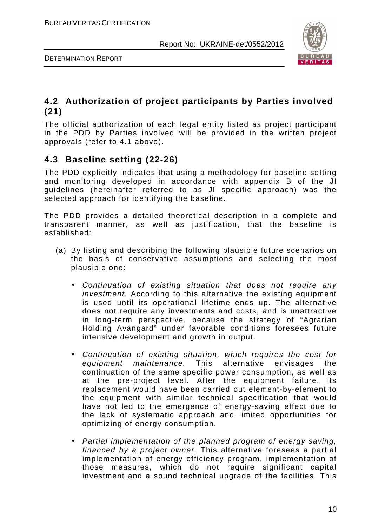

DETERMINATION REPORT

# **4.2 Authorization of project participants by Parties involved (21)**

The official authorization of each legal entity listed as project participant in the PDD by Parties involved will be provided in the written project approvals (refer to 4.1 above).

# **4.3 Baseline setting (22-26)**

The PDD explicitly indicates that using a methodology for baseline setting and monitoring developed in accordance with appendix B of the JI guidelines (hereinafter referred to as JI specific approach) was the selected approach for identifying the baseline.

The PDD provides a detailed theoretical description in a complete and transparent manner, as well as justification, that the baseline is established:

- (a) By listing and describing the following plausible future scenarios on the basis of conservative assumptions and selecting the most plausible one:
	- Continuation of existing situation that does not require any investment. According to this alternative the existing equipment is used until its operational lifetime ends up. The alternative does not require any investments and costs, and is unattractive in long-term perspective, because the strategy of "Agrarian Holding Avangard" under favorable conditions foresees future intensive development and growth in output.
	- Continuation of existing situation, which requires the cost for equipment maintenance. This alternative envisages the continuation of the same specific power consumption, as well as at the pre-project level. After the equipment failure, its replacement would have been carried out element-by-element to the equipment with similar technical specification that would have not led to the emergence of energy-saving effect due to the lack of systematic approach and limited opportunities for optimizing of energy consumption.
	- Partial implementation of the planned program of energy saving, financed by a project owner. This alternative foresees a partial implementation of energy efficiency program, implementation of those measures, which do not require significant capital investment and a sound technical upgrade of the facilities. This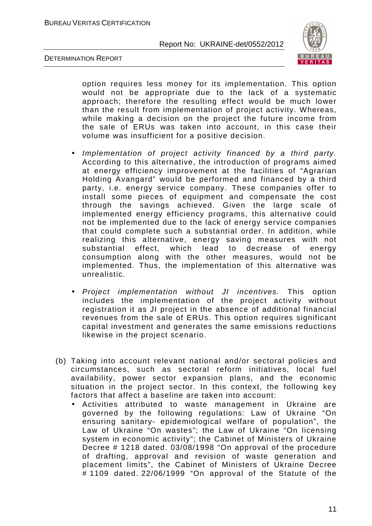

DETERMINATION REPORT

option requires less money for its implementation. This option would not be appropriate due to the lack of a systematic approach; therefore the resulting effect would be much lower than the result from implementation of project activity. Whereas, while making a decision on the project the future income from the sale of ERUs was taken into account, in this case their volume was insufficient for a positive decision.

- Implementation of project activity financed by a third party. According to this alternative, the introduction of programs aimed at energy efficiency improvement at the facilities of "Agrarian Holding Avangard" would be performed and financed by a third party, i.e. energy service company. These companies offer to install some pieces of equipment and compensate the cost through the savings achieved. Given the large scale of implemented energy efficiency programs, this alternative could not be implemented due to the lack of energy service companies that could complete such a substantial order. In addition, while realizing this alternative, energy saving measures with not substantial effect, which lead to decrease of energy consumption along with the other measures, would not be implemented. Thus, the implementation of this alternative was unrealistic.
- Project implementation without JI incentives. This option includes the implementation of the project activity without registration it as JI project in the absence of additional financial revenues from the sale of ERUs. This option requires significant capital investment and generates the same emissions reductions likewise in the project scenario.
- (b) Taking into account relevant national and/or sectoral policies and circumstances, such as sectoral reform initiatives, local fuel availability, power sector expansion plans, and the economic situation in the project sector. In this context, the following key factors that affect a baseline are taken into account:
	- Activities attributed to waste management in Ukraine are governed by the following regulations: Law of Ukraine "On ensuring sanitary- epidemiological welfare of population", the Law of Ukraine "On wastes"; the Law of Ukraine "On licensing system in economic activity"; the Cabinet of Ministers of Ukraine Decree # 1218 dated. 03/08/1998 "On approval of the procedure of drafting, approval and revision of waste generation and placement limits", the Cabinet of Ministers of Ukraine Decree # 1109 dated. 22/06/1999 "On approval of the Statute of the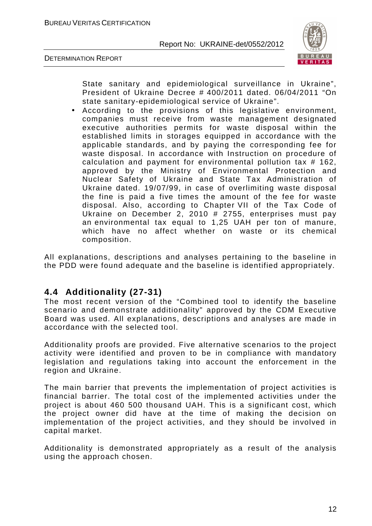

DETERMINATION REPORT

State sanitary and epidemiological surveillance in Ukraine", President of Ukraine Decree # 400/2011 dated. 06/04/2011 "On state sanitary-epidemiological service of Ukraine".

• According to the provisions of this legislative environment, companies must receive from waste management designated executive authorities permits for waste disposal within the established limits in storages equipped in accordance with the applicable standards, and by paying the corresponding fee for waste disposal. In accordance with Instruction on procedure of calculation and payment for environmental pollution tax # 162, approved by the Ministry of Environmental Protection and Nuclear Safety of Ukraine and State Tax Administration of Ukraine dated. 19/07/99, in case of overlimiting waste disposal the fine is paid a five times the amount of the fee for waste disposal. Also, according to Chapter VII of the Tax Code of Ukraine on December 2, 2010 # 2755, enterprises must pay an environmental tax equal to 1,25 UAH per ton of manure, which have no affect whether on waste or its chemical composition.

All explanations, descriptions and analyses pertaining to the baseline in the PDD were found adequate and the baseline is identified appropriately.

# **4.4 Additionality (27-31)**

The most recent version of the "Combined tool to identify the baseline scenario and demonstrate additionality" approved by the CDM Executive Board was used. All explanations, descriptions and analyses are made in accordance with the selected tool.

Additionality proofs are provided. Five alternative scenarios to the project activity were identified and proven to be in compliance with mandatory legislation and regulations taking into account the enforcement in the region and Ukraine.

The main barrier that prevents the implementation of project activities is financial barrier. The total cost of the implemented activities under the project is about 460 500 thousand UAH. This is a significant cost, which the project owner did have at the time of making the decision on implementation of the project activities, and they should be involved in capital market.

Additionality is demonstrated appropriately as a result of the analysis using the approach chosen.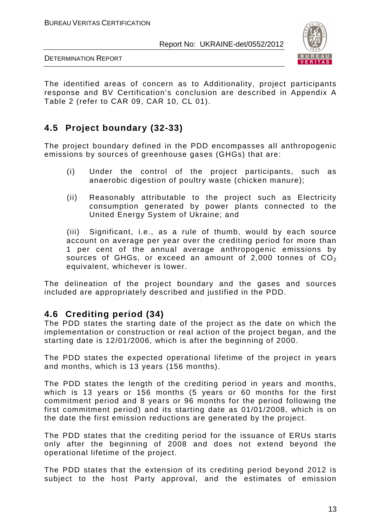

DETERMINATION REPORT

The identified areas of concern as to Additionality, project participants response and BV Certification's conclusion are described in Appendix A Table 2 (refer to CAR 09, CAR 10, CL 01).

# **4.5 Project boundary (32-33)**

The project boundary defined in the PDD encompasses all anthropogenic emissions by sources of greenhouse gases (GHGs) that are:

- (i) Under the control of the project participants, such as anaerobic digestion of poultry waste (chicken manure);
- (ii) Reasonably attributable to the project such as Electricity consumption generated by power plants connected to the United Energy System of Ukraine; and

(iii) Significant, i.e., as a rule of thumb, would by each source account on average per year over the crediting period for more than 1 per cent of the annual average anthropogenic emissions by sources of GHGs, or exceed an amount of 2,000 tonnes of  $CO<sub>2</sub>$ equivalent, whichever is lower.

The delineation of the project boundary and the gases and sources included are appropriately described and justified in the PDD.

## **4.6 Crediting period (34)**

The PDD states the starting date of the project as the date on which the implementation or construction or real action of the project began, and the starting date is 12/01/2006, which is after the beginning of 2000.

The PDD states the expected operational lifetime of the project in years and months, which is 13 years (156 months).

The PDD states the length of the crediting period in years and months, which is 13 years or 156 months (5 years or 60 months for the first commitment period and 8 years or 96 months for the period following the first commitment period) and its starting date as 01/01/2008, which is on the date the first emission reductions are generated by the project.

The PDD states that the crediting period for the issuance of ERUs starts only after the beginning of 2008 and does not extend beyond the operational lifetime of the project.

The PDD states that the extension of its crediting period beyond 2012 is subject to the host Party approval, and the estimates of emission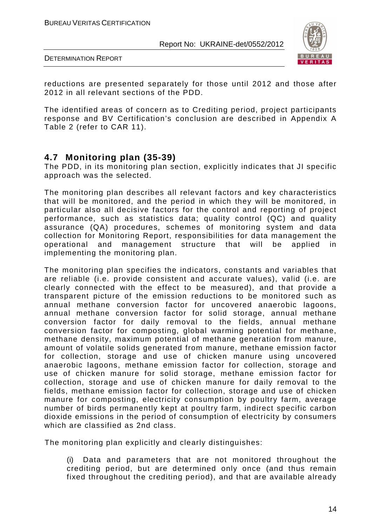

DETERMINATION REPORT

reductions are presented separately for those until 2012 and those after 2012 in all relevant sections of the PDD.

The identified areas of concern as to Crediting period, project participants response and BV Certification's conclusion are described in Appendix A Table 2 (refer to CAR 11).

# **4.7 Monitoring plan (35-39)**

The PDD, in its monitoring plan section, explicitly indicates that JI specific approach was the selected.

The monitoring plan describes all relevant factors and key characteristics that will be monitored, and the period in which they will be monitored, in particular also all decisive factors for the control and reporting of project performance, such as statistics data; quality control (QC) and quality assurance (QA) procedures, schemes of monitoring system and data collection for Monitoring Report, responsibilities for data management the operational and management structure that will be applied in implementing the monitoring plan.

The monitoring plan specifies the indicators, constants and variables that are reliable (i.e. provide consistent and accurate values), valid (i.e. are clearly connected with the effect to be measured), and that provide a transparent picture of the emission reductions to be monitored such as annual methane conversion factor for uncovered anaerobic lagoons, annual methane conversion factor for solid storage, annual methane conversion factor for daily removal to the fields, annual methane conversion factor for composting, global warming potential for methane, methane density, maximum potential of methane generation from manure, amount of volatile solids generated from manure, methane emission factor for collection, storage and use of chicken manure using uncovered anaerobic lagoons, methane emission factor for collection, storage and use of chicken manure for solid storage, methane emission factor for collection, storage and use of chicken manure for daily removal to the fields, methane emission factor for collection, storage and use of chicken manure for composting, electricity consumption by poultry farm, average number of birds permanently kept at poultry farm, indirect specific carbon dioxide emissions in the period of consumption of electricity by consumers which are classified as 2nd class.

The monitoring plan explicitly and clearly distinguishes:

(i) Data and parameters that are not monitored throughout the crediting period, but are determined only once (and thus remain fixed throughout the crediting period), and that are available already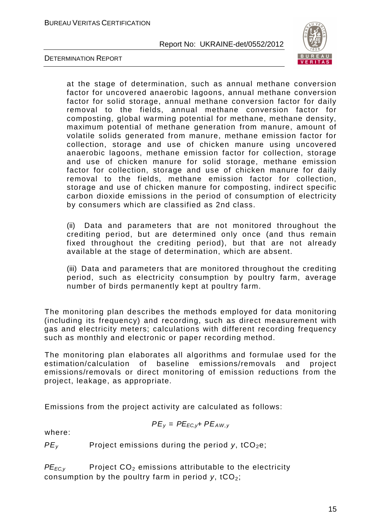

DETERMINATION REPORT

at the stage of determination, such as annual methane conversion factor for uncovered anaerobic lagoons, annual methane conversion factor for solid storage, annual methane conversion factor for daily removal to the fields, annual methane conversion factor for composting, global warming potential for methane, methane density, maximum potential of methane generation from manure, amount of volatile solids generated from manure, methane emission factor for collection, storage and use of chicken manure using uncovered anaerobic lagoons, methane emission factor for collection, storage and use of chicken manure for solid storage, methane emission factor for collection, storage and use of chicken manure for daily removal to the fields, methane emission factor for collection, storage and use of chicken manure for composting, indirect specific carbon dioxide emissions in the period of consumption of electricity by consumers which are classified as 2nd class.

(ii) Data and parameters that are not monitored throughout the crediting period, but are determined only once (and thus remain fixed throughout the crediting period), but that are not already available at the stage of determination, which are absent.

(iii) Data and parameters that are monitored throughout the crediting period, such as electricity consumption by poultry farm, average number of birds permanently kept at poultry farm.

The monitoring plan describes the methods employed for data monitoring (including its frequency) and recording, such as direct measurement with gas and electricity meters; calculations with different recording frequency such as monthly and electronic or paper recording method.

The monitoring plan elaborates all algorithms and formulae used for the estimation/calculation of baseline emissions/removals and project emissions/removals or direct monitoring of emission reductions from the project, leakage, as appropriate.

Emissions from the project activity are calculated as follows:

$$
PE_y = PE_{EC,y} + PE_{AW,y}
$$

where:

 $PE<sub>v</sub>$  Project emissions during the period y, tCO<sub>2</sub>e;

 $PE_{EC,V}$  Project  $CO<sub>2</sub>$  emissions attributable to the electricity consumption by the poultry farm in period  $v$ , tCO<sub>2</sub>;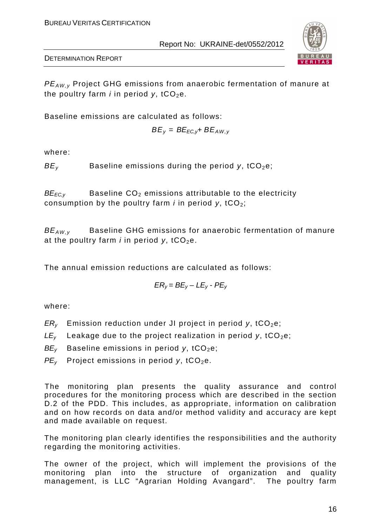

DETERMINATION REPORT

 $PE_{AW,y}$  Project GHG emissions from anaerobic fermentation of manure at the poultry farm *i* in period  $v$ , tCO<sub>2</sub>e.

Baseline emissions are calculated as follows:

$$
BE_y = BE_{EC,y} + BE_{AW,y}
$$

where:

 $BE<sub>v</sub>$  Baseline emissions during the period y, tCO<sub>2</sub>e;

 $BE_{EC,y}$  Baseline  $CO_2$  emissions attributable to the electricity consumption by the poultry farm *i* in period  $y$ , tCO<sub>2</sub>;

 $BE_{AW,y}$  Baseline GHG emissions for anaerobic fermentation of manure at the poultry farm *i* in period  $y$ , tCO<sub>2</sub>e.

The annual emission reductions are calculated as follows:

$$
ER_y = BE_y - LE_y - PE_y
$$

where:

- $ER<sub>v</sub>$  Emission reduction under JI project in period y, tCO<sub>2</sub>e;
- $LE<sub>v</sub>$  Leakage due to the project realization in period y, tCO<sub>2</sub>e;
- $BE<sub>v</sub>$  Baseline emissions in period y, tCO<sub>2</sub>e;
- $PE<sub>v</sub>$  Project emissions in period y, tCO<sub>2</sub>e.

The monitoring plan presents the quality assurance and control procedures for the monitoring process which are described in the section D.2 of the PDD. This includes, as appropriate, information on calibration and on how records on data and/or method validity and accuracy are kept and made available on request.

The monitoring plan clearly identifies the responsibilities and the authority regarding the monitoring activities.

The owner of the project, which will implement the provisions of the monitoring plan into the structure of organization and quality management, is LLC "Agrarian Holding Avangard". The poultry farm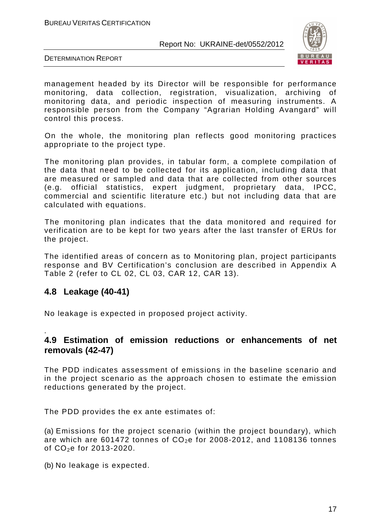

DETERMINATION REPORT

management headed by its Director will be responsible for performance monitoring, data collection, registration, visualization, archiving of monitoring data, and periodic inspection of measuring instruments. A responsible person from the Company "Agrarian Holding Avangard" will control this process.

On the whole, the monitoring plan reflects good monitoring practices appropriate to the project type.

The monitoring plan provides, in tabular form, a complete compilation of the data that need to be collected for its application, including data that are measured or sampled and data that are collected from other sources (e.g. official statistics, expert judgment, proprietary data, IPCC, commercial and scientific literature etc.) but not including data that are calculated with equations.

The monitoring plan indicates that the data monitored and required for verification are to be kept for two years after the last transfer of ERUs for the project.

The identified areas of concern as to Monitoring plan, project participants response and BV Certification's conclusion are described in Appendix A Table 2 (refer to CL 02, CL 03, CAR 12, CAR 13).

## **4.8 Leakage (40-41)**

.

No leakage is expected in proposed project activity.

## **4.9 Estimation of emission reductions or enhancements of net removals (42-47)**

The PDD indicates assessment of emissions in the baseline scenario and in the project scenario as the approach chosen to estimate the emission reductions generated by the project.

The PDD provides the ex ante estimates of:

(a) Emissions for the project scenario (within the project boundary), which are which are 601472 tonnes of  $CO<sub>2</sub>e$  for 2008-2012, and 1108136 tonnes of  $CO_2e$  for 2013-2020.

(b) No leakage is expected.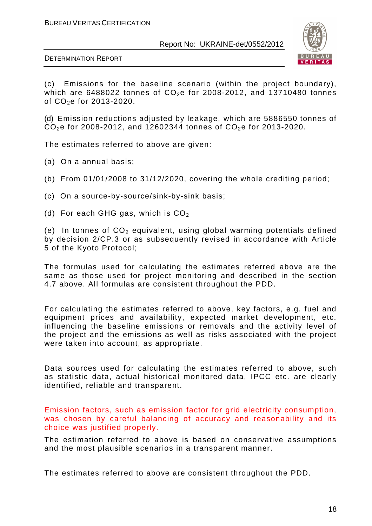

DETERMINATION REPORT

(c) Emissions for the baseline scenario (within the project boundary), which are 6488022 tonnes of  $CO<sub>2</sub>e$  for 2008-2012, and 13710480 tonnes of  $CO<sub>2</sub>e$  for 2013-2020.

(d) Emission reductions adjusted by leakage, which are 5886550 tonnes of  $CO<sub>2</sub>e$  for 2008-2012, and 12602344 tonnes of  $CO<sub>2</sub>e$  for 2013-2020.

The estimates referred to above are given:

- (a) On a annual basis;
- (b) From 01/01/2008 to 31/12/2020, covering the whole crediting period;
- (c) On a source-by-source/sink-by-sink basis;
- (d) For each GHG gas, which is  $CO<sub>2</sub>$

(e) In tonnes of  $CO<sub>2</sub>$  equivalent, using global warming potentials defined by decision 2/CP.3 or as subsequently revised in accordance with Article 5 of the Kyoto Protocol;

The formulas used for calculating the estimates referred above are the same as those used for project monitoring and described in the section 4.7 above. All formulas are consistent throughout the PDD.

For calculating the estimates referred to above, key factors, e.g. fuel and equipment prices and availability, expected market development, etc. influencing the baseline emissions or removals and the activity level of the project and the emissions as well as risks associated with the project were taken into account, as appropriate.

Data sources used for calculating the estimates referred to above, such as statistic data, actual historical monitored data, IPCC etc. are clearly identified, reliable and transparent.

Emission factors, such as emission factor for grid electricity consumption, was chosen by careful balancing of accuracy and reasonability and its choice was justified properly.

The estimation referred to above is based on conservative assumptions and the most plausible scenarios in a transparent manner.

The estimates referred to above are consistent throughout the PDD.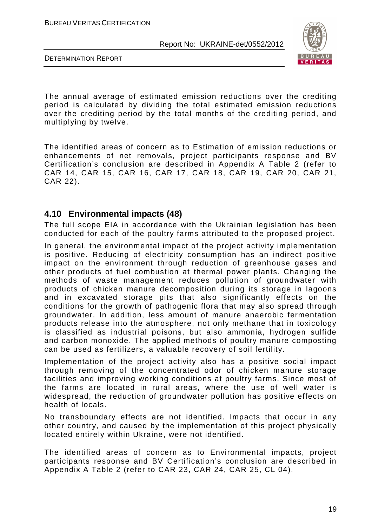

DETERMINATION REPORT

The annual average of estimated emission reductions over the crediting period is calculated by dividing the total estimated emission reductions over the crediting period by the total months of the crediting period, and multiplying by twelve.

The identified areas of concern as to Estimation of emission reductions or enhancements of net removals, project participants response and BV Certification's conclusion are described in Appendix A Table 2 (refer to CAR 14, CAR 15, CAR 16, CAR 17, CAR 18, CAR 19, CAR 20, CAR 21, CAR 22).

## **4.10 Environmental impacts (48)**

The full scope EIA in accordance with the Ukrainian legislation has been conducted for each of the poultry farms attributed to the proposed project.

In general, the environmental impact of the project activity implementation is positive. Reducing of electricity consumption has an indirect positive impact on the environment through reduction of greenhouse gases and other products of fuel combustion at thermal power plants. Changing the methods of waste management reduces pollution of groundwater with products of chicken manure decomposition during its storage in lagoons and in excavated storage pits that also significantly effects on the conditions for the growth of pathogenic flora that may also spread through groundwater. In addition, less amount of manure anaerobic fermentation products release into the atmosphere, not only methane that in toxicology is classified as industrial poisons, but also ammonia, hydrogen sulfide and carbon monoxide. The applied methods of poultry manure composting can be used as fertilizers, a valuable recovery of soil fertility.

Implementation of the project activity also has a positive social impact through removing of the concentrated odor of chicken manure storage facilities and improving working conditions at poultry farms. Since most of the farms are located in rural areas, where the use of well water is widespread, the reduction of groundwater pollution has positive effects on health of locals.

No transboundary effects are not identified. Impacts that occur in any other country, and caused by the implementation of this project physically located entirely within Ukraine, were not identified.

The identified areas of concern as to Environmental impacts, project participants response and BV Certification's conclusion are described in Appendix A Table 2 (refer to CAR 23, CAR 24, CAR 25, CL 04).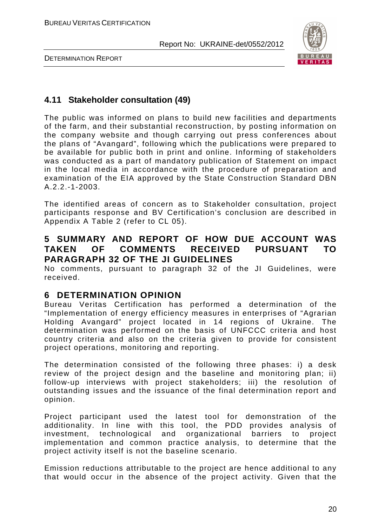

DETERMINATION REPORT

# **4.11 Stakeholder consultation (49)**

The public was informed on plans to build new facilities and departments of the farm, and their substantial reconstruction, by posting information on the company website and though carrying out press conferences about the plans of "Avangard", following which the publications were prepared to be available for public both in print and online. Informing of stakeholders was conducted as a part of mandatory publication of Statement on impact in the local media in accordance with the procedure of preparation and examination of the EIA approved by the State Construction Standard DBN A.2.2.-1-2003.

The identified areas of concern as to Stakeholder consultation, project participants response and BV Certification's conclusion are described in Appendix A Table 2 (refer to CL 05).

# **5 SUMMARY AND REPORT OF HOW DUE ACCOUNT WAS TAKEN OF COMMENTS RECEIVED PURSUANT TO PARAGRAPH 32 OF THE JI GUIDELINES**

No comments, pursuant to paragraph 32 of the JI Guidelines, were received.

# **6 DETERMINATION OPINION**

Bureau Veritas Certification has performed a determination of the "Implementation of energy efficiency measures in enterprises of "Agrarian Holding Avangard" project located in 14 regions of Ukraine. The determination was performed on the basis of UNFCCC criteria and host country criteria and also on the criteria given to provide for consistent project operations, monitoring and reporting.

The determination consisted of the following three phases: i) a desk review of the project design and the baseline and monitoring plan; ii) follow-up interviews with project stakeholders; iii) the resolution of outstanding issues and the issuance of the final determination report and opinion.

Project participant used the latest tool for demonstration of the additionality. In line with this tool, the PDD provides analysis of investment, technological and organizational barriers to project implementation and common practice analysis, to determine that the project activity itself is not the baseline scenario.

Emission reductions attributable to the project are hence additional to any that would occur in the absence of the project activity. Given that the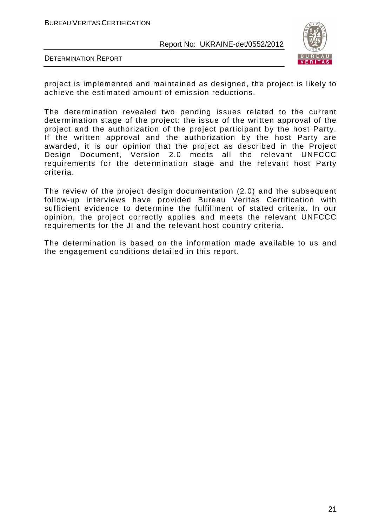

DETERMINATION REPORT

project is implemented and maintained as designed, the project is likely to achieve the estimated amount of emission reductions.

The determination revealed two pending issues related to the current determination stage of the project: the issue of the written approval of the project and the authorization of the project participant by the host Party. If the written approval and the authorization by the host Party are awarded, it is our opinion that the project as described in the Project Design Document, Version 2.0 meets all the relevant UNFCCC requirements for the determination stage and the relevant host Party criteria.

The review of the project design documentation (2.0) and the subsequent follow-up interviews have provided Bureau Veritas Certification with sufficient evidence to determine the fulfillment of stated criteria. In our opinion, the project correctly applies and meets the relevant UNFCCC requirements for the JI and the relevant host country criteria.

The determination is based on the information made available to us and the engagement conditions detailed in this report.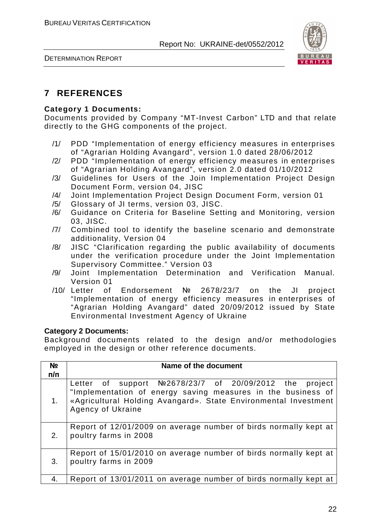



# **7 REFERENCES**

#### **Category 1 Documents:**

Documents provided by Company "MT-Invest Carbon" LTD and that relate directly to the GHG components of the project.

- /1/ PDD "Implementation of energy efficiency measures in enterprises of "Agrarian Holding Avangard", version 1.0 dated 28/06/2012
- /2/ PDD "Implementation of energy efficiency measures in enterprises of "Agrarian Holding Avangard", version 2.0 dated 01/10/2012
- /3/ Guidelines for Users of the Join Implementation Project Design Document Form, version 04, JISC
- /4/ Joint Implementation Project Design Document Form, version 01
- /5/ Glossary of JI terms, version 03, JISC.
- /6/ Guidance on Criteria for Baseline Setting and Monitoring, version 03, JISC.
- /7/ Combined tool to identify the baseline scenario and demonstrate additionality, Version 04
- /8/ JISC "Clarification regarding the public availability of documents under the verification procedure under the Joint Implementation Supervisory Committee." Version 03
- /9/ Joint Implementation Determination and Verification Manual. Version 01
- /10/ Letter of Endorsement № 2678/23/7 on the JI project "Implementation of energy efficiency measures in enterprises of "Agrarian Holding Avangard" dated 20/09/2012 issued by State Environmental Investment Agency of Ukraine

#### **Category 2 Documents:**

Background documents related to the design and/or methodologies employed in the design or other reference documents.

| N <sub>2</sub><br>n/n | Name of the document                                                                                                                                                                                            |
|-----------------------|-----------------------------------------------------------------------------------------------------------------------------------------------------------------------------------------------------------------|
| 1.                    | Letter of support Nº2678/23/7 of 20/09/2012 the project<br>"Implementation of energy saving measures in the business of<br>«Agricultural Holding Avangard». State Environmental Investment<br>Agency of Ukraine |
| 2.                    | Report of 12/01/2009 on average number of birds normally kept at<br>poultry farms in 2008                                                                                                                       |
| 3.                    | Report of 15/01/2010 on average number of birds normally kept at<br>poultry farms in 2009                                                                                                                       |
| 4.                    | Report of 13/01/2011 on average number of birds normally kept at                                                                                                                                                |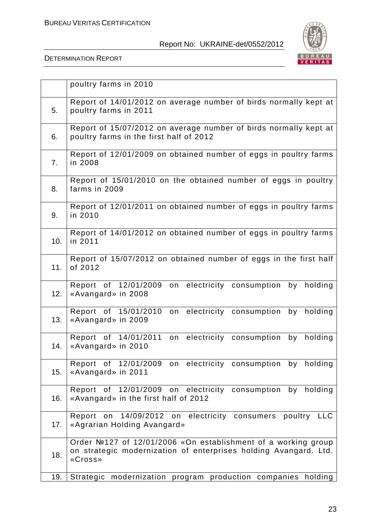

|     | poultry farms in 2010                                                                                                                        |
|-----|----------------------------------------------------------------------------------------------------------------------------------------------|
| 5.  | Report of 14/01/2012 on average number of birds normally kept at<br>poultry farms in 2011                                                    |
| 6.  | Report of 15/07/2012 on average number of birds normally kept at<br>poultry farms in the first half of 2012                                  |
| 7.  | Report of 12/01/2009 on obtained number of eggs in poultry farms<br>in 2008                                                                  |
| 8.  | Report of 15/01/2010 on the obtained number of eggs in poultry<br>farms in 2009                                                              |
| 9.  | Report of 12/01/2011 on obtained number of eggs in poultry farms<br>in 2010                                                                  |
| 10. | Report of 14/01/2012 on obtained number of eggs in poultry farms<br>in 2011                                                                  |
| 11. | Report of 15/07/2012 on obtained number of eggs in the first half<br>of 2012                                                                 |
| 12. | Report of 12/01/2009<br>electricity consumption<br>by<br>holding<br>on<br>«Avangard» in 2008                                                 |
| 13. | Report of 15/01/2010<br>electricity consumption<br>holding<br>by<br>on<br>«Avangard» in 2009                                                 |
| 14. | Report of 14/01/2011<br>electricity consumption<br>holding<br>on<br>by<br>«Avangard» in 2010                                                 |
| 15. | Report of 12/01/2009 on electricity consumption by holding<br>«Avangard» in 2011                                                             |
| 16. | Report of 12/01/2009 on electricity<br>consumption by holding<br>«Avangard» in the first half of 2012                                        |
| 17. | Report on 14/09/2012 on electricity consumers poultry LLC<br>«Agrarian Holding Avangard»                                                     |
| 18. | Order №127 of 12/01/2006 «On establishment of a working group<br>on strategic modernization of enterprises holding Avangard. Ltd.<br>«Cross» |
| 19. | Strategic modernization program production companies holding                                                                                 |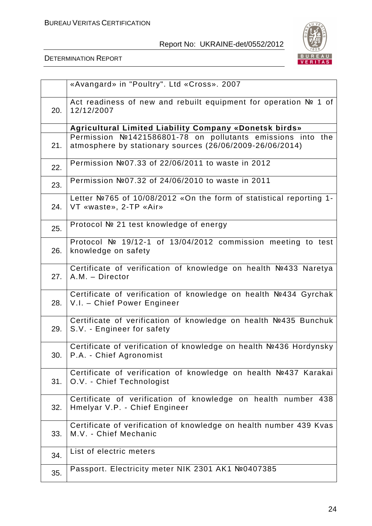

|     | «Avangard» in "Poultry". Ltd «Cross». 2007                                                                             |
|-----|------------------------------------------------------------------------------------------------------------------------|
| 20. | Act readiness of new and rebuilt equipment for operation Nº 1 of<br>12/12/2007                                         |
|     | Agricultural Limited Liability Company «Donetsk birds»                                                                 |
| 21. | Permission №1421586801-78 on pollutants emissions into the<br>atmosphere by stationary sources (26/06/2009-26/06/2014) |
| 22. | Permission №07.33 of 22/06/2011 to waste in 2012                                                                       |
| 23. | Permission №07.32 of 24/06/2010 to waste in 2011                                                                       |
| 24. | Letter Nº765 of 10/08/2012 «On the form of statistical reporting 1-<br>VT «waste», 2-TP «Air»                          |
| 25. | Protocol № 21 test knowledge of energy                                                                                 |
| 26. | Protocol № 19/12-1 of 13/04/2012 commission meeting to test<br>knowledge on safety                                     |
| 27. | Certificate of verification of knowledge on health Nº433 Naretya<br>A.M. - Director                                    |
| 28. | Certificate of verification of knowledge on health №434 Gyrchak<br>V.I. - Chief Power Engineer                         |
| 29. | Certificate of verification of knowledge on health Nº435 Bunchuk<br>S.V. - Engineer for safety                         |
| 30. | Certificate of verification of knowledge on health №436 Hordynsky<br>P.A. - Chief Agronomist                           |
| 31. | Certificate of verification of knowledge on health Nº437 Karakai<br>O.V. - Chief Technologist                          |
| 32. | Certificate of verification of knowledge on health number 438<br>Hmelyar V.P. - Chief Engineer                         |
| 33. | Certificate of verification of knowledge on health number 439 Kvas<br>M.V. - Chief Mechanic                            |
| 34. | List of electric meters                                                                                                |
| 35. | Passport. Electricity meter NIK 2301 AK1 №0407385                                                                      |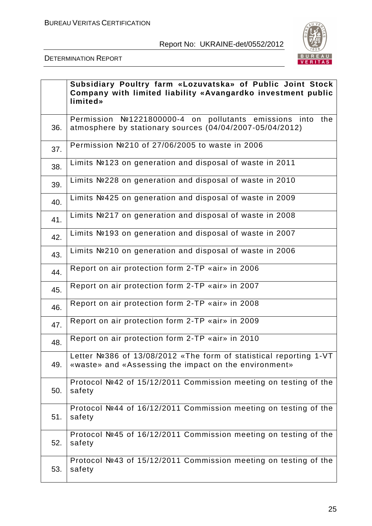

|     | Subsidiary Poultry farm «Lozuvatska» of Public Joint Stock<br>Company with limited liability «Avangardko investment public<br>limited» |
|-----|----------------------------------------------------------------------------------------------------------------------------------------|
| 36. | Permission №1221800000-4 on pollutants emissions into the<br>atmosphere by stationary sources (04/04/2007-05/04/2012)                  |
| 37. | Permission №210 of 27/06/2005 to waste in 2006                                                                                         |
| 38. | Limits №123 on generation and disposal of waste in 2011                                                                                |
| 39. | Limits №228 on generation and disposal of waste in 2010                                                                                |
| 40. | Limits Nº425 on generation and disposal of waste in 2009                                                                               |
| 41. | Limits №217 on generation and disposal of waste in 2008                                                                                |
| 42. | Limits №193 on generation and disposal of waste in 2007                                                                                |
| 43. | Limits №210 on generation and disposal of waste in 2006                                                                                |
| 44. | Report on air protection form 2-TP «air» in 2006                                                                                       |
| 45. | Report on air protection form 2-TP «air» in 2007                                                                                       |
| 46. | Report on air protection form 2-TP «air» in 2008                                                                                       |
| 47. | Report on air protection form 2-TP «air» in 2009                                                                                       |
| 48. | Report on air protection form 2-TP «air» in 2010                                                                                       |
| 49. | .etter Nº386 of 13/08/2012 «The form of statistical reporting 1-VT $\,$<br>«waste» and «Assessing the impact on the environment»       |
| 50. | Protocol №42 of 15/12/2011 Commission meeting on testing of the<br>safety                                                              |
| 51. | Protocol №44 of 16/12/2011 Commission meeting on testing of the<br>safety                                                              |
| 52. | Protocol №45 of 16/12/2011 Commission meeting on testing of the<br>safety                                                              |
| 53. | Protocol №43 of 15/12/2011 Commission meeting on testing of the<br>safety                                                              |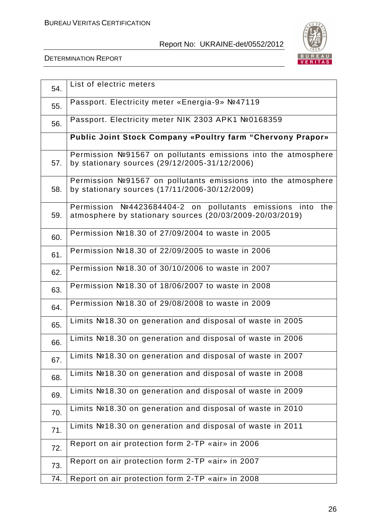

| 54. | List of electric meters                                                                                                |
|-----|------------------------------------------------------------------------------------------------------------------------|
| 55. | Passport. Electricity meter «Energia-9» №47119                                                                         |
| 56. | Passport. Electricity meter NIK 2303 APK1 №0168359                                                                     |
|     | <b>Public Joint Stock Company «Poultry farm "Chervony Prapor»</b>                                                      |
| 57. | Permission №91567 on pollutants emissions into the atmosphere<br>by stationary sources (29/12/2005-31/12/2006)         |
| 58. | Permission №91567 on pollutants emissions into the atmosphere<br>by stationary sources (17/11/2006-30/12/2009)         |
| 59. | Permission Nº4423684404-2 on pollutants emissions into the<br>atmosphere by stationary sources (20/03/2009-20/03/2019) |
| 60. | Permission №18.30 of 27/09/2004 to waste in 2005                                                                       |
| 61. | Permission №18.30 of 22/09/2005 to waste in 2006                                                                       |
| 62. | Permission №18.30 of 30/10/2006 to waste in 2007                                                                       |
| 63. | Permission №18.30 of 18/06/2007 to waste in 2008                                                                       |
| 64. | Permission №18.30 of 29/08/2008 to waste in 2009                                                                       |
| 65. | Limits №18.30 on generation and disposal of waste in 2005                                                              |
| 66. | Limits №18.30 on generation and disposal of waste in 2006                                                              |
| 67. | Limits №18.30 on generation and disposal of waste in 2007                                                              |
| 68. | Limits №18.30 on generation and disposal of waste in 2008                                                              |
| 69. | Limits №18.30 on generation and disposal of waste in 2009                                                              |
| 70. | Limits №18.30 on generation and disposal of waste in 2010                                                              |
| 71. | Limits №18.30 on generation and disposal of waste in 2011                                                              |
| 72. | Report on air protection form 2-TP «air» in 2006                                                                       |
| 73. | Report on air protection form 2-TP «air» in 2007                                                                       |
| 74. | Report on air protection form 2-TP «air» in 2008                                                                       |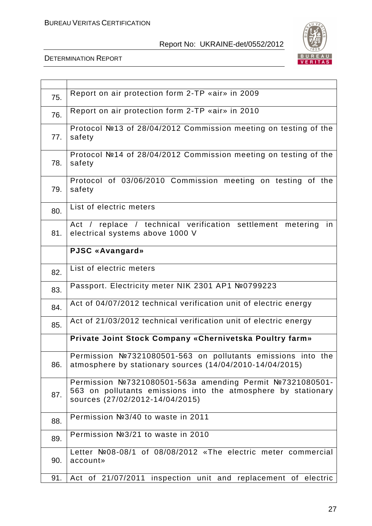

| 75. | Report on air protection form 2-TP «air» in 2009                                                                                                             |
|-----|--------------------------------------------------------------------------------------------------------------------------------------------------------------|
| 76. | Report on air protection form 2-TP «air» in 2010                                                                                                             |
| 77. | Protocol №13 of 28/04/2012 Commission meeting on testing of the<br>safety                                                                                    |
| 78. | Protocol №14 of 28/04/2012 Commission meeting on testing of the<br>safety                                                                                    |
| 79. | Protocol of 03/06/2010 Commission meeting on testing of the<br>safety                                                                                        |
| 80. | List of electric meters                                                                                                                                      |
| 81. | replace / technical verification settlement metering<br>Act /<br>in<br>electrical systems above 1000 V                                                       |
|     | PJSC «Avangard»                                                                                                                                              |
| 82. | List of electric meters                                                                                                                                      |
| 83. | Passport. Electricity meter NIK 2301 AP1 №0799223                                                                                                            |
| 84. | Act of 04/07/2012 technical verification unit of electric energy                                                                                             |
| 85. | Act of 21/03/2012 technical verification unit of electric energy                                                                                             |
|     | Private Joint Stock Company «Chernivetska Poultry farm»                                                                                                      |
| 86. | Permission №7321080501-563 on pollutants emissions into the<br>atmosphere by stationary sources $(14/04/2010-14/04/2015)$                                    |
| 87. | Permission №7321080501-563a amending Permit №7321080501-<br>563 on pollutants emissions into the atmosphere by stationary<br>sources (27/02/2012-14/04/2015) |
| 88. | Permission №3/40 to waste in 2011                                                                                                                            |
| 89. | Permission №3/21 to waste in 2010                                                                                                                            |
| 90. | Letter Nº08-08/1 of 08/08/2012 «The electric meter commercial<br>account»                                                                                    |
| 91. | Act of 21/07/2011 inspection unit and replacement of electric                                                                                                |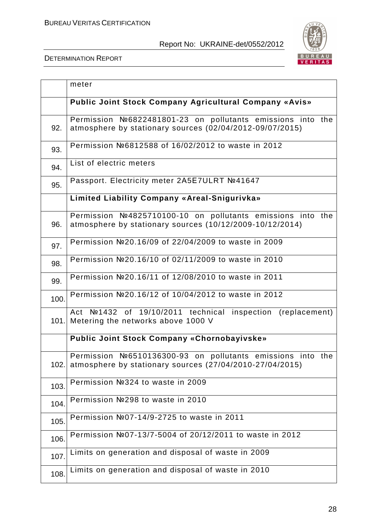

|      | meter                                                                                                                       |
|------|-----------------------------------------------------------------------------------------------------------------------------|
|      | Public Joint Stock Company Agricultural Company «Avis»                                                                      |
| 92.  | Permission №6822481801-23 on pollutants emissions into the<br>atmosphere by stationary sources (02/04/2012-09/07/2015)      |
| 93.  | Permission №6812588 of 16/02/2012 to waste in 2012                                                                          |
| 94.  | List of electric meters                                                                                                     |
| 95.  | Passport. Electricity meter 2A5E7ULRT №41647                                                                                |
|      | Limited Liability Company «Areal-Snigurivka»                                                                                |
| 96.  | Permission №4825710100-10 on pollutants emissions into the<br>atmosphere by stationary sources (10/12/2009-10/12/2014)      |
| 97.  | Permission №20.16/09 of 22/04/2009 to waste in 2009                                                                         |
| 98.  | Permission №20.16/10 of 02/11/2009 to waste in 2010                                                                         |
| 99.  | Permission №20.16/11 of 12/08/2010 to waste in 2011                                                                         |
| 100. | Permission №20.16/12 of 10/04/2012 to waste in 2012                                                                         |
|      | №1432 of 19/10/2011 technical inspection (replacement)<br>Act<br>101. Metering the networks above 1000 V                    |
|      | <b>Public Joint Stock Company «Chornobayivske»</b>                                                                          |
|      | Permission №6510136300-93 on pollutants emissions into the<br>102. atmosphere by stationary sources (27/04/2010-27/04/2015) |
| 103. | Permission №324 to waste in 2009                                                                                            |
| 104. | Permission №298 to waste in 2010                                                                                            |
| 105. | Permission №07-14/9-2725 to waste in 2011                                                                                   |
| 106. | Permission №07-13/7-5004 of 20/12/2011 to waste in 2012                                                                     |
| 107. | Limits on generation and disposal of waste in 2009                                                                          |
| 108. | Limits on generation and disposal of waste in 2010                                                                          |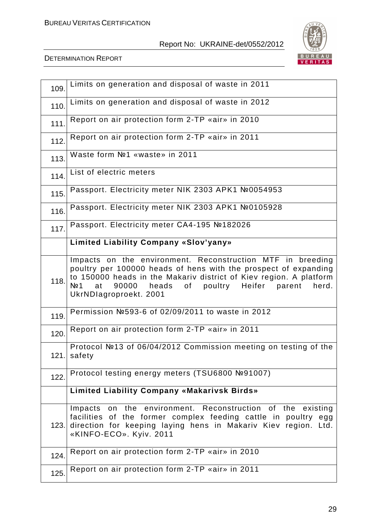

| 109. | Limits on generation and disposal of waste in 2011                                                                                                                                                                                                                                              |
|------|-------------------------------------------------------------------------------------------------------------------------------------------------------------------------------------------------------------------------------------------------------------------------------------------------|
| 110. | Limits on generation and disposal of waste in 2012                                                                                                                                                                                                                                              |
| 111. | Report on air protection form 2-TP «air» in 2010                                                                                                                                                                                                                                                |
| 112. | Report on air protection form 2-TP «air» in 2011                                                                                                                                                                                                                                                |
| 113. | Waste form Nº1 «waste» in 2011                                                                                                                                                                                                                                                                  |
| 114. | List of electric meters                                                                                                                                                                                                                                                                         |
| 115. | Passport. Electricity meter NIK 2303 APK1 №0054953                                                                                                                                                                                                                                              |
| 116. | Passport. Electricity meter NIK 2303 APK1 №0105928                                                                                                                                                                                                                                              |
| 117. | Passport. Electricity meter CA4-195 №182026                                                                                                                                                                                                                                                     |
|      | <b>Limited Liability Company «Slov'yany»</b>                                                                                                                                                                                                                                                    |
| 118. | Impacts on the environment. Reconstruction MTF in breeding<br>poultry per 100000 heads of hens with the prospect of expanding<br>to 150000 heads in the Makariv district of Kiev region. A platform<br>Nº 1<br>90000 heads of poultry Heifer<br>at<br>parent<br>herd.<br>UkrNDlagroproekt. 2001 |
| 119. | Permission №593-6 of 02/09/2011 to waste in 2012                                                                                                                                                                                                                                                |
| 120. | Report on air protection form 2-TP «air» in 2011                                                                                                                                                                                                                                                |
| 121. | Protocol №13 of 06/04/2012 Commission meeting on testing of the<br>safety                                                                                                                                                                                                                       |
| 122. | Protocol testing energy meters (TSU6800 №91007)                                                                                                                                                                                                                                                 |
|      | <b>Limited Liability Company «Makarivsk Birds»</b>                                                                                                                                                                                                                                              |
|      | Impacts on the environment. Reconstruction of the existing<br>facilities of the former complex feeding cattle in poultry egg<br>123. direction for keeping laying hens in Makariv Kiev region. Ltd.<br>«KINFO-ECO». Kyiv. 2011                                                                  |
| 124. | Report on air protection form 2-TP «air» in 2010                                                                                                                                                                                                                                                |
| 125. | Report on air protection form 2-TP «air» in 2011                                                                                                                                                                                                                                                |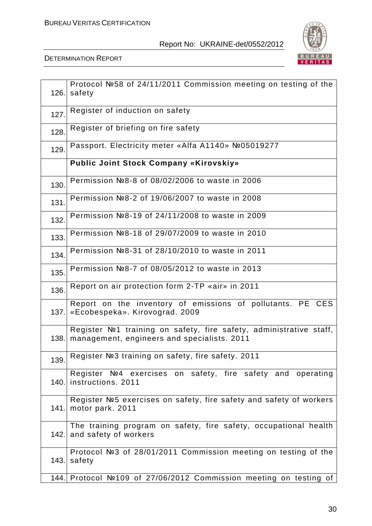

| 126. | Protocol №58 of 24/11/2011 Commission meeting on testing of the<br>safety                                          |
|------|--------------------------------------------------------------------------------------------------------------------|
| 127. | Register of induction on safety                                                                                    |
| 128. | Register of briefing on fire safety                                                                                |
| 129. | Passport. Electricity meter «Alfa A1140» №05019277                                                                 |
|      | <b>Public Joint Stock Company «Kirovskiy»</b>                                                                      |
| 130. | Permission №8-8 of 08/02/2006 to waste in 2006                                                                     |
| 131. | Permission №8-2 of 19/06/2007 to waste in 2008                                                                     |
| 132. | Permission №8-19 of 24/11/2008 to waste in 2009                                                                    |
| 133. | Permission №8-18 of 29/07/2009 to waste in 2010                                                                    |
| 134. | Permission №8-31 of 28/10/2010 to waste in 2011                                                                    |
| 135. | Permission №8-7 of 08/05/2012 to waste in 2013                                                                     |
| 136. | Report on air protection form 2-TP «air» in 2011                                                                   |
| 137. | Report on the inventory of emissions of pollutants. PE CES<br>«Ecobespeka». Kirovograd. 2009                       |
| 138. | Register Nº1 training on safety, fire safety, administrative staff,<br>management, engineers and specialists. 2011 |
|      | 139. Register No3 training on safety, fire safety. 2011                                                            |
|      | Register Nº4 exercises on safety, fire safety and operating<br>140. instructions. 2011                             |
|      | Register №5 exercises on safety, fire safety and safety of workers<br>141. motor park. 2011                        |
|      | The training program on safety, fire safety, occupational health<br>142. and safety of workers                     |
| 143. | Protocol №3 of 28/01/2011 Commission meeting on testing of the<br>safety                                           |
|      | 144. Protocol Nº109 of 27/06/2012 Commission meeting on testing of                                                 |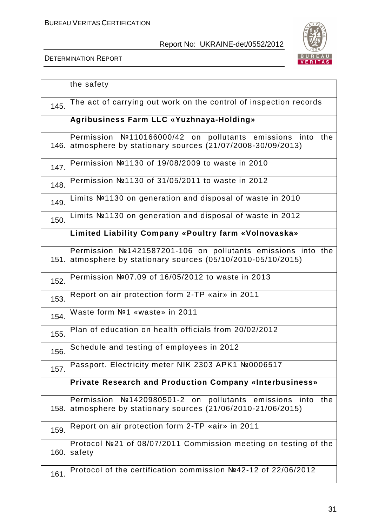

|       | the safety                                                                                                                   |
|-------|------------------------------------------------------------------------------------------------------------------------------|
| 145.  | The act of carrying out work on the control of inspection records                                                            |
|       | Agribusiness Farm LLC «Yuzhnaya-Holding»                                                                                     |
| 146.I | Permission №110166000/42 on pollutants emissions into the<br>atmosphere by stationary sources (21/07/2008-30/09/2013)        |
| 147.  | Permission №1130 of 19/08/2009 to waste in 2010                                                                              |
| 148.  | Permission №1130 of 31/05/2011 to waste in 2012                                                                              |
| 149.  | Limits Nº1130 on generation and disposal of waste in 2010                                                                    |
| 150.  | Limits Nº1130 on generation and disposal of waste in 2012                                                                    |
|       | Limited Liability Company «Poultry farm «Volnovaska»                                                                         |
|       | Permission №1421587201-106 on pollutants emissions into the<br>151. atmosphere by stationary sources (05/10/2010-05/10/2015) |
| 152.  | Permission №07.09 of 16/05/2012 to waste in 2013                                                                             |
| 153.  | Report on air protection form 2-TP «air» in 2011                                                                             |
| 154.  | Waste form Nº1 «waste» in 2011                                                                                               |
| 155.  | Plan of education on health officials from 20/02/2012                                                                        |
| 156.  | Schedule and testing of employees in 2012                                                                                    |
| 157.  | Passport. Electricity meter NIK 2303 APK1 №0006517                                                                           |
|       | <b>Private Research and Production Company «Interbusiness»</b>                                                               |
| 158.  | Permission №1420980501-2 on<br>pollutants emissions<br>into the<br>atmosphere by stationary sources (21/06/2010-21/06/2015)  |
| 159.  | Report on air protection form 2-TP «air» in 2011                                                                             |
| 160.  | Protocol №21 of 08/07/2011 Commission meeting on testing of the<br>safety                                                    |
| 161.  | Protocol of the certification commission №42-12 of 22/06/2012                                                                |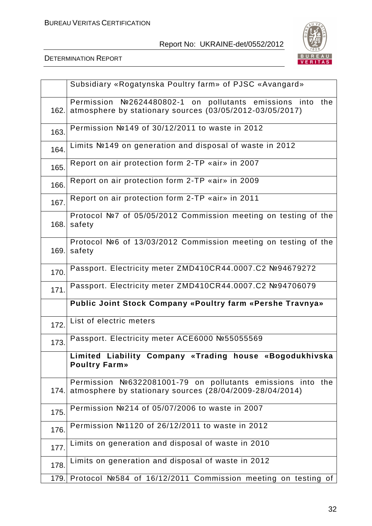

|      | Subsidiary «Rogatynska Poultry farm» of PJSC «Avangard»                                                                |
|------|------------------------------------------------------------------------------------------------------------------------|
| 162. | Permission №2624480802-1 on pollutants emissions into the<br>atmosphere by stationary sources (03/05/2012-03/05/2017)  |
| 163. | Permission №149 of 30/12/2011 to waste in 2012                                                                         |
| 164. | Limits №149 on generation and disposal of waste in 2012                                                                |
| 165. | Report on air protection form 2-TP «air» in 2007                                                                       |
| 166. | Report on air protection form 2-TP «air» in 2009                                                                       |
| 167. | Report on air protection form 2-TP «air» in 2011                                                                       |
| 168. | Protocol №7 of 05/05/2012 Commission meeting on testing of the<br>safety                                               |
| 169. | Protocol №6 of 13/03/2012 Commission meeting on testing of the<br>safety                                               |
| 170. | Passport. Electricity meter ZMD410CR44.0007.C2 №94679272                                                               |
| 171. | Passport. Electricity meter ZMD410CR44.0007.C2 №94706079                                                               |
|      | Public Joint Stock Company «Poultry farm «Pershe Travnya»                                                              |
| 172. | List of electric meters                                                                                                |
| 173. | Passport. Electricity meter ACE6000 №55055569                                                                          |
|      | Limited Liability Company «Trading house «Bogodukhivska<br><b>Poultry Farm»</b>                                        |
| 174. | Permission №6322081001-79 on pollutants emissions into the<br>atmosphere by stationary sources (28/04/2009-28/04/2014) |
| 175. | Permission №214 of 05/07/2006 to waste in 2007                                                                         |
| 176. | Permission №1120 of 26/12/2011 to waste in 2012                                                                        |
| 177. | Limits on generation and disposal of waste in 2010                                                                     |
| 178. | Limits on generation and disposal of waste in 2012                                                                     |
|      | 179. Protocol №584 of 16/12/2011 Commission meeting on testing of                                                      |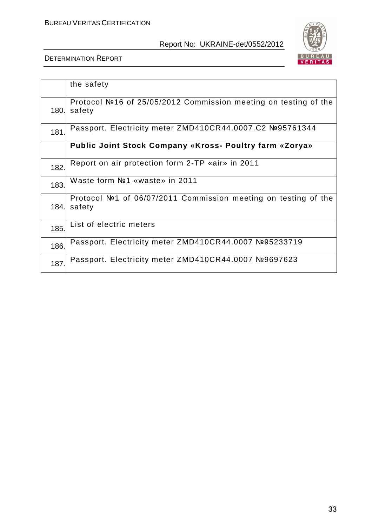

|      | the safety                                                                |
|------|---------------------------------------------------------------------------|
| 180. | Protocol №16 of 25/05/2012 Commission meeting on testing of the<br>safety |
| 181. | Passport. Electricity meter ZMD410CR44.0007.C2 №95761344                  |
|      | Public Joint Stock Company «Kross- Poultry farm «Zorya»                   |
| 182. | Report on air protection form 2-TP «air» in 2011                          |
| 183. | Waste form Nº1 «waste» in 2011                                            |
| 184. | Protocol №1 of 06/07/2011 Commission meeting on testing of the<br>safety  |
| 185. | List of electric meters                                                   |
| 186. | Passport. Electricity meter ZMD410CR44.0007 №95233719                     |
| 187. | Passport. Electricity meter ZMD410CR44.0007 №9697623                      |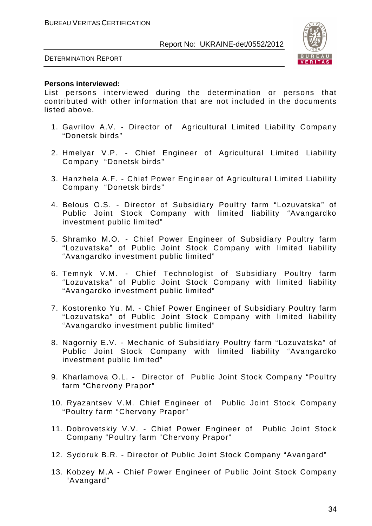

DETERMINATION REPORT

#### **Persons interviewed:**

List persons interviewed during the determination or persons that contributed with other information that are not included in the documents listed above.

- 1. Gavrilov A.V. Director of Agricultural Limited Liability Company "Donetsk birds"
- 2. Hmelyar V.P. Chief Engineer of Agricultural Limited Liability Company "Donetsk birds"
- 3. Hanzhela A.F. Chief Power Engineer of Agricultural Limited Liability Company "Donetsk birds"
- 4. Belous O.S. Director of Subsidiary Poultry farm "Lozuvatska" of Public Joint Stock Company with limited liability "Avangardko investment public limited"
- 5. Shramko M.O. Chief Power Engineer of Subsidiary Poultry farm "Lozuvatska" of Public Joint Stock Company with limited liability "Avangardko investment public limited"
- 6. Temnyk V.M. Chief Technologist of Subsidiary Poultry farm "Lozuvatska" of Public Joint Stock Company with limited liability "Avangardko investment public limited"
- 7. Kostorenko Yu. M. Chief Power Engineer of Subsidiary Poultry farm "Lozuvatska" of Public Joint Stock Company with limited liability "Avangardko investment public limited"
- 8. Nagorniy E.V. Mechanic of Subsidiary Poultry farm "Lozuvatska" of Public Joint Stock Company with limited liability "Avangardko investment public limited"
- 9. Kharlamova O.L. Director of Public Joint Stock Company "Poultry farm "Chervony Prapor"
- 10. Ryazantsev V.M. Chief Engineer of Public Joint Stock Company "Poultry farm "Chervony Prapor"
- 11. Dobrovetskiy V.V. Chief Power Engineer of Public Joint Stock Company "Poultry farm "Chervony Prapor"
- 12. Sydoruk B.R. Director of Public Joint Stock Company "Avangard"
- 13. Kobzey M.A Chief Power Engineer of Public Joint Stock Company "Avangard"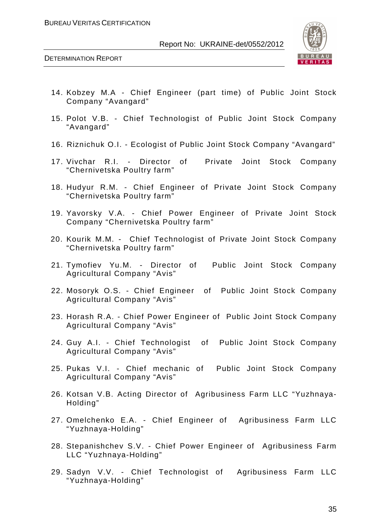

- 14. Kobzey M.A Chief Engineer (part time) of Public Joint Stock Company "Avangard"
- 15. Polot V.B. Chief Technologist of Public Joint Stock Company "Avangard"
- 16. Riznichuk O.I. Ecologist of Public Joint Stock Company "Avangard"
- 17. Vivchar R.I. Director of Private Joint Stock Company "Chernivetska Poultry farm"
- 18. Hudyur R.M. Chief Engineer of Private Joint Stock Company "Chernivetska Poultry farm"
- 19. Yavorsky V.A. Chief Power Engineer of Private Joint Stock Company "Chernivetska Poultry farm"
- 20. Kourik M.M. Chief Technologist of Private Joint Stock Company "Chernivetska Poultry farm"
- 21. Tymofiev Yu.M. Director of Public Joint Stock Company Agricultural Company "Avis"
- 22. Mosoryk O.S. Chief Engineer of Public Joint Stock Company Agricultural Company "Avis"
- 23. Horash R.A. Chief Power Engineer of Public Joint Stock Company Agricultural Company "Avis"
- 24. Guy A.I. Chief Technologist of Public Joint Stock Company Agricultural Company "Avis"
- 25. Pukas V.I. Chief mechanic of Public Joint Stock Company Agricultural Company "Avis"
- 26. Kotsan V.B. Acting Director of Agribusiness Farm LLC "Yuzhnaya-Holding"
- 27. Omelchenko E.A. Chief Engineer of Agribusiness Farm LLC "Yuzhnaya-Holding"
- 28. Stepanishchev S.V. Chief Power Engineer of Agribusiness Farm LLC "Yuzhnaya-Holding"
- 29. Sadyn V.V. Chief Technologist of Agribusiness Farm LLC "Yuzhnaya-Holding"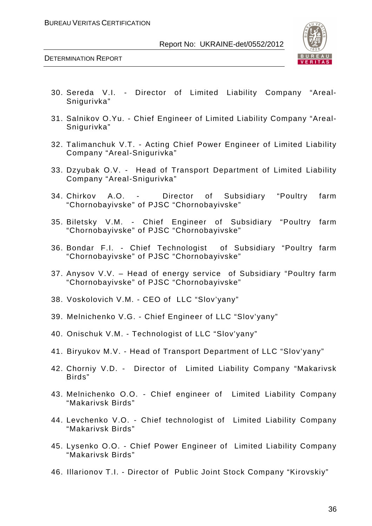



- 30. Sereda V.I. Director of Limited Liability Company "Areal-Snigurivka"
- 31. Salnikov O.Yu. Chief Engineer of Limited Liability Company "Areal-Snigurivka"
- 32. Talimanchuk V.T. Acting Chief Power Engineer of Limited Liability Company "Areal-Snigurivka"
- 33. Dzyubak O.V. Head of Transport Department of Limited Liability Company "Areal-Snigurivka"
- 34. Chirkov A.O. Director of Subsidiary "Poultry farm "Chornobayivske" of PJSC "Chornobayivske"
- 35. Biletsky V.M. Chief Engineer of Subsidiary "Poultry farm "Chornobayivske" of PJSC "Chornobayivske"
- 36. Bondar F.I. Chief Technologist of Subsidiary "Poultry farm "Chornobayivske" of PJSC "Chornobayivske"
- 37. Anysov V.V. Head of energy service of Subsidiary "Poultry farm "Chornobayivske" of PJSC "Chornobayivske"
- 38. Voskolovich V.M. CEO of LLC "Slov'yany"
- 39. Melnichenko V.G. Chief Engineer of LLC "Slov'yany"
- 40. Onischuk V.M. Technologist of LLC "Slov'yany"
- 41. Biryukov M.V. Head of Transport Department of LLC "Slov'yany"
- 42. Chorniy V.D. Director of Limited Liability Company "Makarivsk Birds"
- 43. Melnichenko O.O. Chief engineer of Limited Liability Company "Makarivsk Birds"
- 44. Levchenko V.O. Chief technologist of Limited Liability Company "Makarivsk Birds"
- 45. Lysenko O.O. Chief Power Engineer of Limited Liability Company "Makarivsk Birds"
- 46. Illarionov T.I. Director of Public Joint Stock Company "Kirovskiy"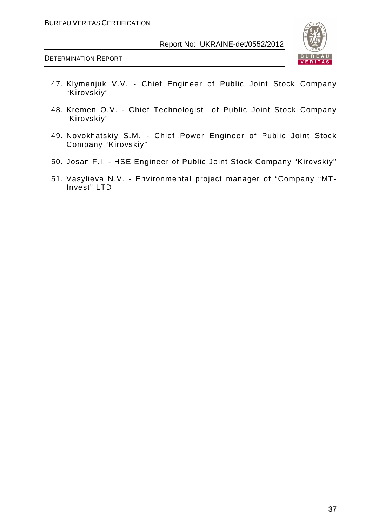

- 47. Klymenjuk V.V. Chief Engineer of Public Joint Stock Company "Kirovskiy"
- 48. Kremen O.V. Chief Technologist of Public Joint Stock Company "Kirovskiy"
- 49. Novokhatskiy S.M. Chief Power Engineer of Public Joint Stock Company "Kirovskiy"
- 50. Josan F.I. HSE Engineer of Public Joint Stock Company "Kirovskiy"
- 51. Vasylieva N.V. Environmental project manager of "Company "MT-Invest" LTD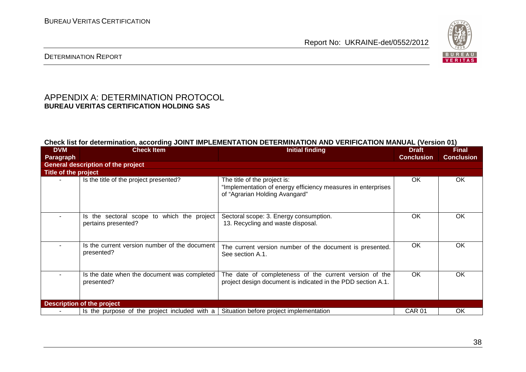

#### DETERMINATION REPORT

# APPENDIX A: DETERMINATION PROTOCOL **BUREAU VERITAS CERTIFICATION HOLDING SAS**

#### **Check list for determination, according JOINT IMPLEMENTATION DETERMINATION AND VERIFICATION MANUAL (Version 01)**

| <b>DVM</b>           | <b>Check Item</b>                                                 | <b>Initial finding</b>                                                                                                         | <b>Draft</b>      | <b>Final</b>      |
|----------------------|-------------------------------------------------------------------|--------------------------------------------------------------------------------------------------------------------------------|-------------------|-------------------|
| <b>Paragraph</b>     |                                                                   |                                                                                                                                | <b>Conclusion</b> | <b>Conclusion</b> |
|                      | <b>General description of the project</b>                         |                                                                                                                                |                   |                   |
| Title of the project |                                                                   |                                                                                                                                |                   |                   |
|                      | Is the title of the project presented?                            | The title of the project is:<br>"Implementation of energy efficiency measures in enterprises<br>of "Agrarian Holding Avangard" | OK                | OK                |
|                      | Is the sectoral scope to which the project<br>pertains presented? | Sectoral scope: 3. Energy consumption.<br>13. Recycling and waste disposal.                                                    | <b>OK</b>         | <b>OK</b>         |
|                      | Is the current version number of the document<br>presented?       | The current version number of the document is presented.<br>See section A.1.                                                   | <b>OK</b>         | <b>OK</b>         |
| ٠.                   | Is the date when the document was completed<br>presented?         | The date of completeness of the current version of the<br>project design document is indicated in the PDD section A.1.         | OK                | <b>OK</b>         |
|                      | <b>Description of the project</b>                                 |                                                                                                                                |                   |                   |
|                      | Is the purpose of the project included with a                     | Situation before project implementation                                                                                        | <b>CAR 01</b>     | <b>OK</b>         |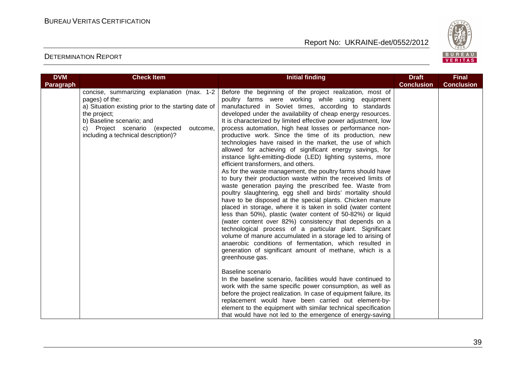

| <b>DVM</b> | <b>Check Item</b>                                                                                                                                                                                                                                    | <b>Initial finding</b>                                                                                                                                                                                                                                                                                                                                                                                                                                                                                                                                                                                                                                                                                                                                                                                                                                                                                                                                                                                                                                                                                                                                                                                                                                                                                                                                                                                                                                                                                                                                                                                                                                                                                                                                                                                                                                | <b>Draft</b>      | <b>Final</b>      |
|------------|------------------------------------------------------------------------------------------------------------------------------------------------------------------------------------------------------------------------------------------------------|-------------------------------------------------------------------------------------------------------------------------------------------------------------------------------------------------------------------------------------------------------------------------------------------------------------------------------------------------------------------------------------------------------------------------------------------------------------------------------------------------------------------------------------------------------------------------------------------------------------------------------------------------------------------------------------------------------------------------------------------------------------------------------------------------------------------------------------------------------------------------------------------------------------------------------------------------------------------------------------------------------------------------------------------------------------------------------------------------------------------------------------------------------------------------------------------------------------------------------------------------------------------------------------------------------------------------------------------------------------------------------------------------------------------------------------------------------------------------------------------------------------------------------------------------------------------------------------------------------------------------------------------------------------------------------------------------------------------------------------------------------------------------------------------------------------------------------------------------------|-------------------|-------------------|
| Paragraph  |                                                                                                                                                                                                                                                      |                                                                                                                                                                                                                                                                                                                                                                                                                                                                                                                                                                                                                                                                                                                                                                                                                                                                                                                                                                                                                                                                                                                                                                                                                                                                                                                                                                                                                                                                                                                                                                                                                                                                                                                                                                                                                                                       | <b>Conclusion</b> | <b>Conclusion</b> |
|            | concise, summarizing explanation (max. 1-2<br>pages) of the:<br>a) Situation existing prior to the starting date of<br>the project;<br>b) Baseline scenario; and<br>c) Project scenario (expected<br>outcome,<br>including a technical description)? | Before the beginning of the project realization, most of<br>poultry farms were working while using equipment<br>manufactured in Soviet times, according to standards<br>developed under the availability of cheap energy resources.<br>It is characterized by limited effective power adjustment, low<br>process automation, high heat losses or performance non-<br>productive work. Since the time of its production, new<br>technologies have raised in the market, the use of which<br>allowed for achieving of significant energy savings, for<br>instance light-emitting-diode (LED) lighting systems, more<br>efficient transformers, and others.<br>As for the waste management, the poultry farms should have<br>to bury their production waste within the received limits of<br>waste generation paying the prescribed fee. Waste from<br>poultry slaughtering, egg shell and birds' mortality should<br>have to be disposed at the special plants. Chicken manure<br>placed in storage, where it is taken in solid (water content<br>less than 50%), plastic (water content of 50-82%) or liquid<br>(water content over 82%) consistency that depends on a<br>technological process of a particular plant. Significant<br>volume of manure accumulated in a storage led to arising of<br>anaerobic conditions of fermentation, which resulted in<br>generation of significant amount of methane, which is a<br>greenhouse gas.<br>Baseline scenario<br>In the baseline scenario, facilities would have continued to<br>work with the same specific power consumption, as well as<br>before the project realization. In case of equipment failure, its<br>replacement would have been carried out element-by-<br>element to the equipment with similar technical specification<br>that would have not led to the emergence of energy-saving |                   |                   |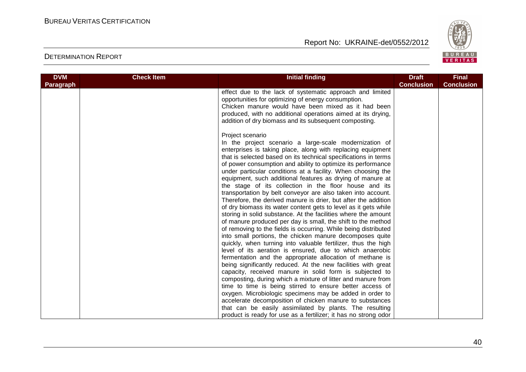

| <b>DVM</b> | <b>Check Item</b> | <b>Initial finding</b>                                                                                                                                                                                                                                                                                                                                                                                                                                                                                                                                                                                                                                                                                                                                                                                                                                                                                                                                                                                                                                                                                                                                                                                                                                                                                                                                                                                                                                                                                                                                                                                                                             | <b>Draft</b>      | <b>Final</b>      |
|------------|-------------------|----------------------------------------------------------------------------------------------------------------------------------------------------------------------------------------------------------------------------------------------------------------------------------------------------------------------------------------------------------------------------------------------------------------------------------------------------------------------------------------------------------------------------------------------------------------------------------------------------------------------------------------------------------------------------------------------------------------------------------------------------------------------------------------------------------------------------------------------------------------------------------------------------------------------------------------------------------------------------------------------------------------------------------------------------------------------------------------------------------------------------------------------------------------------------------------------------------------------------------------------------------------------------------------------------------------------------------------------------------------------------------------------------------------------------------------------------------------------------------------------------------------------------------------------------------------------------------------------------------------------------------------------------|-------------------|-------------------|
| Paragraph  |                   |                                                                                                                                                                                                                                                                                                                                                                                                                                                                                                                                                                                                                                                                                                                                                                                                                                                                                                                                                                                                                                                                                                                                                                                                                                                                                                                                                                                                                                                                                                                                                                                                                                                    | <b>Conclusion</b> | <b>Conclusion</b> |
|            |                   | effect due to the lack of systematic approach and limited<br>opportunities for optimizing of energy consumption.<br>Chicken manure would have been mixed as it had been<br>produced, with no additional operations aimed at its drying,<br>addition of dry biomass and its subsequent composting.                                                                                                                                                                                                                                                                                                                                                                                                                                                                                                                                                                                                                                                                                                                                                                                                                                                                                                                                                                                                                                                                                                                                                                                                                                                                                                                                                  |                   |                   |
|            |                   | Project scenario<br>In the project scenario a large-scale modernization of<br>enterprises is taking place, along with replacing equipment<br>that is selected based on its technical specifications in terms<br>of power consumption and ability to optimize its performance<br>under particular conditions at a facility. When choosing the<br>equipment, such additional features as drying of manure at<br>the stage of its collection in the floor house and its<br>transportation by belt conveyor are also taken into account.<br>Therefore, the derived manure is drier, but after the addition<br>of dry biomass its water content gets to level as it gets while<br>storing in solid substance. At the facilities where the amount<br>of manure produced per day is small, the shift to the method<br>of removing to the fields is occurring. While being distributed<br>into small portions, the chicken manure decomposes quite<br>quickly, when turning into valuable fertilizer, thus the high<br>level of its aeration is ensured, due to which anaerobic<br>fermentation and the appropriate allocation of methane is<br>being significantly reduced. At the new facilities with great<br>capacity, received manure in solid form is subjected to<br>composting, during which a mixture of litter and manure from<br>time to time is being stirred to ensure better access of<br>oxygen. Microbiologic specimens may be added in order to<br>accelerate decomposition of chicken manure to substances<br>that can be easily assimilated by plants. The resulting<br>product is ready for use as a fertilizer; it has no strong odor |                   |                   |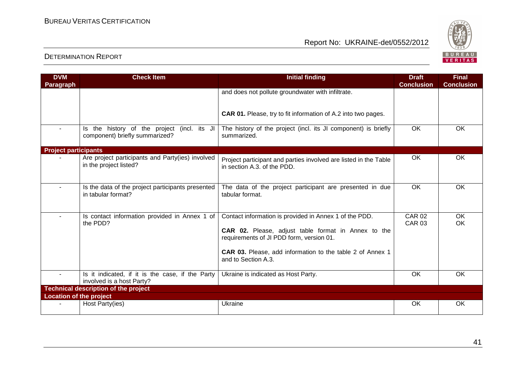

| <b>DVM</b>                     | <b>Check Item</b>                                                             | <b>Initial finding</b>                                                                                                                                                                                                                        | <b>Draft</b>                   | <b>Final</b>      |
|--------------------------------|-------------------------------------------------------------------------------|-----------------------------------------------------------------------------------------------------------------------------------------------------------------------------------------------------------------------------------------------|--------------------------------|-------------------|
| Paragraph                      |                                                                               |                                                                                                                                                                                                                                               | <b>Conclusion</b>              | <b>Conclusion</b> |
|                                |                                                                               | and does not pollute groundwater with infiltrate.                                                                                                                                                                                             |                                |                   |
|                                |                                                                               | <b>CAR 01.</b> Please, try to fit information of A.2 into two pages.                                                                                                                                                                          |                                |                   |
|                                | Is the history of the project (incl. its JI<br>component) briefly summarized? | The history of the project (incl. its JI component) is briefly<br>summarized.                                                                                                                                                                 | <b>OK</b>                      | <b>OK</b>         |
| <b>Project participants</b>    |                                                                               |                                                                                                                                                                                                                                               |                                |                   |
|                                | Are project participants and Party(ies) involved<br>in the project listed?    | Project participant and parties involved are listed in the Table<br>in section A.3. of the PDD.                                                                                                                                               | OK                             | OK                |
| $\blacksquare$                 | Is the data of the project participants presented<br>in tabular format?       | The data of the project participant are presented in due<br>tabular format.                                                                                                                                                                   | <b>OK</b>                      | OK                |
| ÷                              | Is contact information provided in Annex 1 of<br>the PDD?                     | Contact information is provided in Annex 1 of the PDD.<br>CAR 02. Please, adjust table format in Annex to the<br>requirements of JI PDD form, version 01.<br>CAR 03. Please, add information to the table 2 of Annex 1<br>and to Section A.3. | <b>CAR 02</b><br><b>CAR 03</b> | OK<br><b>OK</b>   |
| $\sim$                         | Is it indicated, if it is the case, if the Party<br>involved is a host Party? | Ukraine is indicated as Host Party.                                                                                                                                                                                                           | <b>OK</b>                      | <b>OK</b>         |
|                                | <b>Technical description of the project</b>                                   |                                                                                                                                                                                                                                               |                                |                   |
| <b>Location of the project</b> |                                                                               |                                                                                                                                                                                                                                               |                                |                   |
|                                | Host Party(ies)                                                               | Ukraine                                                                                                                                                                                                                                       | OK                             | <b>OK</b>         |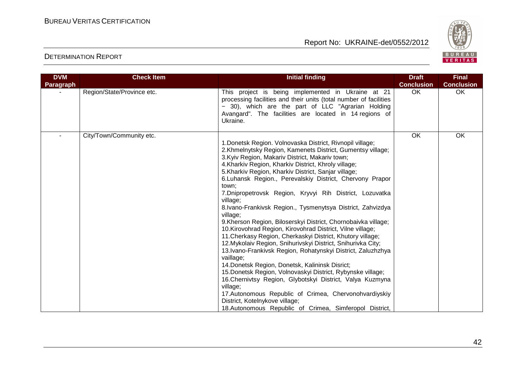

| <b>DVM</b> | <b>Check Item</b>          | <b>Initial finding</b>                                                                                                                                                                                                                                                                                                                                                                                                                                                                                                                                                                                                                                                                                                                                                                                                                                                                                                                                                                                                                                                                                                                                                                                          | <b>Draft</b>      | <b>Final</b>      |
|------------|----------------------------|-----------------------------------------------------------------------------------------------------------------------------------------------------------------------------------------------------------------------------------------------------------------------------------------------------------------------------------------------------------------------------------------------------------------------------------------------------------------------------------------------------------------------------------------------------------------------------------------------------------------------------------------------------------------------------------------------------------------------------------------------------------------------------------------------------------------------------------------------------------------------------------------------------------------------------------------------------------------------------------------------------------------------------------------------------------------------------------------------------------------------------------------------------------------------------------------------------------------|-------------------|-------------------|
| Paragraph  |                            |                                                                                                                                                                                                                                                                                                                                                                                                                                                                                                                                                                                                                                                                                                                                                                                                                                                                                                                                                                                                                                                                                                                                                                                                                 | <b>Conclusion</b> | <b>Conclusion</b> |
|            | Region/State/Province etc. | This project is being implemented in Ukraine at 21<br>processing facilities and their units (total number of facilities<br>- 30), which are the part of LLC "Agrarian Holding<br>Avangard". The facilities are located in 14 regions of<br>Ukraine.                                                                                                                                                                                                                                                                                                                                                                                                                                                                                                                                                                                                                                                                                                                                                                                                                                                                                                                                                             | OK                | OK                |
|            | City/Town/Community etc.   | 1. Donetsk Region. Volnovaska District, Rivnopil village;<br>2. Khmelnytsky Region, Kamenets District, Gumentsy village;<br>3. Kyiv Region, Makariv District, Makariv town;<br>4. Kharkiv Region, Kharkiv District, Khroly village;<br>5. Kharkiv Region, Kharkiv District, Sanjar village;<br>6. Luhansk Region., Perevalskiy District, Chervony Prapor<br>town;<br>7. Dnipropetrovsk Region, Kryvyi Rih District, Lozuvatka<br>village;<br>8.Ivano-Frankivsk Region., Tysmenytsya District, Zahvizdya<br>village;<br>9. Kherson Region, Biloserskyi District, Chornobaivka village;<br>10. Kirovohrad Region, Kirovohrad District, Vilne village;<br>11. Cherkasy Region, Cherkaskyi District, Khutory village;<br>12. Mykolaiv Region, Snihurivskyi District, Snihurivka City;<br>13. Ivano-Frankivsk Region, Rohatynskyi District, Zaluzhzhya<br>vaillage;<br>14. Donetsk Region, Donetsk, Kalininsk Disrict;<br>15. Donetsk Region, Volnovaskyi District, Rybynske village;<br>16. Chernivtsy Region, Glybotskyi District, Valya Kuzmyna<br>village;<br>17. Autonomous Republic of Crimea, Chervonohvardiyskiy<br>District, Kotelnykove village;<br>18.Autonomous Republic of Crimea, Simferopol District, | OK                | OK                |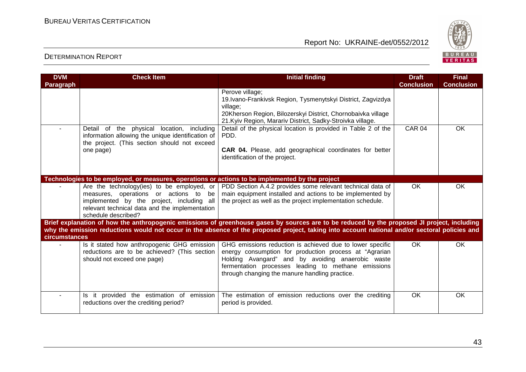

| <b>DVM</b><br><b>Paragraph</b> | <b>Check Item</b>                                                                                                                                                                                         | <b>Initial finding</b>                                                                                                                                                                                                                                                            | <b>Draft</b><br><b>Conclusion</b> | <b>Final</b><br><b>Conclusion</b> |
|--------------------------------|-----------------------------------------------------------------------------------------------------------------------------------------------------------------------------------------------------------|-----------------------------------------------------------------------------------------------------------------------------------------------------------------------------------------------------------------------------------------------------------------------------------|-----------------------------------|-----------------------------------|
|                                |                                                                                                                                                                                                           | Perove village;<br>19. Ivano-Frankivsk Region, Tysmenytskyi District, Zagvizdya<br>village;<br>20Kherson Region, Bilozerskyi District, Chornobaivka village<br>21. Kyiv Region, Marariv District, Sadky-Stroivka village.                                                         |                                   |                                   |
|                                | Detail of the physical location, including<br>information allowing the unique identification of<br>the project. (This section should not exceed<br>one page)                                              | Detail of the physical location is provided in Table 2 of the<br>PDD.<br>CAR 04. Please, add geographical coordinates for better<br>identification of the project.                                                                                                                | CAR <sub>04</sub>                 | $\overline{OK}$                   |
|                                | Technologies to be employed, or measures, operations or actions to be implemented by the project                                                                                                          |                                                                                                                                                                                                                                                                                   |                                   |                                   |
|                                | Are the technology(ies) to be employed, or<br>measures, operations or actions to be<br>implemented by the project, including all<br>relevant technical data and the implementation<br>schedule described? | PDD Section A.4.2 provides some relevant technical data of<br>main equipment installed and actions to be implemented by<br>the project as well as the project implementation schedule.                                                                                            | <b>OK</b>                         | OK                                |
|                                |                                                                                                                                                                                                           | Brief explanation of how the anthropogenic emissions of greenhouse gases by sources are to be reduced by the proposed JI project, including                                                                                                                                       |                                   |                                   |
| circumstances                  |                                                                                                                                                                                                           | why the emission reductions would not occur in the absence of the proposed project, taking into account national and/or sectoral policies and                                                                                                                                     |                                   |                                   |
|                                | Is it stated how anthropogenic GHG emission<br>reductions are to be achieved? (This section<br>should not exceed one page)                                                                                | GHG emissions reduction is achieved due to lower specific<br>energy consumption for production process at "Agrarian<br>Holding Avangard" and by avoiding anaerobic waste<br>fermentation processes leading to methane emissions<br>through changing the manure handling practice. | OK.                               | <b>OK</b>                         |
| $\sim$                         | Is it provided the estimation of emission<br>reductions over the crediting period?                                                                                                                        | The estimation of emission reductions over the crediting<br>period is provided.                                                                                                                                                                                                   | OK                                | OK                                |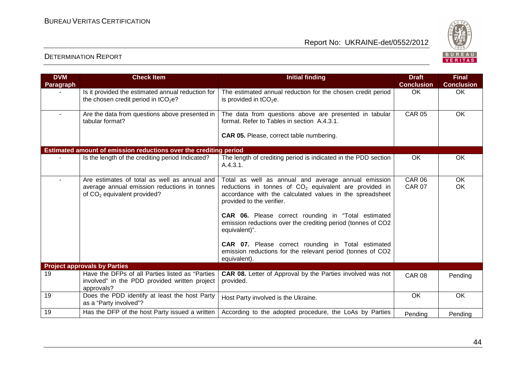

| <b>DVM</b><br>Paragraph | <b>Check Item</b>                                                                                                                       | <b>Initial finding</b>                                                                                                                                                                                   | <b>Draft</b><br><b>Conclusion</b> | <b>Final</b><br><b>Conclusion</b> |
|-------------------------|-----------------------------------------------------------------------------------------------------------------------------------------|----------------------------------------------------------------------------------------------------------------------------------------------------------------------------------------------------------|-----------------------------------|-----------------------------------|
|                         | Is it provided the estimated annual reduction for<br>the chosen credit period in tCO <sub>2</sub> e?                                    | The estimated annual reduction for the chosen credit period<br>is provided in $tCO2e$ .                                                                                                                  | <b>OK</b>                         | OK                                |
| $\sim$                  | Are the data from questions above presented in<br>tabular format?                                                                       | The data from questions above are presented in tabular<br>format. Refer to Tables in section A.4.3.1.                                                                                                    | <b>CAR 05</b>                     | OK                                |
|                         |                                                                                                                                         | <b>CAR 05.</b> Please, correct table numbering.                                                                                                                                                          |                                   |                                   |
|                         | Estimated amount of emission reductions over the crediting period                                                                       |                                                                                                                                                                                                          |                                   |                                   |
|                         | Is the length of the crediting period Indicated?                                                                                        | The length of crediting period is indicated in the PDD section<br>A.4.3.1.                                                                                                                               | <b>OK</b>                         | OK.                               |
| $\blacksquare$          | Are estimates of total as well as annual and<br>average annual emission reductions in tonnes<br>of CO <sub>2</sub> equivalent provided? | Total as well as annual and average annual emission<br>reductions in tonnes of $CO2$ equivalent are provided in<br>accordance with the calculated values in the spreadsheet<br>provided to the verifier. | <b>CAR 06</b><br><b>CAR 07</b>    | OK<br><b>OK</b>                   |
|                         |                                                                                                                                         | <b>CAR 06.</b> Please correct rounding in "Total estimated<br>emission reductions over the crediting period (tonnes of CO2<br>equivalent)".                                                              |                                   |                                   |
|                         |                                                                                                                                         | CAR 07. Please correct rounding in Total estimated<br>emission reductions for the relevant period (tonnes of CO2<br>equivalent).                                                                         |                                   |                                   |
|                         | <b>Project approvals by Parties</b>                                                                                                     |                                                                                                                                                                                                          |                                   |                                   |
| 19                      | Have the DFPs of all Parties listed as "Parties<br>involved" in the PDD provided written project<br>approvals?                          | <b>CAR 08.</b> Letter of Approval by the Parties involved was not<br>provided.                                                                                                                           | <b>CAR 08</b>                     | Pending                           |
| 19                      | Does the PDD identify at least the host Party<br>as a "Party involved"?                                                                 | Host Party involved is the Ukraine.                                                                                                                                                                      | OK.                               | OK.                               |
| 19                      | Has the DFP of the host Party issued a written                                                                                          | According to the adopted procedure, the LoAs by Parties                                                                                                                                                  | Pending                           | Pending                           |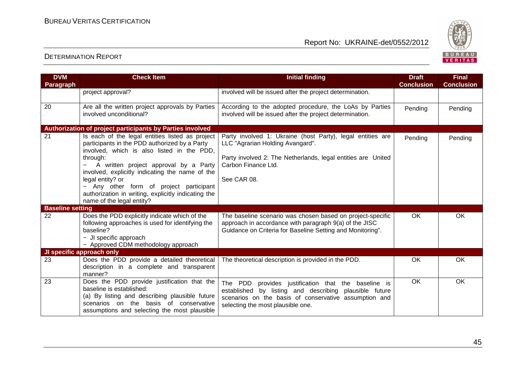

| <b>DVM</b><br>Paragraph | <b>Check Item</b>                                                                                                                                                                                                                                                                                                                                                                                         | <b>Initial finding</b>                                                                                                                                                                                         | <b>Draft</b><br><b>Conclusion</b> | <b>Final</b><br><b>Conclusion</b> |
|-------------------------|-----------------------------------------------------------------------------------------------------------------------------------------------------------------------------------------------------------------------------------------------------------------------------------------------------------------------------------------------------------------------------------------------------------|----------------------------------------------------------------------------------------------------------------------------------------------------------------------------------------------------------------|-----------------------------------|-----------------------------------|
|                         | project approval?                                                                                                                                                                                                                                                                                                                                                                                         | involved will be issued after the project determination.                                                                                                                                                       |                                   |                                   |
| 20                      | Are all the written project approvals by Parties<br>involved unconditional?                                                                                                                                                                                                                                                                                                                               | According to the adopted procedure, the LoAs by Parties<br>involved will be issued after the project determination.                                                                                            | Pending                           | Pending                           |
|                         | Authorization of project participants by Parties involved                                                                                                                                                                                                                                                                                                                                                 |                                                                                                                                                                                                                |                                   |                                   |
| 21                      | Is each of the legal entities listed as project<br>participants in the PDD authorized by a Party<br>involved, which is also listed in the PDD,<br>through:<br>A written project approval by a Party<br>involved, explicitly indicating the name of the<br>legal entity? or<br>- Any other form of project participant<br>authorization in writing, explicitly indicating the<br>name of the legal entity? | Party involved 1: Ukraine (host Party), legal entities are<br>LLC "Agrarian Holding Avangard".<br>Party involved 2: The Netherlands, legal entities are United<br>Carbon Finance Ltd.<br>See CAR 08.           | Pending                           | Pending                           |
| <b>Baseline setting</b> |                                                                                                                                                                                                                                                                                                                                                                                                           |                                                                                                                                                                                                                |                                   |                                   |
| 22                      | Does the PDD explicitly indicate which of the<br>following approaches is used for identifying the<br>baseline?<br>- JI specific approach<br>- Approved CDM methodology approach                                                                                                                                                                                                                           | The baseline scenario was chosen based on project-specific<br>approach in accordance with paragraph 9(a) of the JISC<br>Guidance on Criteria for Baseline Setting and Monitoring".                             | <b>OK</b>                         | <b>OK</b>                         |
|                         | JI specific approach only                                                                                                                                                                                                                                                                                                                                                                                 |                                                                                                                                                                                                                |                                   |                                   |
| 23                      | Does the PDD provide a detailed theoretical<br>description in a complete and transparent<br>manner?                                                                                                                                                                                                                                                                                                       | The theoretical description is provided in the PDD.                                                                                                                                                            | OK                                | OK                                |
| 23                      | Does the PDD provide justification that the<br>baseline is established:<br>(a) By listing and describing plausible future<br>scenarios on the basis of conservative<br>assumptions and selecting the most plausible                                                                                                                                                                                       | The PDD<br>provides justification that the baseline is<br>established by listing and describing plausible future<br>scenarios on the basis of conservative assumption and<br>selecting the most plausible one. | $\overline{OK}$                   | $\overline{OK}$                   |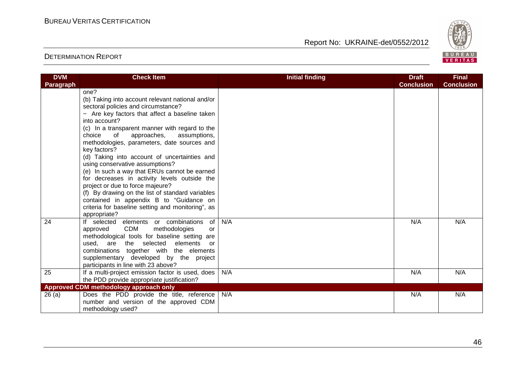

| <b>DVM</b>       | <b>Check Item</b>                                 | <b>Initial finding</b> | <b>Draft</b>      | <b>Final</b>      |
|------------------|---------------------------------------------------|------------------------|-------------------|-------------------|
| <b>Paragraph</b> |                                                   |                        | <b>Conclusion</b> | <b>Conclusion</b> |
|                  | one?                                              |                        |                   |                   |
|                  | (b) Taking into account relevant national and/or  |                        |                   |                   |
|                  | sectoral policies and circumstance?               |                        |                   |                   |
|                  | - Are key factors that affect a baseline taken    |                        |                   |                   |
|                  | into account?                                     |                        |                   |                   |
|                  | (c) In a transparent manner with regard to the    |                        |                   |                   |
|                  | approaches,<br>assumptions,<br>choice<br>of       |                        |                   |                   |
|                  | methodologies, parameters, date sources and       |                        |                   |                   |
|                  | key factors?                                      |                        |                   |                   |
|                  | (d) Taking into account of uncertainties and      |                        |                   |                   |
|                  | using conservative assumptions?                   |                        |                   |                   |
|                  | (e) In such a way that ERUs cannot be earned      |                        |                   |                   |
|                  | for decreases in activity levels outside the      |                        |                   |                   |
|                  | project or due to force majeure?                  |                        |                   |                   |
|                  | (f) By drawing on the list of standard variables  |                        |                   |                   |
|                  | contained in appendix B to "Guidance on           |                        |                   |                   |
|                  | criteria for baseline setting and monitoring", as |                        |                   |                   |
|                  | appropriate?                                      |                        |                   |                   |
| 24               | If selected elements or combinations<br>of        | N/A                    | N/A               | N/A               |
|                  | CDM<br>methodologies<br>approved<br>or            |                        |                   |                   |
|                  | methodological tools for baseline setting are     |                        |                   |                   |
|                  | elements<br>used,<br>are the selected<br>or       |                        |                   |                   |
|                  | combinations together with the elements           |                        |                   |                   |
|                  | supplementary developed by the project            |                        |                   |                   |
|                  | participants in line with 23 above?               |                        |                   |                   |
| 25               | If a multi-project emission factor is used, does  | N/A                    | N/A               | N/A               |
|                  | the PDD provide appropriate justification?        |                        |                   |                   |
|                  | Approved CDM methodology approach only            |                        |                   |                   |
| 26(a)            | Does the PDD provide the title, reference         | N/A                    | N/A               | N/A               |
|                  | number and version of the approved CDM            |                        |                   |                   |
|                  | methodology used?                                 |                        |                   |                   |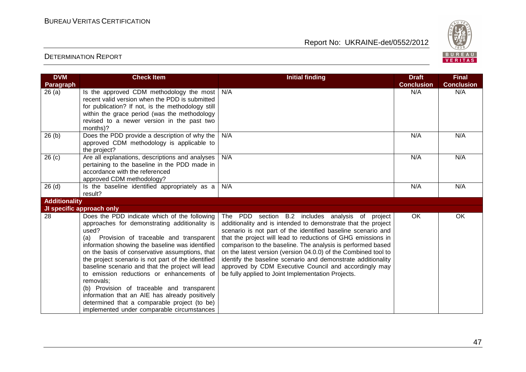

| <b>DVM</b><br>Paragraph | <b>Check Item</b>                                                                                                                                                                                                                                                                                                                                                                                                                                                                                                                                                                                                           | <b>Initial finding</b>                                                                                                                                                                                                                                                                                                                                                                                                                                                                                                                                            | <b>Draft</b><br><b>Conclusion</b> | <b>Final</b><br><b>Conclusion</b> |
|-------------------------|-----------------------------------------------------------------------------------------------------------------------------------------------------------------------------------------------------------------------------------------------------------------------------------------------------------------------------------------------------------------------------------------------------------------------------------------------------------------------------------------------------------------------------------------------------------------------------------------------------------------------------|-------------------------------------------------------------------------------------------------------------------------------------------------------------------------------------------------------------------------------------------------------------------------------------------------------------------------------------------------------------------------------------------------------------------------------------------------------------------------------------------------------------------------------------------------------------------|-----------------------------------|-----------------------------------|
| 26(a)                   | Is the approved CDM methodology the most<br>recent valid version when the PDD is submitted<br>for publication? If not, is the methodology still<br>within the grace period (was the methodology<br>revised to a newer version in the past two<br>months)?                                                                                                                                                                                                                                                                                                                                                                   | N/A                                                                                                                                                                                                                                                                                                                                                                                                                                                                                                                                                               | N/A                               | N/A                               |
| 26(b)                   | Does the PDD provide a description of why the<br>approved CDM methodology is applicable to<br>the project?                                                                                                                                                                                                                                                                                                                                                                                                                                                                                                                  | N/A                                                                                                                                                                                                                                                                                                                                                                                                                                                                                                                                                               | N/A                               | N/A                               |
| 26(c)                   | Are all explanations, descriptions and analyses<br>pertaining to the baseline in the PDD made in<br>accordance with the referenced<br>approved CDM methodology?                                                                                                                                                                                                                                                                                                                                                                                                                                                             | N/A                                                                                                                                                                                                                                                                                                                                                                                                                                                                                                                                                               | N/A                               | N/A                               |
| 26(d)                   | Is the baseline identified appropriately as a<br>result?                                                                                                                                                                                                                                                                                                                                                                                                                                                                                                                                                                    | N/A                                                                                                                                                                                                                                                                                                                                                                                                                                                                                                                                                               | N/A                               | N/A                               |
| <b>Additionality</b>    |                                                                                                                                                                                                                                                                                                                                                                                                                                                                                                                                                                                                                             |                                                                                                                                                                                                                                                                                                                                                                                                                                                                                                                                                                   |                                   |                                   |
|                         | JI specific approach only                                                                                                                                                                                                                                                                                                                                                                                                                                                                                                                                                                                                   |                                                                                                                                                                                                                                                                                                                                                                                                                                                                                                                                                                   |                                   |                                   |
| 28                      | Does the PDD indicate which of the following<br>approaches for demonstrating additionality is<br>used?<br>(a) Provision of traceable and transparent<br>information showing the baseline was identified<br>on the basis of conservative assumptions, that<br>the project scenario is not part of the identified<br>baseline scenario and that the project will lead<br>to emission reductions or enhancements of<br>removals:<br>(b) Provision of traceable and transparent<br>information that an AIE has already positively<br>determined that a comparable project (to be)<br>implemented under comparable circumstances | The PDD section B.2 includes analysis of project<br>additionality and is intended to demonstrate that the project<br>scenario is not part of the identified baseline scenario and<br>that the project will lead to reductions of GHG emissions in<br>comparison to the baseline. The analysis is performed based<br>on the latest version (version 04.0.0) of the Combined tool to<br>identify the baseline scenario and demonstrate additionality<br>approved by CDM Executive Council and accordingly may<br>be fully applied to Joint Implementation Projects. | <b>OK</b>                         | OK                                |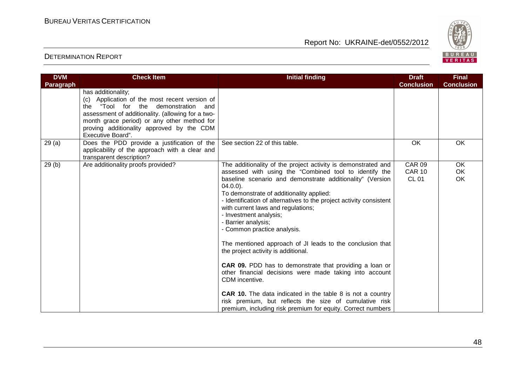

| <b>DVM</b> | <b>Check Item</b>                                                                                                                                                                                                                                                                | <b>Initial finding</b>                                                                                                                                                                                                                                                                                                                                                                                                                                                                                                                                                                                                                                                                                                                                                                                                                                                                        | <b>Draft</b>                                   | <b>Final</b>      |
|------------|----------------------------------------------------------------------------------------------------------------------------------------------------------------------------------------------------------------------------------------------------------------------------------|-----------------------------------------------------------------------------------------------------------------------------------------------------------------------------------------------------------------------------------------------------------------------------------------------------------------------------------------------------------------------------------------------------------------------------------------------------------------------------------------------------------------------------------------------------------------------------------------------------------------------------------------------------------------------------------------------------------------------------------------------------------------------------------------------------------------------------------------------------------------------------------------------|------------------------------------------------|-------------------|
| Paragraph  | has additionality;<br>(c) Application of the most recent version of<br>the "Tool for the demonstration and<br>assessment of additionality. (allowing for a two-<br>month grace period) or any other method for<br>proving additionality approved by the CDM<br>Executive Board". |                                                                                                                                                                                                                                                                                                                                                                                                                                                                                                                                                                                                                                                                                                                                                                                                                                                                                               | <b>Conclusion</b>                              | <b>Conclusion</b> |
| 29(a)      | Does the PDD provide a justification of the<br>applicability of the approach with a clear and<br>transparent description?                                                                                                                                                        | See section 22 of this table.                                                                                                                                                                                                                                                                                                                                                                                                                                                                                                                                                                                                                                                                                                                                                                                                                                                                 | OK                                             | OK                |
| 29(b)      | Are additionality proofs provided?                                                                                                                                                                                                                                               | The additionality of the project activity is demonstrated and<br>assessed with using the "Combined tool to identify the<br>baseline scenario and demonstrate additionality" (Version<br>$04.0.0$ ).<br>To demonstrate of additionality applied:<br>- Identification of alternatives to the project activity consistent<br>with current laws and regulations;<br>- Investment analysis;<br>- Barrier analysis;<br>- Common practice analysis.<br>The mentioned approach of JI leads to the conclusion that<br>the project activity is additional.<br><b>CAR 09.</b> PDD has to demonstrate that providing a loan or<br>other financial decisions were made taking into account<br>CDM incentive.<br><b>CAR 10.</b> The data indicated in the table 8 is not a country<br>risk premium, but reflects the size of cumulative risk<br>premium, including risk premium for equity. Correct numbers | <b>CAR 09</b><br><b>CAR 10</b><br><b>CL 01</b> | OK<br>OK<br>OK    |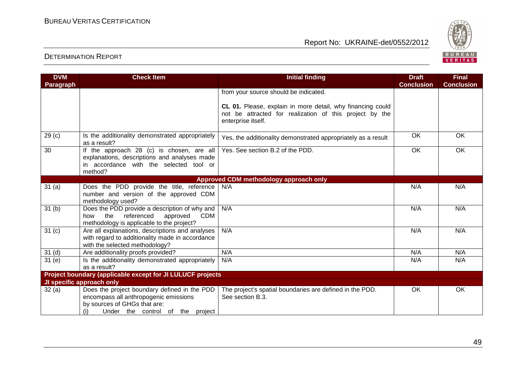

| <b>DVM</b>        | <b>Check Item</b>                                                                                                                                                | <b>Initial finding</b>                                                                                                                      | <b>Draft</b>      | <b>Final</b>      |
|-------------------|------------------------------------------------------------------------------------------------------------------------------------------------------------------|---------------------------------------------------------------------------------------------------------------------------------------------|-------------------|-------------------|
| Paragraph         |                                                                                                                                                                  |                                                                                                                                             | <b>Conclusion</b> | <b>Conclusion</b> |
|                   |                                                                                                                                                                  | from your source should be indicated.                                                                                                       |                   |                   |
|                   |                                                                                                                                                                  | CL 01. Please, explain in more detail, why financing could<br>not be attracted for realization of this project by the<br>enterprise itself. |                   |                   |
| 29 <sub>(c)</sub> | Is the additionality demonstrated appropriately<br>as a result?                                                                                                  | Yes, the additionality demonstrated appropriately as a result                                                                               | OK                | OK                |
| 30                | If the approach 28 (c) is chosen, are all<br>explanations, descriptions and analyses made<br>in accordance with the selected tool or<br>method?                  | Yes. See section B.2 of the PDD.                                                                                                            | $\overline{OK}$   | OK                |
|                   |                                                                                                                                                                  | Approved CDM methodology approach only                                                                                                      |                   |                   |
| 31(a)             | Does the PDD provide the title, reference<br>number and version of the approved CDM<br>methodology used?                                                         | N/A                                                                                                                                         | N/A               | N/A               |
| 31 <sub>(b)</sub> | Does the PDD provide a description of why and<br>referenced<br><b>CDM</b><br>the<br>approved<br>how<br>methodology is applicable to the project?                 | N/A                                                                                                                                         | N/A               | N/A               |
| 31 <sub>(c)</sub> | Are all explanations, descriptions and analyses<br>with regard to additionality made in accordance<br>with the selected methodology?                             | N/A                                                                                                                                         | N/A               | N/A               |
| 31 <sub>(d)</sub> | Are additionality proofs provided?                                                                                                                               | N/A                                                                                                                                         | N/A               | N/A               |
| 31(e)             | Is the additionality demonstrated appropriately<br>as a result?                                                                                                  | N/A                                                                                                                                         | N/A               | N/A               |
|                   | Project boundary (applicable except for JI LULUCF projects                                                                                                       |                                                                                                                                             |                   |                   |
|                   | JI specific approach only                                                                                                                                        |                                                                                                                                             |                   |                   |
| 32(a)             | Does the project boundary defined in the PDD<br>encompass all anthropogenic emissions<br>by sources of GHGs that are:<br>Under the control of the project<br>(i) | The project's spatial boundaries are defined in the PDD.<br>See section B.3.                                                                | <b>OK</b>         | OK                |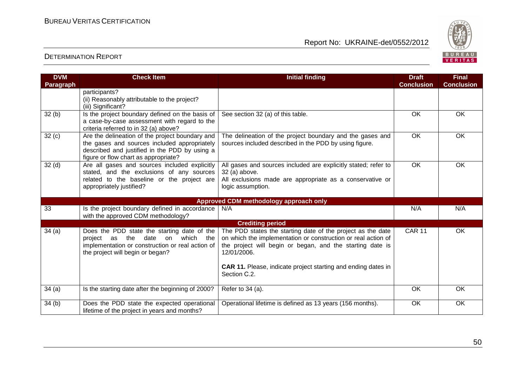

| <b>DVM</b><br>Paragraph | <b>Check Item</b>                                                                                                                                                                        | <b>Initial finding</b>                                                                                                                                                                                   | <b>Draft</b><br><b>Conclusion</b> | <b>Final</b><br><b>Conclusion</b> |
|-------------------------|------------------------------------------------------------------------------------------------------------------------------------------------------------------------------------------|----------------------------------------------------------------------------------------------------------------------------------------------------------------------------------------------------------|-----------------------------------|-----------------------------------|
|                         | participants?<br>(ii) Reasonably attributable to the project?<br>(iii) Significant?                                                                                                      |                                                                                                                                                                                                          |                                   |                                   |
| 32(b)                   | Is the project boundary defined on the basis of<br>a case-by-case assessment with regard to the<br>criteria referred to in 32 (a) above?                                                 | See section 32 (a) of this table.                                                                                                                                                                        | OK                                | OK                                |
| 32 <sub>(c)</sub>       | Are the delineation of the project boundary and<br>the gases and sources included appropriately<br>described and justified in the PDD by using a<br>figure or flow chart as appropriate? | The delineation of the project boundary and the gases and<br>sources included described in the PDD by using figure.                                                                                      | <b>OK</b>                         | OK                                |
| 32 <sub>(d)</sub>       | Are all gases and sources included explicitly<br>stated, and the exclusions of any sources<br>related to the baseline or the project are<br>appropriately justified?                     | All gases and sources included are explicitly stated; refer to<br>32 (a) above.<br>All exclusions made are appropriate as a conservative or<br>logic assumption.                                         | <b>OK</b>                         | OK                                |
|                         |                                                                                                                                                                                          | Approved CDM methodology approach only                                                                                                                                                                   |                                   |                                   |
| 33                      | Is the project boundary defined in accordance<br>with the approved CDM methodology?                                                                                                      | N/A                                                                                                                                                                                                      | N/A                               | N/A                               |
|                         |                                                                                                                                                                                          | <b>Crediting period</b>                                                                                                                                                                                  |                                   |                                   |
| 34(a)                   | Does the PDD state the starting date of the<br>which the<br>the<br>date<br>on<br>project as<br>implementation or construction or real action of<br>the project will begin or began?      | The PDD states the starting date of the project as the date<br>on which the implementation or construction or real action of<br>the project will begin or began, and the starting date is<br>12/01/2006. | <b>CAR 11</b>                     | OK                                |
|                         |                                                                                                                                                                                          | <b>CAR 11.</b> Please, indicate project starting and ending dates in<br>Section C.2.                                                                                                                     |                                   |                                   |
| 34(a)                   | Is the starting date after the beginning of 2000?                                                                                                                                        | Refer to 34 (a).                                                                                                                                                                                         | <b>OK</b>                         | <b>OK</b>                         |
| 34(b)                   | Does the PDD state the expected operational<br>lifetime of the project in years and months?                                                                                              | Operational lifetime is defined as 13 years (156 months).                                                                                                                                                | OK                                | OK                                |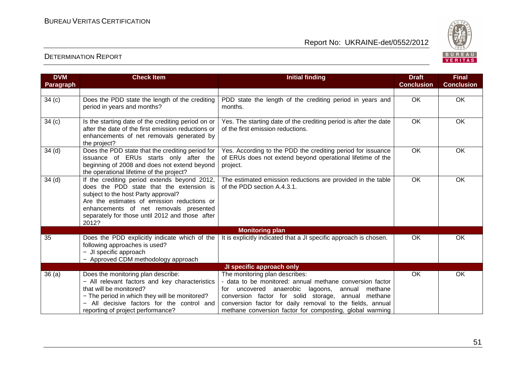

| <b>DVM</b><br><b>Paragraph</b> | <b>Check Item</b>                                                                                                                                                                                                                                                                    | <b>Initial finding</b>                                                                                                                                                                                                                                                                                                                    | <b>Draft</b><br><b>Conclusion</b> | <b>Final</b><br><b>Conclusion</b> |
|--------------------------------|--------------------------------------------------------------------------------------------------------------------------------------------------------------------------------------------------------------------------------------------------------------------------------------|-------------------------------------------------------------------------------------------------------------------------------------------------------------------------------------------------------------------------------------------------------------------------------------------------------------------------------------------|-----------------------------------|-----------------------------------|
|                                |                                                                                                                                                                                                                                                                                      |                                                                                                                                                                                                                                                                                                                                           |                                   |                                   |
| 34(c)                          | Does the PDD state the length of the crediting<br>period in years and months?                                                                                                                                                                                                        | PDD state the length of the crediting period in years and<br>months.                                                                                                                                                                                                                                                                      | OK                                | <b>OK</b>                         |
| 34 <sub>(c)</sub>              | Is the starting date of the crediting period on or<br>after the date of the first emission reductions or<br>enhancements of net removals generated by<br>the project?                                                                                                                | Yes. The starting date of the crediting period is after the date<br>of the first emission reductions.                                                                                                                                                                                                                                     | OK                                | OK                                |
| 34 <sub>(d)</sub>              | Does the PDD state that the crediting period for<br>issuance of ERUs starts only after the<br>beginning of 2008 and does not extend beyond<br>the operational lifetime of the project?                                                                                               | Yes. According to the PDD the crediting period for issuance<br>of ERUs does not extend beyond operational lifetime of the<br>project.                                                                                                                                                                                                     | <b>OK</b>                         | <b>OK</b>                         |
| 34 <sub>(d)</sub>              | If the crediting period extends beyond 2012,<br>does the PDD state that the extension is<br>subject to the host Party approval?<br>Are the estimates of emission reductions or<br>enhancements of net removals presented<br>separately for those until 2012 and those after<br>2012? | The estimated emission reductions are provided in the table<br>of the PDD section A.4.3.1.                                                                                                                                                                                                                                                | OK                                | <b>OK</b>                         |
|                                |                                                                                                                                                                                                                                                                                      | <b>Monitoring plan</b>                                                                                                                                                                                                                                                                                                                    |                                   |                                   |
| 35                             | Does the PDD explicitly indicate which of the<br>following approaches is used?<br>- JI specific approach<br>- Approved CDM methodology approach                                                                                                                                      | It is explicitly indicated that a JI specific approach is chosen.                                                                                                                                                                                                                                                                         | <b>OK</b>                         | OK.                               |
|                                |                                                                                                                                                                                                                                                                                      | JI specific approach only                                                                                                                                                                                                                                                                                                                 |                                   |                                   |
| 36(a)                          | Does the monitoring plan describe:<br>- All relevant factors and key characteristics<br>that will be monitored?<br>- The period in which they will be monitored?<br>All decisive factors for the control and<br>reporting of project performance?                                    | The monitoring plan describes:<br>- data to be monitored: annual methane conversion factor<br>uncovered anaerobic<br>lagoons,<br>methane<br>annual<br>for<br>conversion factor for solid storage, annual methane<br>conversion factor for daily removal to the fields, annual<br>methane conversion factor for composting, global warming | OK                                | OK                                |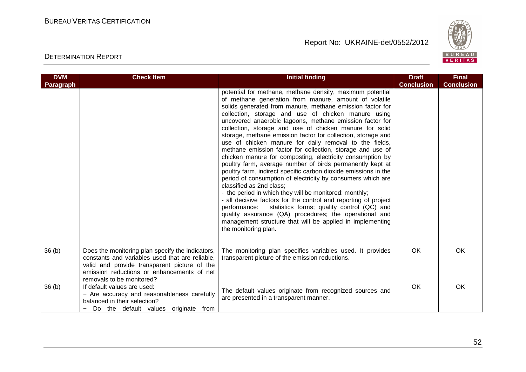

| <b>DVM</b>        | <b>Check Item</b>                                                                                                                                                                                                              | <b>Initial finding</b>                                                                                                                                                                                                                                                                                                                                                                                                                                                                                                                                                                                                                                                                                                                                                                                                                                                                                                                                                                                                                                                                                                                                                                  | <b>Draft</b>      | <b>Final</b>      |
|-------------------|--------------------------------------------------------------------------------------------------------------------------------------------------------------------------------------------------------------------------------|-----------------------------------------------------------------------------------------------------------------------------------------------------------------------------------------------------------------------------------------------------------------------------------------------------------------------------------------------------------------------------------------------------------------------------------------------------------------------------------------------------------------------------------------------------------------------------------------------------------------------------------------------------------------------------------------------------------------------------------------------------------------------------------------------------------------------------------------------------------------------------------------------------------------------------------------------------------------------------------------------------------------------------------------------------------------------------------------------------------------------------------------------------------------------------------------|-------------------|-------------------|
| Paragraph         |                                                                                                                                                                                                                                |                                                                                                                                                                                                                                                                                                                                                                                                                                                                                                                                                                                                                                                                                                                                                                                                                                                                                                                                                                                                                                                                                                                                                                                         | <b>Conclusion</b> | <b>Conclusion</b> |
|                   |                                                                                                                                                                                                                                | potential for methane, methane density, maximum potential<br>of methane generation from manure, amount of volatile<br>solids generated from manure, methane emission factor for<br>collection, storage and use of chicken manure using<br>uncovered anaerobic lagoons, methane emission factor for<br>collection, storage and use of chicken manure for solid<br>storage, methane emission factor for collection, storage and<br>use of chicken manure for daily removal to the fields,<br>methane emission factor for collection, storage and use of<br>chicken manure for composting, electricity consumption by<br>poultry farm, average number of birds permanently kept at<br>poultry farm, indirect specific carbon dioxide emissions in the<br>period of consumption of electricity by consumers which are<br>classified as 2nd class;<br>- the period in which they will be monitored: monthly;<br>- all decisive factors for the control and reporting of project<br>statistics forms; quality control (QC) and<br>performance:<br>quality assurance (QA) procedures; the operational and<br>management structure that will be applied in implementing<br>the monitoring plan. |                   |                   |
| 36 <sub>(b)</sub> | Does the monitoring plan specify the indicators,<br>constants and variables used that are reliable,<br>valid and provide transparent picture of the<br>emission reductions or enhancements of net<br>removals to be monitored? | The monitoring plan specifies variables used. It provides<br>transparent picture of the emission reductions.                                                                                                                                                                                                                                                                                                                                                                                                                                                                                                                                                                                                                                                                                                                                                                                                                                                                                                                                                                                                                                                                            | OK                | OK                |
| 36 <sub>(b)</sub> | If default values are used:<br>- Are accuracy and reasonableness carefully<br>balanced in their selection?<br>Do the default values originate from                                                                             | The default values originate from recognized sources and<br>are presented in a transparent manner.                                                                                                                                                                                                                                                                                                                                                                                                                                                                                                                                                                                                                                                                                                                                                                                                                                                                                                                                                                                                                                                                                      | OK                | <b>OK</b>         |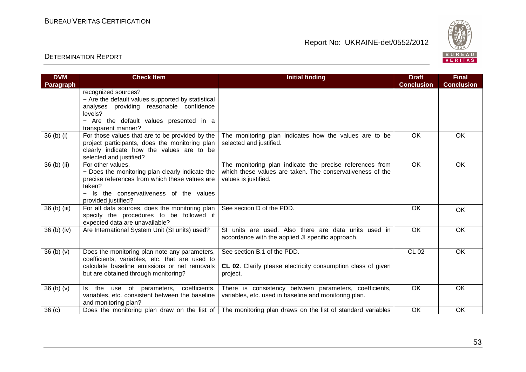

| <b>DVM</b>        | <b>Check Item</b>                                                                                 | <b>Initial finding</b>                                                                                           | <b>Draft</b>      | <b>Final</b>      |
|-------------------|---------------------------------------------------------------------------------------------------|------------------------------------------------------------------------------------------------------------------|-------------------|-------------------|
| <b>Paragraph</b>  |                                                                                                   |                                                                                                                  | <b>Conclusion</b> | <b>Conclusion</b> |
|                   | recognized sources?                                                                               |                                                                                                                  |                   |                   |
|                   | - Are the default values supported by statistical                                                 |                                                                                                                  |                   |                   |
|                   | analyses providing reasonable confidence                                                          |                                                                                                                  |                   |                   |
|                   | levels?                                                                                           |                                                                                                                  |                   |                   |
|                   | - Are the default values presented in a                                                           |                                                                                                                  |                   |                   |
|                   | transparent manner?                                                                               |                                                                                                                  |                   |                   |
| 36 (b) (i)        | For those values that are to be provided by the                                                   | The monitoring plan indicates how the values are to be                                                           | OK                | OK.               |
|                   | project participants, does the monitoring plan                                                    | selected and justified.                                                                                          |                   |                   |
|                   | clearly indicate how the values are to be                                                         |                                                                                                                  |                   |                   |
|                   | selected and justified?                                                                           |                                                                                                                  |                   |                   |
| 36 (b) (ii)       | For other values,                                                                                 | The monitoring plan indicate the precise references from                                                         | $\overline{OK}$   | OK                |
|                   | - Does the monitoring plan clearly indicate the<br>precise references from which these values are | which these values are taken. The conservativeness of the                                                        |                   |                   |
|                   | taken?                                                                                            | values is justified.                                                                                             |                   |                   |
|                   | - Is the conservativeness of the values                                                           |                                                                                                                  |                   |                   |
|                   | provided justified?                                                                               |                                                                                                                  |                   |                   |
| 36 (b) (iii)      | For all data sources, does the monitoring plan                                                    | See section D of the PDD.                                                                                        | <b>OK</b>         |                   |
|                   | specify the procedures to be followed if                                                          |                                                                                                                  |                   | OK.               |
|                   | expected data are unavailable?                                                                    |                                                                                                                  |                   |                   |
| 36 (b) (iv)       | Are International System Unit (SI units) used?                                                    | SI units are used. Also there are data units used in                                                             | OK                | <b>OK</b>         |
|                   |                                                                                                   | accordance with the applied JI specific approach.                                                                |                   |                   |
|                   |                                                                                                   |                                                                                                                  |                   |                   |
| 36(b)(v)          | Does the monitoring plan note any parameters,                                                     | See section B.1 of the PDD.                                                                                      | <b>CL 02</b>      | <b>OK</b>         |
|                   | coefficients, variables, etc. that are used to                                                    |                                                                                                                  |                   |                   |
|                   | calculate baseline emissions or net removals                                                      | CL 02. Clarify please electricity consumption class of given                                                     |                   |                   |
|                   | but are obtained through monitoring?                                                              | project.                                                                                                         |                   |                   |
|                   |                                                                                                   |                                                                                                                  |                   |                   |
| 36(b)(v)          | Is the use of parameters, coefficients,                                                           | There is consistency between parameters, coefficients,                                                           | OK                | OK                |
|                   | variables, etc. consistent between the baseline                                                   | variables, etc. used in baseline and monitoring plan.                                                            |                   |                   |
|                   | and monitoring plan?                                                                              |                                                                                                                  |                   |                   |
| 36 <sub>(c)</sub> |                                                                                                   | Does the monitoring plan draw on the list of $\vert$ The monitoring plan draws on the list of standard variables | OK                | OK                |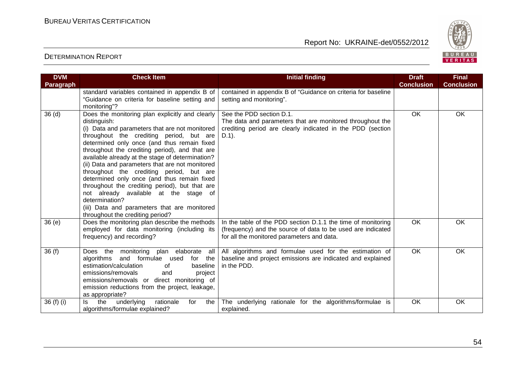

| <b>DVM</b>        | <b>Check Item</b>                                                                                                                                                                                                                                                                                                                                                                                                                                                                                                                                                                                                                                                 | <b>Initial finding</b>                                                                                                                                                    | <b>Draft</b><br><b>Conclusion</b> | <b>Final</b>      |
|-------------------|-------------------------------------------------------------------------------------------------------------------------------------------------------------------------------------------------------------------------------------------------------------------------------------------------------------------------------------------------------------------------------------------------------------------------------------------------------------------------------------------------------------------------------------------------------------------------------------------------------------------------------------------------------------------|---------------------------------------------------------------------------------------------------------------------------------------------------------------------------|-----------------------------------|-------------------|
| <b>Paragraph</b>  | standard variables contained in appendix B of<br>"Guidance on criteria for baseline setting and<br>monitoring"?                                                                                                                                                                                                                                                                                                                                                                                                                                                                                                                                                   | contained in appendix B of "Guidance on criteria for baseline<br>setting and monitoring".                                                                                 |                                   | <b>Conclusion</b> |
| 36 <sub>(d)</sub> | Does the monitoring plan explicitly and clearly<br>distinguish:<br>(i) Data and parameters that are not monitored<br>throughout the crediting period, but are<br>determined only once (and thus remain fixed<br>throughout the crediting period), and that are<br>available already at the stage of determination?<br>(ii) Data and parameters that are not monitored<br>throughout the crediting period, but are<br>determined only once (and thus remain fixed<br>throughout the crediting period), but that are<br>not already available at the stage of<br>determination?<br>(iii) Data and parameters that are monitored<br>throughout the crediting period? | See the PDD section D.1.<br>The data and parameters that are monitored throughout the<br>crediting period are clearly indicated in the PDD (section<br>$D.1$ ).           | <b>OK</b>                         | OK                |
| 36(e)             | Does the monitoring plan describe the methods<br>employed for data monitoring (including its<br>frequency) and recording?                                                                                                                                                                                                                                                                                                                                                                                                                                                                                                                                         | In the table of the PDD section D.1.1 the time of monitoring<br>(frequency) and the source of data to be used are indicated<br>for all the monitored parameters and data. | OK                                | OK                |
| 36(f)             | Does the monitoring plan elaborate all<br>algorithms and formulae used<br>for the<br>estimation/calculation<br>of<br>baseline<br>emissions/removals<br>and<br>project<br>emissions/removals or direct monitoring of<br>emission reductions from the project, leakage,<br>as appropriate?                                                                                                                                                                                                                                                                                                                                                                          | All algorithms and formulae used for the estimation of<br>baseline and project emissions are indicated and explained<br>in the PDD.                                       | OK                                | OK                |
| 36 (f) (i)        | the<br>rationale<br>underlying<br>the<br>ls.<br>for<br>algorithms/formulae explained?                                                                                                                                                                                                                                                                                                                                                                                                                                                                                                                                                                             | The underlying rationale for the algorithms/formulae is<br>explained.                                                                                                     | OK                                | OK                |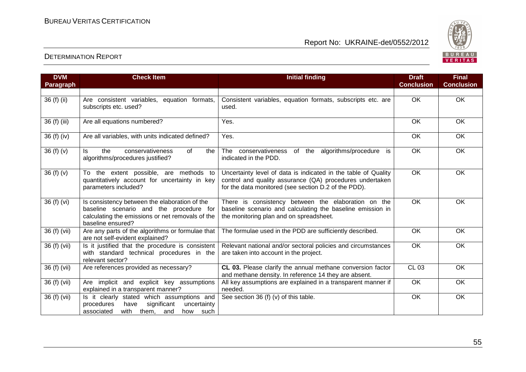

| <b>DVM</b><br>Paragraph | <b>Check Item</b>                                                                                                                                                 | <b>Initial finding</b>                                                                                                                                                             | <b>Draft</b><br><b>Conclusion</b> | <b>Final</b><br><b>Conclusion</b> |
|-------------------------|-------------------------------------------------------------------------------------------------------------------------------------------------------------------|------------------------------------------------------------------------------------------------------------------------------------------------------------------------------------|-----------------------------------|-----------------------------------|
|                         |                                                                                                                                                                   |                                                                                                                                                                                    |                                   |                                   |
| 36 (f) (ii)             | Are consistent variables, equation formats,<br>subscripts etc. used?                                                                                              | Consistent variables, equation formats, subscripts etc. are<br>used.                                                                                                               | <b>OK</b>                         | <b>OK</b>                         |
| 36 (f) (iii)            | Are all equations numbered?                                                                                                                                       | Yes.                                                                                                                                                                               | OK                                | OK                                |
| 36 (f) (iv)             | Are all variables, with units indicated defined?                                                                                                                  | Yes.                                                                                                                                                                               | OK                                | OK                                |
| 36 (f) (v)              | conservativeness<br>of<br>the<br>the<br>ls.<br>algorithms/procedures justified?                                                                                   | The conservativeness of the algorithms/procedure is<br>indicated in the PDD.                                                                                                       | OK                                | <b>OK</b>                         |
| 36 (f) (v)              | To the extent possible, are methods to<br>quantitatively account for uncertainty in key<br>parameters included?                                                   | Uncertainty level of data is indicated in the table of Quality<br>control and quality assurance (QA) procedures undertaken<br>for the data monitored (see section D.2 of the PDD). | $\overline{OK}$                   | OK                                |
| 36 (f) (vi)             | Is consistency between the elaboration of the<br>baseline scenario and the procedure for<br>calculating the emissions or net removals of the<br>baseline ensured? | There is consistency between the elaboration on the<br>baseline scenario and calculating the baseline emission in<br>the monitoring plan and on spreadsheet.                       | <b>OK</b>                         | <b>OK</b>                         |
| 36 (f) (vii)            | Are any parts of the algorithms or formulae that<br>are not self-evident explained?                                                                               | The formulae used in the PDD are sufficiently described.                                                                                                                           | OK                                | OK                                |
| 36 (f) (vii)            | Is it justified that the procedure is consistent<br>with standard technical procedures in the<br>relevant sector?                                                 | Relevant national and/or sectoral policies and circumstances<br>are taken into account in the project.                                                                             | $\overline{OK}$                   | $\overline{OK}$                   |
| 36 (f) (vii)            | Are references provided as necessary?                                                                                                                             | CL 03. Please clarify the annual methane conversion factor<br>and methane density. In reference 14 they are absent.                                                                | <b>CL 03</b>                      | <b>OK</b>                         |
| 36 (f) (vii)            | Are implicit and explicit key assumptions<br>explained in a transparent manner?                                                                                   | All key assumptions are explained in a transparent manner if<br>needed.                                                                                                            | OK                                | OK                                |
| 36 (f) (vii)            | Is it clearly stated which assumptions and<br>procedures<br>significant<br>have<br>uncertainty<br>with<br>associated<br>them,<br>such<br>and<br>how               | See section 36 (f) (v) of this table.                                                                                                                                              | OK                                | OK                                |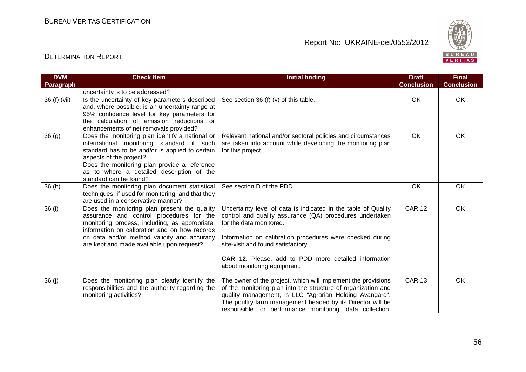

| <b>DVM</b> | <b>Check Item</b>                                                                                                                                                                                                                                                                                 | <b>Initial finding</b>                                                                                                                                                                                                                                                                                                                          | <b>Draft</b>      | <b>Final</b>      |
|------------|---------------------------------------------------------------------------------------------------------------------------------------------------------------------------------------------------------------------------------------------------------------------------------------------------|-------------------------------------------------------------------------------------------------------------------------------------------------------------------------------------------------------------------------------------------------------------------------------------------------------------------------------------------------|-------------------|-------------------|
| Paragraph  |                                                                                                                                                                                                                                                                                                   |                                                                                                                                                                                                                                                                                                                                                 | <b>Conclusion</b> | <b>Conclusion</b> |
|            | uncertainty is to be addressed?                                                                                                                                                                                                                                                                   |                                                                                                                                                                                                                                                                                                                                                 |                   |                   |
| 36(f)(vii) | Is the uncertainty of key parameters described<br>and, where possible, is an uncertainty range at<br>95% confidence level for key parameters for<br>the calculation of emission reductions or<br>enhancements of net removals provided?                                                           | See section 36 (f) (v) of this table.                                                                                                                                                                                                                                                                                                           | $\overline{OK}$   | OK                |
| 36(9)      | Does the monitoring plan identify a national or<br>international monitoring standard if such<br>standard has to be and/or is applied to certain<br>aspects of the project?<br>Does the monitoring plan provide a reference<br>as to where a detailed description of the<br>standard can be found? | Relevant national and/or sectoral policies and circumstances<br>are taken into account while developing the monitoring plan<br>for this project.                                                                                                                                                                                                | OK                | OK                |
| 36(h)      | Does the monitoring plan document statistical<br>techniques, if used for monitoring, and that they<br>are used in a conservative manner?                                                                                                                                                          | See section D of the PDD.                                                                                                                                                                                                                                                                                                                       | OK                | OK                |
| 36 (i)     | Does the monitoring plan present the quality<br>assurance and control procedures for the<br>monitoring process, including, as appropriate,<br>information on calibration and on how records<br>on data and/or method validity and accuracy<br>are kept and made available upon request?           | Uncertainty level of data is indicated in the table of Quality<br>control and quality assurance (QA) procedures undertaken<br>for the data monitored.<br>Information on calibration procedures were checked during<br>site-visit and found satisfactory.<br>CAR 12. Please, add to PDD more detailed information<br>about monitoring equipment. | <b>CAR 12</b>     | OK                |
| 36(j)      | Does the monitoring plan clearly identify the<br>responsibilities and the authority regarding the<br>monitoring activities?                                                                                                                                                                       | The owner of the project, which will implement the provisions<br>of the monitoring plan into the structure of organization and<br>quality management, is LLC "Agrarian Holding Avangard".<br>The poultry farm management headed by its Director will be<br>responsible for performance monitoring, data collection,                             | <b>CAR 13</b>     | OK                |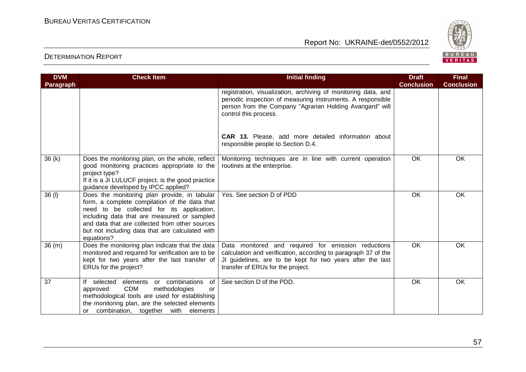

| <b>DVM</b> | <b>Check Item</b>                                                                                                                                                                                                                                                                                            | <b>Initial finding</b>                                                                                                                                                                                                   | <b>Draft</b>      | <b>Final</b>      |
|------------|--------------------------------------------------------------------------------------------------------------------------------------------------------------------------------------------------------------------------------------------------------------------------------------------------------------|--------------------------------------------------------------------------------------------------------------------------------------------------------------------------------------------------------------------------|-------------------|-------------------|
| Paragraph  |                                                                                                                                                                                                                                                                                                              |                                                                                                                                                                                                                          | <b>Conclusion</b> | <b>Conclusion</b> |
|            |                                                                                                                                                                                                                                                                                                              | registration, visualization, archiving of monitoring data, and<br>periodic inspection of measuring instruments. A responsible<br>person from the Company "Agrarian Holding Avangard" will<br>control this process.       |                   |                   |
|            |                                                                                                                                                                                                                                                                                                              | CAR 13. Please, add more detailed information about<br>responsible people to Section D.4.                                                                                                                                |                   |                   |
| 36(k)      | Does the monitoring plan, on the whole, reflect<br>good monitoring practices appropriate to the<br>project type?<br>If it is a JI LULUCF project, is the good practice<br>guidance developed by IPCC applied?                                                                                                | Monitoring techniques are in line with current operation<br>routines at the enterprise.                                                                                                                                  | OK                | OK                |
| 36 (I)     | Does the monitoring plan provide, in tabular<br>form, a complete compilation of the data that<br>need to be collected for its application,<br>including data that are measured or sampled<br>and data that are collected from other sources<br>but not including data that are calculated with<br>equations? | Yes. See section D of PDD                                                                                                                                                                                                | <b>OK</b>         | <b>OK</b>         |
| 36(m)      | Does the monitoring plan indicate that the data<br>monitored and required for verification are to be<br>kept for two years after the last transfer of<br>ERUs for the project?                                                                                                                               | Data monitored and required for emission reductions<br>calculation and verification, according to paragraph 37 of the<br>JI guidelines, are to be kept for two years after the last<br>transfer of ERUs for the project. | OK                | OK                |
| 37         | If selected elements or combinations<br>of<br><b>CDM</b><br>methodologies<br>approved<br>or<br>methodological tools are used for establishing<br>the monitoring plan, are the selected elements<br>or combination, together with elements                                                                    | See section D of the PDD.                                                                                                                                                                                                | OK                | <b>OK</b>         |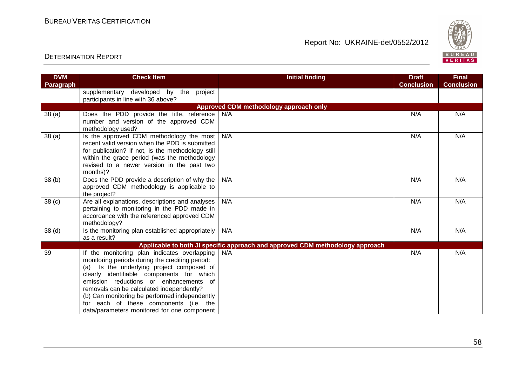

| <b>DVM</b>        | <b>Check Item</b>                                      | <b>Initial finding</b>                                                        | <b>Draft</b>      | <b>Final</b>      |
|-------------------|--------------------------------------------------------|-------------------------------------------------------------------------------|-------------------|-------------------|
| <b>Paragraph</b>  |                                                        |                                                                               | <b>Conclusion</b> | <b>Conclusion</b> |
|                   | supplementary developed by the<br>project              |                                                                               |                   |                   |
|                   | participants in line with 36 above?                    |                                                                               |                   |                   |
|                   |                                                        | Approved CDM methodology approach only                                        |                   |                   |
| 38(a)             | Does the PDD provide the title, reference              | N/A                                                                           | N/A               | N/A               |
|                   | number and version of the approved CDM                 |                                                                               |                   |                   |
|                   | methodology used?                                      |                                                                               |                   |                   |
| 38(a)             | Is the approved CDM methodology the most               | N/A                                                                           | N/A               | N/A               |
|                   | recent valid version when the PDD is submitted         |                                                                               |                   |                   |
|                   | for publication? If not, is the methodology still      |                                                                               |                   |                   |
|                   | within the grace period (was the methodology           |                                                                               |                   |                   |
|                   | revised to a newer version in the past two<br>months)? |                                                                               |                   |                   |
|                   | Does the PDD provide a description of why the          | N/A                                                                           | N/A               | N/A               |
| 38(b)             | approved CDM methodology is applicable to              |                                                                               |                   |                   |
|                   | the project?                                           |                                                                               |                   |                   |
| 38 <sub>(c)</sub> | Are all explanations, descriptions and analyses        | N/A                                                                           | N/A               | N/A               |
|                   | pertaining to monitoring in the PDD made in            |                                                                               |                   |                   |
|                   | accordance with the referenced approved CDM            |                                                                               |                   |                   |
|                   | methodology?                                           |                                                                               |                   |                   |
| 38 <sub>(d)</sub> | Is the monitoring plan established appropriately       | N/A                                                                           | N/A               | N/A               |
|                   | as a result?                                           |                                                                               |                   |                   |
|                   |                                                        | Applicable to both JI specific approach and approved CDM methodology approach |                   |                   |
| 39                | If the monitoring plan indicates overlapping           | N/A                                                                           | N/A               | N/A               |
|                   | monitoring periods during the crediting period:        |                                                                               |                   |                   |
|                   | Is the underlying project composed of<br>(a)           |                                                                               |                   |                   |
|                   | clearly identifiable components for which              |                                                                               |                   |                   |
|                   | emission reductions or enhancements of                 |                                                                               |                   |                   |
|                   | removals can be calculated independently?              |                                                                               |                   |                   |
|                   | (b) Can monitoring be performed independently          |                                                                               |                   |                   |
|                   | for each of these components (i.e. the                 |                                                                               |                   |                   |
|                   | data/parameters monitored for one component            |                                                                               |                   |                   |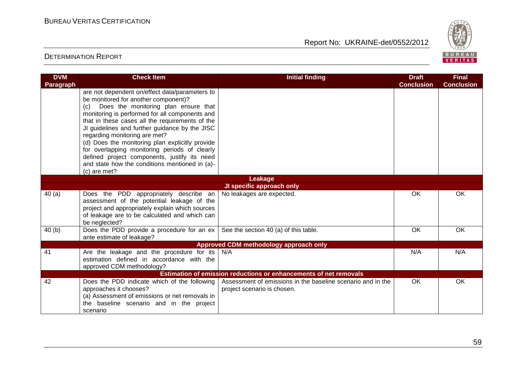

| <b>DVM</b><br>Paragraph | <b>Check Item</b>                                                                                                                                                                                                                                                                                                                                                                                                                                                                                                                                | <b>Initial finding</b>                                                                     | <b>Draft</b><br><b>Conclusion</b> | <b>Final</b><br><b>Conclusion</b> |
|-------------------------|--------------------------------------------------------------------------------------------------------------------------------------------------------------------------------------------------------------------------------------------------------------------------------------------------------------------------------------------------------------------------------------------------------------------------------------------------------------------------------------------------------------------------------------------------|--------------------------------------------------------------------------------------------|-----------------------------------|-----------------------------------|
|                         | are not dependent on/effect data/parameters to<br>be monitored for another component)?<br>(c) Does the monitoring plan ensure that<br>monitoring is performed for all components and<br>that in these cases all the requirements of the<br>JI guidelines and further guidance by the JISC<br>regarding monitoring are met?<br>(d) Does the monitoring plan explicitly provide<br>for overlapping monitoring periods of clearly<br>defined project components, justify its need<br>and state how the conditions mentioned in (a)-<br>(c) are met? |                                                                                            |                                   |                                   |
|                         |                                                                                                                                                                                                                                                                                                                                                                                                                                                                                                                                                  | Leakage                                                                                    |                                   |                                   |
|                         |                                                                                                                                                                                                                                                                                                                                                                                                                                                                                                                                                  | <b>JI specific approach only</b>                                                           |                                   |                                   |
| 40(a)                   | Does the PDD appropriately describe an<br>assessment of the potential leakage of the<br>project and appropriately explain which sources<br>of leakage are to be calculated and which can<br>be neglected?                                                                                                                                                                                                                                                                                                                                        | No leakages are expected.                                                                  | OK                                | <b>OK</b>                         |
| 40(b)                   | Does the PDD provide a procedure for an ex<br>ante estimate of leakage?                                                                                                                                                                                                                                                                                                                                                                                                                                                                          | See the section 40 (a) of this table.                                                      | <b>OK</b>                         | OK                                |
|                         |                                                                                                                                                                                                                                                                                                                                                                                                                                                                                                                                                  | Approved CDM methodology approach only                                                     |                                   |                                   |
| 41                      | Are the leakage and the procedure for its<br>estimation defined in accordance with the<br>approved CDM methodology?                                                                                                                                                                                                                                                                                                                                                                                                                              | N/A                                                                                        | N/A                               | N/A                               |
|                         |                                                                                                                                                                                                                                                                                                                                                                                                                                                                                                                                                  | Estimation of emission reductions or enhancements of net removals                          |                                   |                                   |
| 42                      | Does the PDD indicate which of the following<br>approaches it chooses?<br>(a) Assessment of emissions or net removals in<br>the baseline scenario and in the project<br>scenario                                                                                                                                                                                                                                                                                                                                                                 | Assessment of emissions in the baseline scenario and in the<br>project scenario is chosen. | <b>OK</b>                         | OK                                |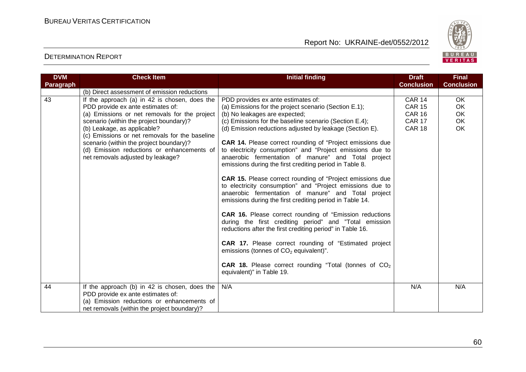

| <b>DVM</b> | <b>Check Item</b>                                                             | <b>Initial finding</b>                                                                                                   | <b>Draft</b>      | <b>Final</b>      |
|------------|-------------------------------------------------------------------------------|--------------------------------------------------------------------------------------------------------------------------|-------------------|-------------------|
| Paragraph  |                                                                               |                                                                                                                          | <b>Conclusion</b> | <b>Conclusion</b> |
|            | (b) Direct assessment of emission reductions                                  |                                                                                                                          |                   |                   |
| 43         | If the approach (a) in 42 is chosen, does the                                 | PDD provides ex ante estimates of:                                                                                       | <b>CAR 14</b>     | OK.               |
|            | PDD provide ex ante estimates of:                                             | (a) Emissions for the project scenario (Section E.1);                                                                    | <b>CAR 15</b>     | OK                |
|            | (a) Emissions or net removals for the project                                 | (b) No leakages are expected;                                                                                            | <b>CAR 16</b>     | OK                |
|            | scenario (within the project boundary)?                                       | (c) Emissions for the baseline scenario (Section E.4);                                                                   | <b>CAR 17</b>     | OK                |
|            | (b) Leakage, as applicable?<br>(c) Emissions or net removals for the baseline | (d) Emission reductions adjusted by leakage (Section E).                                                                 | <b>CAR 18</b>     | OK                |
|            | scenario (within the project boundary)?                                       | <b>CAR 14.</b> Please correct rounding of "Project emissions due                                                         |                   |                   |
|            | (d) Emission reductions or enhancements of                                    | to electricity consumption" and "Project emissions due to                                                                |                   |                   |
|            | net removals adjusted by leakage?                                             | anaerobic fermentation of manure" and Total project                                                                      |                   |                   |
|            |                                                                               | emissions during the first crediting period in Table 8.                                                                  |                   |                   |
|            |                                                                               | <b>CAR 15.</b> Please correct rounding of "Project emissions due                                                         |                   |                   |
|            |                                                                               | to electricity consumption" and "Project emissions due to                                                                |                   |                   |
|            |                                                                               | anaerobic fermentation of manure" and Total project                                                                      |                   |                   |
|            |                                                                               | emissions during the first crediting period in Table 14.                                                                 |                   |                   |
|            |                                                                               |                                                                                                                          |                   |                   |
|            |                                                                               | <b>CAR 16.</b> Please correct rounding of "Emission reductions<br>during the first crediting period" and "Total emission |                   |                   |
|            |                                                                               | reductions after the first crediting period" in Table 16.                                                                |                   |                   |
|            |                                                                               |                                                                                                                          |                   |                   |
|            |                                                                               | CAR 17. Please correct rounding of "Estimated project                                                                    |                   |                   |
|            |                                                                               | emissions (tonnes of $CO2$ equivalent)".                                                                                 |                   |                   |
|            |                                                                               |                                                                                                                          |                   |                   |
|            |                                                                               | <b>CAR 18.</b> Please correct rounding "Total (tonnes of $CO2$                                                           |                   |                   |
|            |                                                                               | equivalent)" in Table 19.                                                                                                |                   |                   |
| 44         | If the approach (b) in 42 is chosen, does the                                 | N/A                                                                                                                      | N/A               | N/A               |
|            | PDD provide ex ante estimates of:                                             |                                                                                                                          |                   |                   |
|            | (a) Emission reductions or enhancements of                                    |                                                                                                                          |                   |                   |
|            | net removals (within the project boundary)?                                   |                                                                                                                          |                   |                   |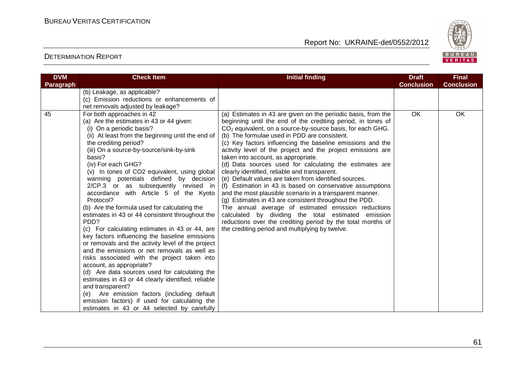

| <b>DVM</b> | <b>Check Item</b>                                                                                                                                                                                                                                                                                                                                                                                                                                                                                                                                                                                                                                                                                                                                                                                                                                                                                                                                                                                                                                                                                                              | <b>Initial finding</b>                                                                                                                                                                                                                                                                                                                                                                                                                                                                                                                                                                                                                                                                                                                                                                                                                                                                                                                                                                                    | <b>Draft</b>      | <b>Final</b>      |
|------------|--------------------------------------------------------------------------------------------------------------------------------------------------------------------------------------------------------------------------------------------------------------------------------------------------------------------------------------------------------------------------------------------------------------------------------------------------------------------------------------------------------------------------------------------------------------------------------------------------------------------------------------------------------------------------------------------------------------------------------------------------------------------------------------------------------------------------------------------------------------------------------------------------------------------------------------------------------------------------------------------------------------------------------------------------------------------------------------------------------------------------------|-----------------------------------------------------------------------------------------------------------------------------------------------------------------------------------------------------------------------------------------------------------------------------------------------------------------------------------------------------------------------------------------------------------------------------------------------------------------------------------------------------------------------------------------------------------------------------------------------------------------------------------------------------------------------------------------------------------------------------------------------------------------------------------------------------------------------------------------------------------------------------------------------------------------------------------------------------------------------------------------------------------|-------------------|-------------------|
| Paragraph  |                                                                                                                                                                                                                                                                                                                                                                                                                                                                                                                                                                                                                                                                                                                                                                                                                                                                                                                                                                                                                                                                                                                                |                                                                                                                                                                                                                                                                                                                                                                                                                                                                                                                                                                                                                                                                                                                                                                                                                                                                                                                                                                                                           | <b>Conclusion</b> | <b>Conclusion</b> |
|            | (b) Leakage, as applicable?<br>(c) Emission reductions or enhancements of<br>net removals adjusted by leakage?                                                                                                                                                                                                                                                                                                                                                                                                                                                                                                                                                                                                                                                                                                                                                                                                                                                                                                                                                                                                                 |                                                                                                                                                                                                                                                                                                                                                                                                                                                                                                                                                                                                                                                                                                                                                                                                                                                                                                                                                                                                           |                   |                   |
| 45         | For both approaches in 42<br>(a) Are the estimates in 43 or 44 given:<br>(i) On a periodic basis?<br>(ii) At least from the beginning until the end of<br>the crediting period?<br>(iii) On a source-by-source/sink-by-sink<br>basis?<br>(iv) For each GHG?<br>(v) In tones of CO2 equivalent, using global<br>warming potentials defined by decision<br>2/CP.3 or as subsequently revised in<br>accordance with Article 5 of the Kyoto<br>Protocol?<br>(b) Are the formula used for calculating the<br>estimates in 43 or 44 consistent throughout the<br>PDD?<br>(c) For calculating estimates in 43 or 44, are<br>key factors influencing the baseline emissions<br>or removals and the activity level of the project<br>and the emissions or net removals as well as<br>risks associated with the project taken into<br>account, as appropriate?<br>(d) Are data sources used for calculating the<br>estimates in 43 or 44 clearly identified, reliable<br>and transparent?<br>(e) Are emission factors (including default<br>emission factors) if used for calculating the<br>estimates in 43 or 44 selected by carefully | (a) Estimates in 43 are given on the periodic basis, from the<br>beginning until the end of the crediting period, in tones of<br>$CO2$ equivalent, on a source-by-source basis, for each GHG.<br>(b) The formulae used in PDD are consistent.<br>(c) Key factors influencing the baseline emissions and the<br>activity level of the project and the project emissions are<br>taken into account, as appropriate.<br>(d) Data sources used for calculating the estimates are<br>clearly identified, reliable and transparent.<br>(e) Default values are taken from identified sources.<br>(f) Estimation in 43 is based on conservative assumptions<br>and the most plausible scenario in a transparent manner.<br>(g) Estimates in 43 are consistent throughout the PDD.<br>The annual average of estimated emission reductions<br>calculated by dividing the total estimated emission<br>reductions over the crediting period by the total months of<br>the crediting period and multiplying by twelve. | <b>OK</b>         | <b>OK</b>         |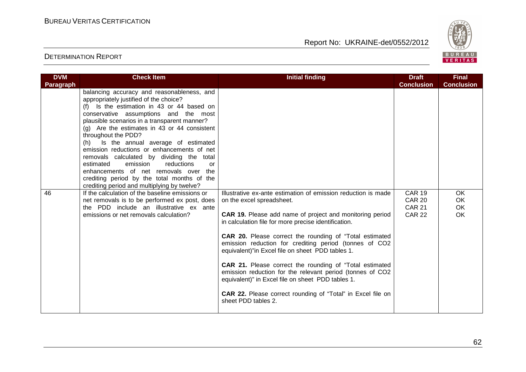

| <b>DVM</b>       | <b>Check Item</b>                                                                              | <b>Initial finding</b>                                                                                                                                                    | <b>Draft</b>                   | <b>Final</b>      |
|------------------|------------------------------------------------------------------------------------------------|---------------------------------------------------------------------------------------------------------------------------------------------------------------------------|--------------------------------|-------------------|
| <b>Paragraph</b> | balancing accuracy and reasonableness, and                                                     |                                                                                                                                                                           | <b>Conclusion</b>              | <b>Conclusion</b> |
|                  | appropriately justified of the choice?<br>(f) Is the estimation in 43 or 44 based on           |                                                                                                                                                                           |                                |                   |
|                  | conservative assumptions and the most<br>plausible scenarios in a transparent manner?          |                                                                                                                                                                           |                                |                   |
|                  | (g) Are the estimates in 43 or 44 consistent<br>throughout the PDD?                            |                                                                                                                                                                           |                                |                   |
|                  | Is the annual average of estimated<br>(h)<br>emission reductions or enhancements of net        |                                                                                                                                                                           |                                |                   |
|                  | removals calculated by dividing the total<br>reductions<br>estimated<br>emission<br>or         |                                                                                                                                                                           |                                |                   |
|                  | enhancements of net removals over<br>the<br>crediting period by the total months of the        |                                                                                                                                                                           |                                |                   |
| 46               | crediting period and multiplying by twelve?<br>If the calculation of the baseline emissions or | Illustrative ex-ante estimation of emission reduction is made                                                                                                             | <b>CAR 19</b>                  | <b>OK</b>         |
|                  | net removals is to be performed ex post, does                                                  | on the excel spreadsheet.                                                                                                                                                 | <b>CAR 20</b>                  | OK                |
|                  | the PDD include an illustrative ex ante<br>emissions or net removals calculation?              | CAR 19. Please add name of project and monitoring period<br>in calculation file for more precise identification.                                                          | <b>CAR 21</b><br><b>CAR 22</b> | OK<br>OK          |
|                  |                                                                                                | CAR 20. Please correct the rounding of "Total estimated<br>emission reduction for crediting period (tonnes of CO2<br>equivalent)"in Excel file on sheet PDD tables 1.     |                                |                   |
|                  |                                                                                                | CAR 21. Please correct the rounding of "Total estimated<br>emission reduction for the relevant period (tonnes of CO2<br>equivalent)" in Excel file on sheet PDD tables 1. |                                |                   |
|                  |                                                                                                | <b>CAR 22.</b> Please correct rounding of "Total" in Excel file on<br>sheet PDD tables 2.                                                                                 |                                |                   |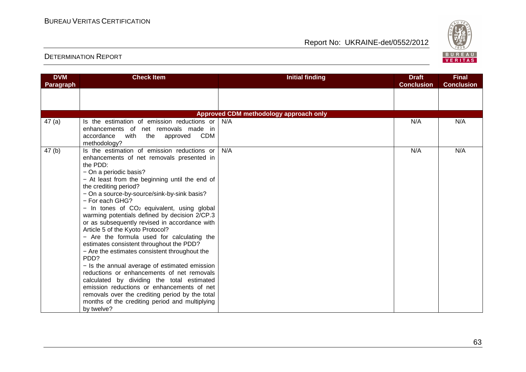

| <b>DVM</b><br>Paragraph | <b>Check Item</b>                                                                                                                                                                                                                                                                                                                                                                                                                                                                                                                                                                                                                                                                                                                                                                                                                                                                                                                    | <b>Initial finding</b>                 | <b>Draft</b><br><b>Conclusion</b> | <b>Final</b><br><b>Conclusion</b> |
|-------------------------|--------------------------------------------------------------------------------------------------------------------------------------------------------------------------------------------------------------------------------------------------------------------------------------------------------------------------------------------------------------------------------------------------------------------------------------------------------------------------------------------------------------------------------------------------------------------------------------------------------------------------------------------------------------------------------------------------------------------------------------------------------------------------------------------------------------------------------------------------------------------------------------------------------------------------------------|----------------------------------------|-----------------------------------|-----------------------------------|
|                         |                                                                                                                                                                                                                                                                                                                                                                                                                                                                                                                                                                                                                                                                                                                                                                                                                                                                                                                                      |                                        |                                   |                                   |
|                         |                                                                                                                                                                                                                                                                                                                                                                                                                                                                                                                                                                                                                                                                                                                                                                                                                                                                                                                                      |                                        |                                   |                                   |
|                         |                                                                                                                                                                                                                                                                                                                                                                                                                                                                                                                                                                                                                                                                                                                                                                                                                                                                                                                                      | Approved CDM methodology approach only |                                   |                                   |
| 47(a)                   | Is the estimation of emission reductions or<br>enhancements of net removals made in<br>accordance<br>with the<br>CDM<br>approved<br>methodology?                                                                                                                                                                                                                                                                                                                                                                                                                                                                                                                                                                                                                                                                                                                                                                                     | N/A                                    | N/A                               | N/A                               |
| 47(b)                   | Is the estimation of emission reductions or<br>enhancements of net removals presented in<br>the PDD:<br>- On a periodic basis?<br>- At least from the beginning until the end of<br>the crediting period?<br>- On a source-by-source/sink-by-sink basis?<br>- For each GHG?<br>$-$ In tones of $CO2$ equivalent, using global<br>warming potentials defined by decision 2/CP.3<br>or as subsequently revised in accordance with<br>Article 5 of the Kyoto Protocol?<br>- Are the formula used for calculating the<br>estimates consistent throughout the PDD?<br>- Are the estimates consistent throughout the<br>PDD?<br>- Is the annual average of estimated emission<br>reductions or enhancements of net removals<br>calculated by dividing the total estimated<br>emission reductions or enhancements of net<br>removals over the crediting period by the total<br>months of the crediting period and multiplying<br>by twelve? | N/A                                    | N/A                               | N/A                               |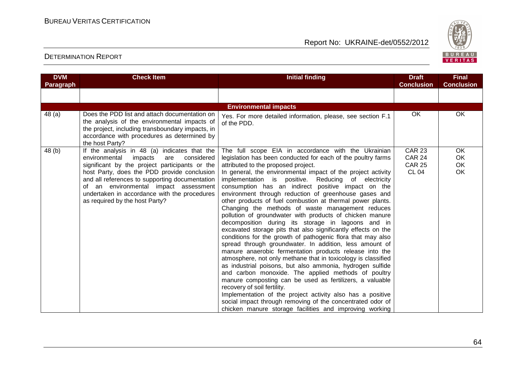

| <b>DVM</b> | <b>Check Item</b>                                                                                                                                                                                                                                                                                                                                                           | <b>Initial finding</b>                                                                                                                                                                                                                                                                                                                                                                                                                                                                                                                                                                                                                                                                                                                                                                                                                                                                                                                                                                                                                                                                                                                                                                                                                                                                                                                                            | <b>Draft</b>                                                    | <b>Final</b>                       |
|------------|-----------------------------------------------------------------------------------------------------------------------------------------------------------------------------------------------------------------------------------------------------------------------------------------------------------------------------------------------------------------------------|-------------------------------------------------------------------------------------------------------------------------------------------------------------------------------------------------------------------------------------------------------------------------------------------------------------------------------------------------------------------------------------------------------------------------------------------------------------------------------------------------------------------------------------------------------------------------------------------------------------------------------------------------------------------------------------------------------------------------------------------------------------------------------------------------------------------------------------------------------------------------------------------------------------------------------------------------------------------------------------------------------------------------------------------------------------------------------------------------------------------------------------------------------------------------------------------------------------------------------------------------------------------------------------------------------------------------------------------------------------------|-----------------------------------------------------------------|------------------------------------|
| Paragraph  |                                                                                                                                                                                                                                                                                                                                                                             |                                                                                                                                                                                                                                                                                                                                                                                                                                                                                                                                                                                                                                                                                                                                                                                                                                                                                                                                                                                                                                                                                                                                                                                                                                                                                                                                                                   | <b>Conclusion</b>                                               | <b>Conclusion</b>                  |
|            |                                                                                                                                                                                                                                                                                                                                                                             |                                                                                                                                                                                                                                                                                                                                                                                                                                                                                                                                                                                                                                                                                                                                                                                                                                                                                                                                                                                                                                                                                                                                                                                                                                                                                                                                                                   |                                                                 |                                    |
|            |                                                                                                                                                                                                                                                                                                                                                                             | <b>Environmental impacts</b>                                                                                                                                                                                                                                                                                                                                                                                                                                                                                                                                                                                                                                                                                                                                                                                                                                                                                                                                                                                                                                                                                                                                                                                                                                                                                                                                      |                                                                 |                                    |
| 48 (a)     | Does the PDD list and attach documentation on<br>the analysis of the environmental impacts of<br>the project, including transboundary impacts, in<br>accordance with procedures as determined by<br>the host Party?                                                                                                                                                         | Yes. For more detailed information, please, see section F.1<br>of the PDD.                                                                                                                                                                                                                                                                                                                                                                                                                                                                                                                                                                                                                                                                                                                                                                                                                                                                                                                                                                                                                                                                                                                                                                                                                                                                                        | <b>OK</b>                                                       | OK                                 |
| 48 (b)     | If the analysis in 48 (a) indicates that the<br>environmental<br>considered<br>impacts<br>are<br>significant by the project participants or the<br>host Party, does the PDD provide conclusion<br>and all references to supporting documentation<br>of an environmental impact assessment<br>undertaken in accordance with the procedures<br>as required by the host Party? | The full scope EIA in accordance with the Ukrainian<br>legislation has been conducted for each of the poultry farms<br>attributed to the proposed project.<br>In general, the environmental impact of the project activity<br>implementation is positive. Reducing of electricity<br>consumption has an indirect positive impact on the<br>environment through reduction of greenhouse gases and<br>other products of fuel combustion at thermal power plants.<br>Changing the methods of waste management reduces<br>pollution of groundwater with products of chicken manure<br>decomposition during its storage in lagoons and in<br>excavated storage pits that also significantly effects on the<br>conditions for the growth of pathogenic flora that may also<br>spread through groundwater. In addition, less amount of<br>manure anaerobic fermentation products release into the<br>atmosphere, not only methane that in toxicology is classified<br>as industrial poisons, but also ammonia, hydrogen sulfide<br>and carbon monoxide. The applied methods of poultry<br>manure composting can be used as fertilizers, a valuable<br>recovery of soil fertility.<br>Implementation of the project activity also has a positive<br>social impact through removing of the concentrated odor of<br>chicken manure storage facilities and improving working | <b>CAR 23</b><br><b>CAR 24</b><br><b>CAR 25</b><br><b>CL 04</b> | OK<br>OK<br><b>OK</b><br><b>OK</b> |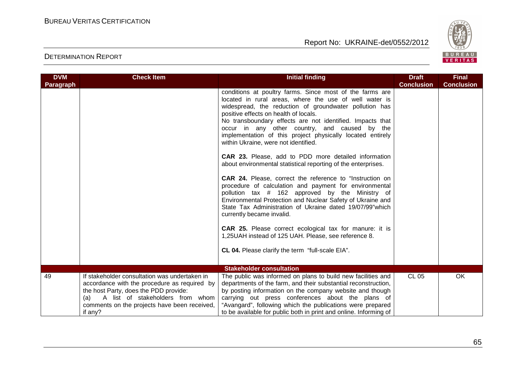

| <b>DVM</b><br>Paragraph | <b>Check Item</b>                                                                                                                                                                                                                 | <b>Initial finding</b>                                                                                                                                                                                                                                                                                                                                                                                                                                                                                                                                                                                                                                                                                                                                                                                                                                                                                                                                                                                                                                                            | <b>Draft</b><br><b>Conclusion</b> | <b>Final</b><br><b>Conclusion</b> |
|-------------------------|-----------------------------------------------------------------------------------------------------------------------------------------------------------------------------------------------------------------------------------|-----------------------------------------------------------------------------------------------------------------------------------------------------------------------------------------------------------------------------------------------------------------------------------------------------------------------------------------------------------------------------------------------------------------------------------------------------------------------------------------------------------------------------------------------------------------------------------------------------------------------------------------------------------------------------------------------------------------------------------------------------------------------------------------------------------------------------------------------------------------------------------------------------------------------------------------------------------------------------------------------------------------------------------------------------------------------------------|-----------------------------------|-----------------------------------|
|                         |                                                                                                                                                                                                                                   | conditions at poultry farms. Since most of the farms are<br>located in rural areas, where the use of well water is<br>widespread, the reduction of groundwater pollution has<br>positive effects on health of locals.<br>No transboundary effects are not identified. Impacts that<br>occur in any other country, and caused by the<br>implementation of this project physically located entirely<br>within Ukraine, were not identified.<br>CAR 23. Please, add to PDD more detailed information<br>about environmental statistical reporting of the enterprises.<br><b>CAR 24.</b> Please, correct the reference to "Instruction on<br>procedure of calculation and payment for environmental<br>pollution tax # 162 approved by the Ministry of<br>Environmental Protection and Nuclear Safety of Ukraine and<br>State Tax Administration of Ukraine dated 19/07/99" which<br>currently became invalid.<br>CAR 25. Please correct ecological tax for manure: it is<br>1,25UAH instead of 125 UAH. Please, see reference 8.<br>CL 04. Please clarify the term "full-scale EIA". |                                   |                                   |
|                         |                                                                                                                                                                                                                                   | <b>Stakeholder consultation</b>                                                                                                                                                                                                                                                                                                                                                                                                                                                                                                                                                                                                                                                                                                                                                                                                                                                                                                                                                                                                                                                   |                                   |                                   |
| 49                      | If stakeholder consultation was undertaken in<br>accordance with the procedure as required by<br>the host Party, does the PDD provide:<br>A list of stakeholders from whom<br>(a)<br>comments on the projects have been received, | The public was informed on plans to build new facilities and<br>departments of the farm, and their substantial reconstruction,<br>by posting information on the company website and though<br>carrying out press conferences about the plans of<br>"Avangard", following which the publications were prepared                                                                                                                                                                                                                                                                                                                                                                                                                                                                                                                                                                                                                                                                                                                                                                     | <b>CL 05</b>                      | <b>OK</b>                         |
|                         | if any?                                                                                                                                                                                                                           | to be available for public both in print and online. Informing of                                                                                                                                                                                                                                                                                                                                                                                                                                                                                                                                                                                                                                                                                                                                                                                                                                                                                                                                                                                                                 |                                   |                                   |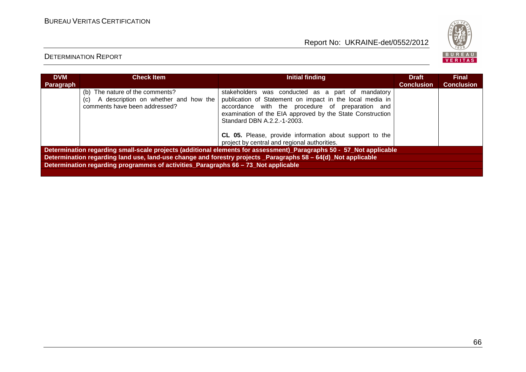

| <b>DVM</b><br>Paragraph | <b>Check Item</b>                                                                                               | Initial finding                                                                                                                                                                                                                                                                                                                                                          | <b>Draft</b><br><b>Conclusion</b> | <b>Final</b><br><b>Conclusion</b> |  |  |  |  |
|-------------------------|-----------------------------------------------------------------------------------------------------------------|--------------------------------------------------------------------------------------------------------------------------------------------------------------------------------------------------------------------------------------------------------------------------------------------------------------------------------------------------------------------------|-----------------------------------|-----------------------------------|--|--|--|--|
|                         | (b) The nature of the comments?<br>A description on whether and how the<br>(C)<br>comments have been addressed? | stakeholders was conducted as a part of mandatory<br>publication of Statement on impact in the local media in<br>accordance with the procedure of preparation and<br>examination of the EIA approved by the State Construction<br>Standard DBN A.2.2.-1-2003.<br>CL 05. Please, provide information about support to the<br>project by central and regional authorities. |                                   |                                   |  |  |  |  |
|                         |                                                                                                                 | Determination regarding small-scale projects (additional elements for assessment)_Paragraphs 50 - 57_Not applicable                                                                                                                                                                                                                                                      |                                   |                                   |  |  |  |  |
|                         |                                                                                                                 | Determination regarding land use, land-use change and forestry projects _Paragraphs 58 - 64(d)_Not applicable                                                                                                                                                                                                                                                            |                                   |                                   |  |  |  |  |
|                         | Determination regarding programmes of activities Paragraphs 66 - 73 Not applicable                              |                                                                                                                                                                                                                                                                                                                                                                          |                                   |                                   |  |  |  |  |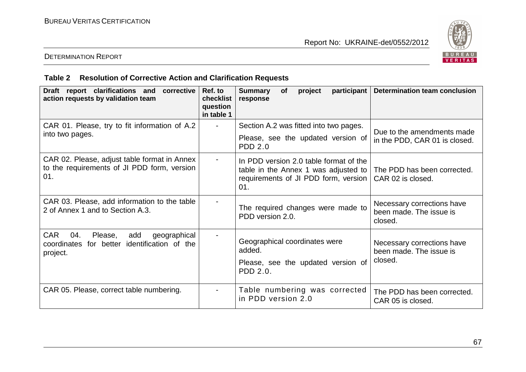

# DETERMINATION REPORT

# **Table 2 Resolution of Corrective Action and Clarification Requests**

| Draft report clarifications and<br>corrective<br>action requests by validation team                                | Ref. to<br>checklist<br>question<br>in table 1 | <b>Summary</b><br>project<br>participant  <br><b>of</b><br>response                                                           | <b>Determination team conclusion</b>                             |
|--------------------------------------------------------------------------------------------------------------------|------------------------------------------------|-------------------------------------------------------------------------------------------------------------------------------|------------------------------------------------------------------|
| CAR 01. Please, try to fit information of A.2<br>into two pages.                                                   |                                                | Section A.2 was fitted into two pages.<br>Please, see the updated version of<br><b>PDD 2.0</b>                                | Due to the amendments made<br>in the PDD, CAR 01 is closed.      |
| CAR 02. Please, adjust table format in Annex<br>to the requirements of JI PDD form, version<br>01.                 |                                                | In PDD version 2.0 table format of the<br>table in the Annex 1 was adjusted to<br>requirements of JI PDD form, version<br>01. | The PDD has been corrected.<br>CAR 02 is closed.                 |
| CAR 03. Please, add information to the table<br>2 of Annex 1 and to Section A.3.                                   |                                                | The required changes were made to<br>PDD version 2.0.                                                                         | Necessary corrections have<br>been made. The issue is<br>closed. |
| <b>CAR</b><br>04.<br>Please,<br>geographical<br>add<br>identification of the<br>coordinates for better<br>project. |                                                | Geographical coordinates were<br>added.<br>Please, see the updated version of<br>PDD 2.0.                                     | Necessary corrections have<br>been made. The issue is<br>closed. |
| CAR 05. Please, correct table numbering.                                                                           |                                                | Table numbering was corrected<br>in PDD version 2.0                                                                           | The PDD has been corrected.<br>CAR 05 is closed.                 |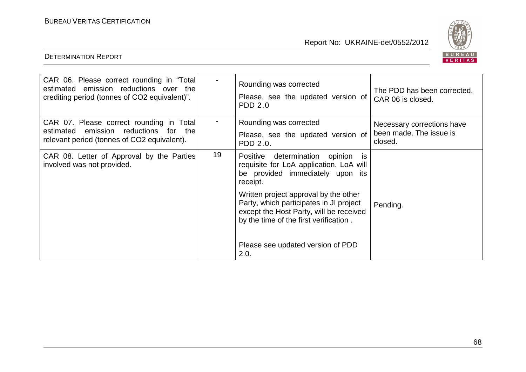

| CAR 06. Please correct rounding in "Total<br>estimated emission reductions over the<br>crediting period (tonnes of CO2 equivalent)".   |    | Rounding was corrected<br>Please, see the updated version of<br><b>PDD 2.0</b>                                                                                        | The PDD has been corrected.<br>CAR 06 is closed.                 |
|----------------------------------------------------------------------------------------------------------------------------------------|----|-----------------------------------------------------------------------------------------------------------------------------------------------------------------------|------------------------------------------------------------------|
| CAR 07. Please correct rounding in Total<br>estimated emission reductions<br>for<br>the<br>relevant period (tonnes of CO2 equivalent). |    | Rounding was corrected<br>Please, see the updated version of<br>PDD 2.0.                                                                                              | Necessary corrections have<br>been made. The issue is<br>closed. |
| CAR 08. Letter of Approval by the Parties<br>involved was not provided.                                                                | 19 | Positive determination opinion is<br>requisite for LoA application. LoA will<br>be provided immediately upon its<br>receipt.                                          |                                                                  |
|                                                                                                                                        |    | Written project approval by the other<br>Party, which participates in JI project<br>except the Host Party, will be received<br>by the time of the first verification. | Pending.                                                         |
|                                                                                                                                        |    | Please see updated version of PDD<br>2.0.                                                                                                                             |                                                                  |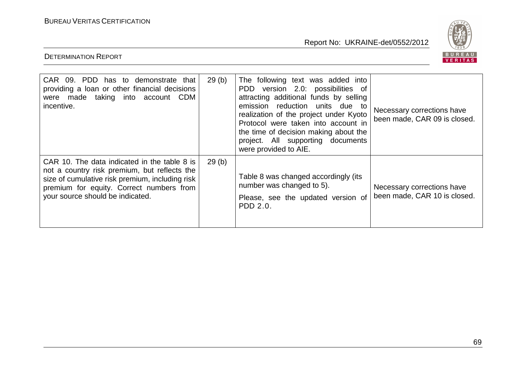DETERMINATION REPORT

Report No: UKRAINE-det/0552/2012



CAR 09. PDD has to demonstrate that | 29(b) | The following text was added into providing a loan or other financial decisions were made taking into account CDM incentive. were provided to AIE. CAR 10. The data indicated in the table 8 is 29 (b)

| 07111 00. 1 00 1100 10 001110110110110 11101<br>providing a loan or other financial decisions<br>were made taking into account CDM<br>incentive.                                                                                | 20 INT | $1110$ 101101111114 10Al 1100 00000 11110<br>PDD version 2.0: possibilities of<br>attracting additional funds by selling<br>emission reduction units due to<br>realization of the project under Kyoto<br>Protocol were taken into account in<br>the time of decision making about the<br>project. All supporting documents<br>were provided to AIE. | Necessary corrections have<br>been made, CAR 09 is closed. |
|---------------------------------------------------------------------------------------------------------------------------------------------------------------------------------------------------------------------------------|--------|-----------------------------------------------------------------------------------------------------------------------------------------------------------------------------------------------------------------------------------------------------------------------------------------------------------------------------------------------------|------------------------------------------------------------|
| CAR 10. The data indicated in the table 8 is<br>not a country risk premium, but reflects the<br>size of cumulative risk premium, including risk<br>premium for equity. Correct numbers from<br>your source should be indicated. | 29(b)  | Table 8 was changed accordingly (its<br>number was changed to 5).<br>Please, see the updated version of<br>PDD 2.0.                                                                                                                                                                                                                                 | Necessary corrections have<br>been made, CAR 10 is closed. |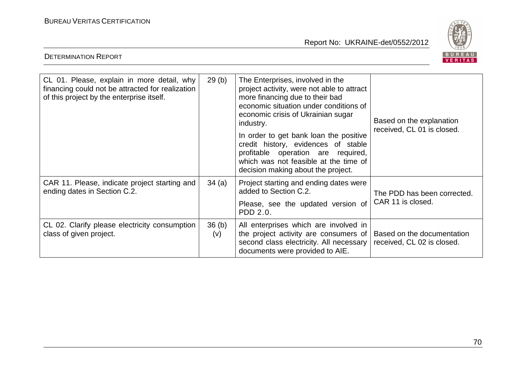

| CL 01. Please, explain in more detail, why<br>financing could not be attracted for realization<br>of this project by the enterprise itself. | 29(b)        | The Enterprises, involved in the<br>project activity, were not able to attract<br>more financing due to their bad<br>economic situation under conditions of<br>economic crisis of Ukrainian sugar<br>industry.<br>In order to get bank loan the positive<br>credit history, evidences of stable<br>profitable operation are required,<br>which was not feasible at the time of<br>decision making about the project. | Based on the explanation<br>received, CL 01 is closed.   |
|---------------------------------------------------------------------------------------------------------------------------------------------|--------------|----------------------------------------------------------------------------------------------------------------------------------------------------------------------------------------------------------------------------------------------------------------------------------------------------------------------------------------------------------------------------------------------------------------------|----------------------------------------------------------|
| CAR 11. Please, indicate project starting and<br>ending dates in Section C.2.                                                               | 34(a)        | Project starting and ending dates were<br>added to Section C.2.<br>Please, see the updated version of<br>PDD 2.0.                                                                                                                                                                                                                                                                                                    | The PDD has been corrected.<br>CAR 11 is closed.         |
| CL 02. Clarify please electricity consumption<br>class of given project.                                                                    | 36(b)<br>(v) | All enterprises which are involved in<br>the project activity are consumers of<br>second class electricity. All necessary<br>documents were provided to AIE.                                                                                                                                                                                                                                                         | Based on the documentation<br>received, CL 02 is closed. |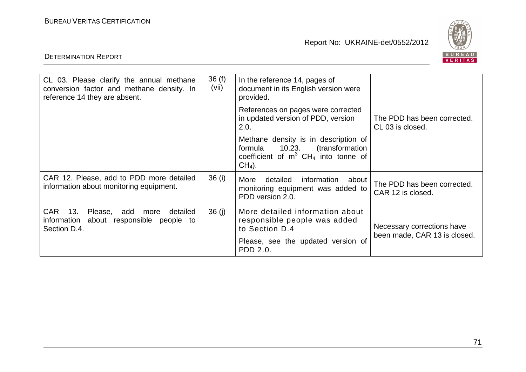

| CL 03. Please clarify the annual methane<br>conversion factor and methane density. In<br>reference 14 they are absent. | 36(f)<br>(vii) | In the reference 14, pages of<br>document in its English version were<br>provided.                                                       |                                                            |
|------------------------------------------------------------------------------------------------------------------------|----------------|------------------------------------------------------------------------------------------------------------------------------------------|------------------------------------------------------------|
|                                                                                                                        |                | References on pages were corrected<br>in updated version of PDD, version<br>2.0.                                                         | The PDD has been corrected.<br>CL 03 is closed.            |
|                                                                                                                        |                | Methane density is in description of<br>formula 10.23. (transformation<br>coefficient of $m^3$ CH <sub>4</sub> into tonne of<br>$CH4$ ). |                                                            |
| CAR 12. Please, add to PDD more detailed<br>information about monitoring equipment.                                    | 36 (i)         | information about<br>detailed<br>More<br>monitoring equipment was added to<br>PDD version 2.0.                                           | The PDD has been corrected.<br>CAR 12 is closed.           |
| <b>CAR</b><br>13.<br>Please,<br>add<br>detailed<br>more<br>information about responsible<br>people to<br>Section D.4.  | 36(j)          | More detailed information about<br>responsible people was added<br>to Section D.4                                                        | Necessary corrections have<br>been made, CAR 13 is closed. |
|                                                                                                                        |                | Please, see the updated version of<br>PDD 2.0.                                                                                           |                                                            |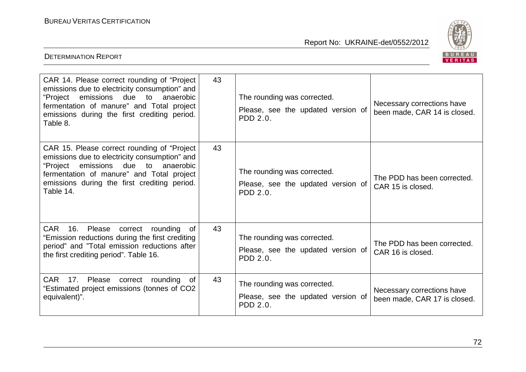DETERMINATION REPORT

Report No: UKRAINE-det/0552/2012



| CAR 14. Please correct rounding of "Project<br>emissions due to electricity consumption" and<br>emissions due to<br>anaerobic<br>"Project<br>fermentation of manure" and Total project<br>emissions during the first crediting period.<br>Table 8.         | 43 | The rounding was corrected.<br>Please, see the updated version of<br>PDD 2.0. | Necessary corrections have<br>been made, CAR 14 is closed. |
|------------------------------------------------------------------------------------------------------------------------------------------------------------------------------------------------------------------------------------------------------------|----|-------------------------------------------------------------------------------|------------------------------------------------------------|
| CAR 15. Please correct rounding of "Project"<br>emissions due to electricity consumption" and<br>emissions<br>due<br>"Project<br>to<br>anaerobic<br>fermentation of manure" and Total project<br>emissions during the first crediting period.<br>Table 14. | 43 | The rounding was corrected.<br>Please, see the updated version of<br>PDD 2.0. | The PDD has been corrected.<br>CAR 15 is closed.           |
| <b>CAR</b><br>16.<br>Please<br>correct<br>rounding<br>0f<br>"Emission reductions during the first crediting<br>period" and "Total emission reductions after<br>the first crediting period". Table 16.                                                      | 43 | The rounding was corrected.<br>Please, see the updated version of<br>PDD 2.0. | The PDD has been corrected.<br>CAR 16 is closed.           |
| <b>CAR</b><br>17.<br>Please<br>correct<br>rounding<br>of<br>"Estimated project emissions (tonnes of CO2<br>equivalent)".                                                                                                                                   | 43 | The rounding was corrected.<br>Please, see the updated version of<br>PDD 2.0. | Necessary corrections have<br>been made, CAR 17 is closed. |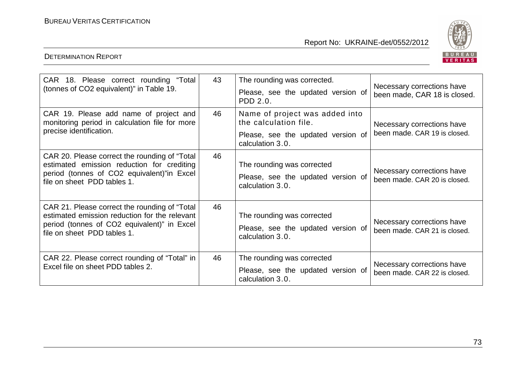Report No: UKRAINE-det/0552/2012



## DETERMINATION REPORT

| CAR 18. Please correct rounding "Total<br>(tonnes of CO2 equivalent)" in Table 19.                                                                                           | 43 | The rounding was corrected.<br>Please, see the updated version of<br>PDD 2.0.                                     | Necessary corrections have<br>been made, CAR 18 is closed. |
|------------------------------------------------------------------------------------------------------------------------------------------------------------------------------|----|-------------------------------------------------------------------------------------------------------------------|------------------------------------------------------------|
| CAR 19. Please add name of project and<br>monitoring period in calculation file for more<br>precise identification.                                                          | 46 | Name of project was added into<br>the calculation file.<br>Please, see the updated version of<br>calculation 3.0. | Necessary corrections have<br>been made. CAR 19 is closed. |
| CAR 20. Please correct the rounding of "Total"<br>estimated emission reduction for crediting<br>period (tonnes of CO2 equivalent)"in Excel<br>file on sheet PDD tables 1.    | 46 | The rounding was corrected<br>Please, see the updated version of<br>calculation 3.0.                              | Necessary corrections have<br>been made, CAR 20 is closed. |
| CAR 21. Please correct the rounding of "Total<br>estimated emission reduction for the relevant<br>period (tonnes of CO2 equivalent)" in Excel<br>file on sheet PDD tables 1. | 46 | The rounding was corrected<br>Please, see the updated version of<br>calculation 3.0.                              | Necessary corrections have<br>been made. CAR 21 is closed. |
| CAR 22. Please correct rounding of "Total" in<br>Excel file on sheet PDD tables 2.                                                                                           | 46 | The rounding was corrected<br>Please, see the updated version of<br>calculation 3.0.                              | Necessary corrections have<br>been made. CAR 22 is closed. |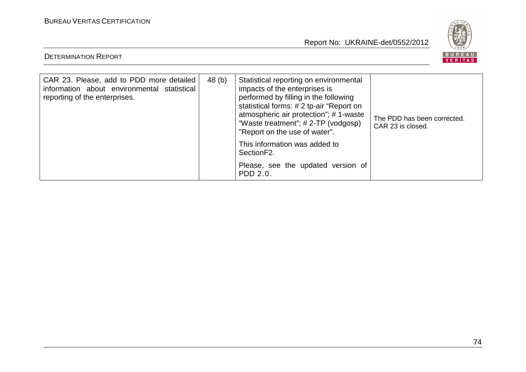Report No: UKRAINE-det/0552/2012



## DETERMINATION REPORT

| CAR 23. Please, add to PDD more detailed<br>information about environmental statistical<br>reporting of the enterprises. | 48 (b) | Statistical reporting on environmental<br>impacts of the enterprises is<br>performed by filling in the following<br>statistical forms: # 2 tp-air "Report on<br>atmospheric air protection"; #1-waste<br>"Waste treatment"; # 2-TP (vodgosp)<br>"Report on the use of water". | The PDD has been corrected.<br>CAR 23 is closed. |
|--------------------------------------------------------------------------------------------------------------------------|--------|-------------------------------------------------------------------------------------------------------------------------------------------------------------------------------------------------------------------------------------------------------------------------------|--------------------------------------------------|
|                                                                                                                          |        | This information was added to<br>Section <sub>F2</sub> .                                                                                                                                                                                                                      |                                                  |
|                                                                                                                          |        | Please, see the updated version of<br>PDD 2.0.                                                                                                                                                                                                                                |                                                  |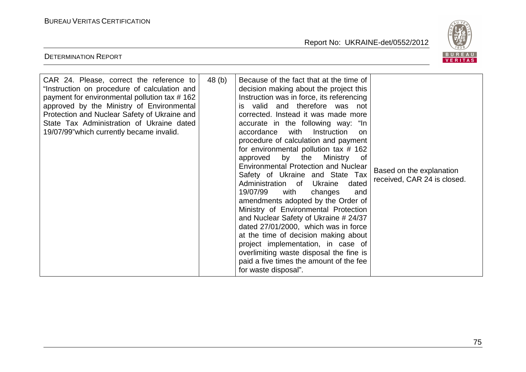DETERMINATION REPORT

Report No: UKRAINE-det/0552/2012



| CAR 24. Please, correct the reference to<br>"Instruction on procedure of calculation and<br>payment for environmental pollution tax #162<br>approved by the Ministry of Environmental<br>Protection and Nuclear Safety of Ukraine and<br>State Tax Administration of Ukraine dated<br>19/07/99" which currently became invalid. | 48 (b) | Because of the fact that at the time of<br>decision making about the project this<br>Instruction was in force, its referencing<br>is valid and therefore was not<br>corrected. Instead it was made more<br>accurate in the following way: "In<br>with<br>accordance<br>Instruction<br><b>on</b><br>procedure of calculation and payment<br>for environmental pollution tax # 162<br>approved by the<br>Ministry<br>of<br><b>Environmental Protection and Nuclear</b><br>Safety of Ukraine and State Tax<br>Ukraine<br>Administration of<br>dated<br>19/07/99<br>with<br>changes<br>and<br>amendments adopted by the Order of<br>Ministry of Environmental Protection<br>and Nuclear Safety of Ukraine # 24/37<br>dated 27/01/2000, which was in force<br>at the time of decision making about<br>project implementation, in case of<br>overlimiting waste disposal the fine is<br>paid a five times the amount of the fee<br>for waste disposal". | Based on the explanation<br>received, CAR 24 is closed. |
|---------------------------------------------------------------------------------------------------------------------------------------------------------------------------------------------------------------------------------------------------------------------------------------------------------------------------------|--------|---------------------------------------------------------------------------------------------------------------------------------------------------------------------------------------------------------------------------------------------------------------------------------------------------------------------------------------------------------------------------------------------------------------------------------------------------------------------------------------------------------------------------------------------------------------------------------------------------------------------------------------------------------------------------------------------------------------------------------------------------------------------------------------------------------------------------------------------------------------------------------------------------------------------------------------------------|---------------------------------------------------------|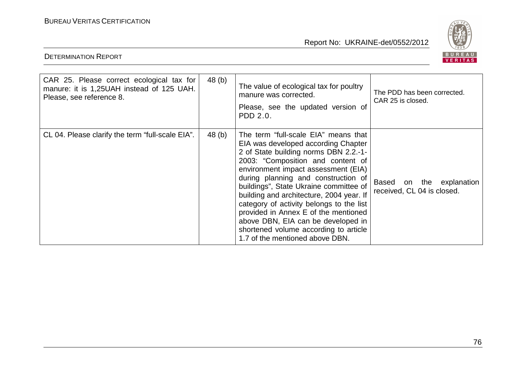DETERMINATION REPORT

Report No: UKRAINE-det/0552/2012



| CAR 25. Please correct ecological tax for<br>manure: it is 1,25UAH instead of 125 UAH.<br>Please, see reference 8. | 48 (b) | The value of ecological tax for poultry<br>manure was corrected.<br>Please, see the updated version of<br>PDD 2.0.                                                                                                                                                                                                                                                                                                                                                                                                                  | The PDD has been corrected.<br>CAR 25 is closed.          |
|--------------------------------------------------------------------------------------------------------------------|--------|-------------------------------------------------------------------------------------------------------------------------------------------------------------------------------------------------------------------------------------------------------------------------------------------------------------------------------------------------------------------------------------------------------------------------------------------------------------------------------------------------------------------------------------|-----------------------------------------------------------|
| CL 04. Please clarify the term "full-scale EIA".                                                                   | 48 (b) | The term "full-scale EIA" means that<br>EIA was developed according Chapter<br>2 of State building norms DBN 2.2.-1-<br>2003: "Composition and content of<br>environment impact assessment (EIA)<br>during planning and construction of<br>buildings", State Ukraine committee of<br>building and architecture, 2004 year. If<br>category of activity belongs to the list<br>provided in Annex E of the mentioned<br>above DBN, EIA can be developed in<br>shortened volume according to article<br>1.7 of the mentioned above DBN. | Based<br>on the explanation<br>received, CL 04 is closed. |